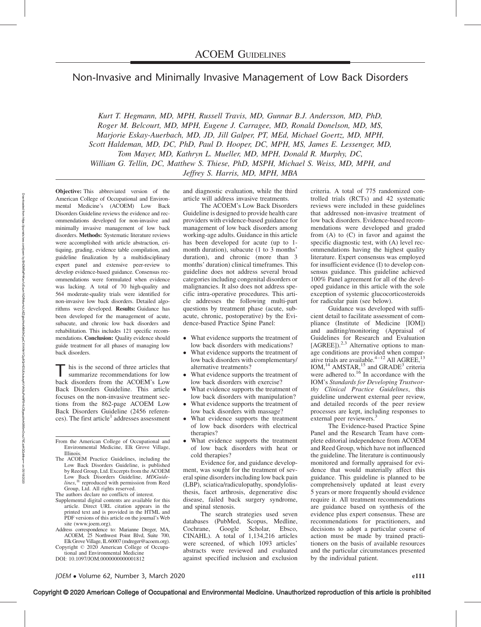# Non-Invasive and Minimally Invasive Management of Low Back Disorders

Kurt T. Hegmann, MD, MPH, Russell Travis, MD, Gunnar B.J. Andersson, MD, PhD, Roger M. Belcourt, MD, MPH, Eugene J. Carragee, MD, Ronald Donelson, MD, MS, Marjorie Eskay-Auerbach, MD, JD, Jill Galper, PT, MEd, Michael Goertz, MD, MPH, Scott Haldeman, MD, DC, PhD, Paul D. Hooper, DC, MPH, MS, James E. Lessenger, MD, Tom Mayer, MD, Kathryn L. Mueller, MD, MPH, Donald R. Murphy, DC, William G. Tellin, DC, Matthew S. Thiese, PhD, MSPH, Michael S. Weiss, MD, MPH, and Jeffrey S. Harris, MD, MPH, MBA

Objective: This abbreviated version of the American College of Occupational and Environmental Medicine's (ACOEM) Low Back Disorders Guideline reviews the evidence and recommendations developed for non-invasive and minimally invasive management of low back disorders. Methods: Systematic literature reviews were accomplished with article abstraction, critiquing, grading, evidence table compilation, and guideline finalization by a multidisciplinary expert panel and extensive peer-review to develop evidence-based guidance. Consensus recommendations were formulated when evidence was lacking. A total of 70 high-quality and 564 moderate-quality trials were identified for non-invasive low back disorders. Detailed algorithms were developed. Results: Guidance has been developed for the management of acute, subacute, and chronic low back disorders and rehabilitation. This includes 121 specific recommendations. Conclusion: Quality evidence should guide treatment for all phases of managing low back disorders.

his is the second of three articles that summarize recommendations for low back disorders from the ACOEM's Low Back Disorders Guideline. This article focuses on the non-invasive treatment sections from the 862-page ACOEM Low Back Disorders Guideline (2456 references). The first article<sup>1</sup> addresses assessment

- From the American College of Occupational and Environmental Medicine, Elk Grove Village, Illinois.
- The ACOEM Practice Guidelines, including the Low Back Disorders Guideline, is published by Reed Group, Ltd. Excerpts from the ACOEM Low Back Disorders Guideline, MDGuide- $\lim_{\text{times}, \mathcal{R}} \frac{B}{\text{int}}$  reproduced with permission from Reed Group, Ltd. All rights reserved.
- The authors declare no conflicts of interest.
- Supplemental digital contents are available for this article. Direct URL citation appears in the printed text and is provided in the HTML and PDF versions of this article on the journal's Web site ([www.joem.org](http://www.joem.org/)).
- Address correspondence to: Marianne Dreger, MA, ACOEM, 25 Northwest Point Blvd, Suite 700, Elk Grove Village, IL 60007 [\(mdreger@acoem.org\)](mailto:mdreger@acoem.org).
- Copyright © 2020 American College of Occupational and Environmental Medicine

DOI: 10.1097/JOM.0000000000001812

and diagnostic evaluation, while the third article will address invasive treatments.

The ACOEM's Low Back Disorders Guideline is designed to provide health care providers with evidence-based guidance for management of low back disorders among working-age adults. Guidance in this article has been developed for acute (up to 1 month duration), subacute (1 to 3 months' duration), and chronic (more than 3 months' duration) clinical timeframes. This guideline does not address several broad categories including congenital disorders or malignancies. It also does not address specific intra-operative procedures. This article addresses the following multi-part questions by treatment phase (acute, subacute, chronic, postoperative) by the Evidence-based Practice Spine Panel:

- What evidence supports the treatment of low back disorders with medications?
- $\bullet$  What evidence supports the treatment of low back disorders with complementary/ alternative treatments?
- $\bullet$  What evidence supports the treatment of low back disorders with exercise?
- $\bullet$  What evidence supports the treatment of low back disorders with manipulation?
- $\bullet$  What evidence supports the treatment of low back disorders with massage?
- $\bullet$  What evidence supports the treatment of low back disorders with electrical therapies?
- $\bullet$  What evidence supports the treatment of low back disorders with heat or cold therapies?

Evidence for, and guidance development, was sought for the treatment of several spine disorders including low back pain (LBP), sciatica/radiculopathy, spondylolisthesis, facet arthrosis, degenerative disc disease, failed back surgery syndrome, and spinal stenosis.

The search strategies used seven databases (PubMed, Scopus, Medline, Cochrane, Google Scholar, Ebsco, CINAHL). A total of 1,134,216 articles were screened, of which 1093 articles' abstracts were reviewed and evaluated against specified inclusion and exclusion criteria. A total of 775 randomized controlled trials (RCTs) and 42 systematic reviews were included in these guidelines that addressed non-invasive treatment of low back disorders. Evidence-based recommendations were developed and graded from (A) to (C) in favor and against the specific diagnostic test, with (A) level recommendations having the highest quality literature. Expert consensus was employed for insufficient evidence (I) to develop consensus guidance. This guideline achieved 100% Panel agreement for all of the developed guidance in this article with the sole exception of systemic glucocorticosteroids for radicular pain (see below).

Guidance was developed with sufficient detail to facilitate assessment of compliance (Institute of Medicine [IOM]) and auditing/monitoring (Appraisal of Guidelines for Research and Evaluation [AGREE]).<sup>2,3</sup> Alternative options to manage conditions are provided when comparative trials are available.<sup> $4-12$ </sup> All AGREE,<sup>13</sup> IOM,<sup>14</sup> AMSTAR,<sup>15</sup> and GRADE<sup>3</sup> criteria were adhered to. $16$  In accordance with the IOM's Standards for Developing Trustworthy Clinical Practice Guidelines, this guideline underwent external peer review, and detailed records of the peer review processes are kept, including responses to external peer reviewers.<sup>3</sup>

The Evidence-based Practice Spine Panel and the Research Team have complete editorial independence from ACOEM and Reed Group, which have not influenced the guideline. The literature is continuously monitored and formally appraised for evidence that would materially affect this guidance. This guideline is planned to be comprehensively updated at least every 5 years or more frequently should evidence require it. All treatment recommendations are guidance based on synthesis of the evidence plus expert consensus. These are recommendations for practitioners, and decisions to adopt a particular course of action must be made by trained practitioners on the basis of available resources and the particular circumstances presented by the individual patient.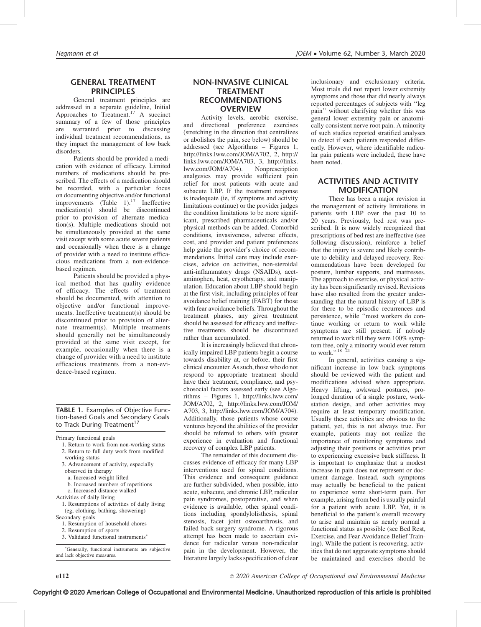# GENERAL TREATMENT PRINCIPLES

General treatment principles are addressed in a separate guideline, Initial Approaches to Treatment.<sup>17</sup> A succinct summary of a few of those principles are warranted prior to discussing individual treatment recommendations, as they impact the management of low back disorders.

Patients should be provided a medication with evidence of efficacy. Limited numbers of medications should be prescribed. The effects of a medication should be recorded, with a particular focus on documenting objective and/or functional improvements  $(Table 1)$ .<sup>17</sup> Ineffective medication(s) should be discontinued prior to provision of alternate medication(s). Multiple medications should not be simultaneously provided at the same visit except with some acute severe patients and occasionally when there is a change of provider with a need to institute efficacious medications from a non-evidencebased regimen.

Patients should be provided a physical method that has quality evidence of efficacy. The effects of treatment should be documented, with attention to objective and/or functional improvements. Ineffective treatment(s) should be discontinued prior to provision of alternate treatment(s). Multiple treatments should generally not be simultaneously provided at the same visit except, for example, occasionally when there is a change of provider with a need to institute efficacious treatments from a non-evidence-based regimen.

### TABLE 1. Examples of Objective Function-based Goals and Secondary Goals to Track During Treatment<sup>17</sup>

Primary functional goals

- 1. Return to work from non-working status
- 2. Return to full duty work from modified
- working status
- 3. Advancement of activity, especially observed in therapy
	- a. Increased weight lifted
	- b. Increased numbers of repetitions
- c. Increased distance walked
- Activities of daily living
- 1. Resumptions of activities of daily living (eg, clothing, bathing, showering)
- Secondary goals
- 1. Resumption of household chores
- 2. Resumption of sports
- 3. Validated functional instruments

 Generally, functional instruments are subjective and lack objective measures.

Activity levels, aerobic exercise, and directional preference exercises (stretching in the direction that centralizes or abolishes the pain, see below) should be addressed (see Algorithms – Figures 1, [http://links.lww.com/JOM/A702,](http://links.lww.com/JOM/A702) 2, [http://](http://links.lww.com/JOM/A703) [links.lww.com/JOM/A703](http://links.lww.com/JOM/A703), 3, [http://links.](http://links.lww.com/JOM/A704) [lww.com/JOM/A704](http://links.lww.com/JOM/A704)). Nonprescription analgesics may provide sufficient pain relief for most patients with acute and subacute LBP. If the treatment response is inadequate (ie, if symptoms and activity limitations continue) or the provider judges the condition limitations to be more significant, prescribed pharmaceuticals and/or physical methods can be added. Comorbid conditions, invasiveness, adverse effects, cost, and provider and patient preferences help guide the provider's choice of recommendations. Initial care may include exercises, advice on activities, non-steroidal anti-inflammatory drugs (NSAIDs), acetaminophen, heat, cryotherapy, and manipulation. Education about LBP should begin at the first visit, including principles of fear avoidance belief training (FABT) for those with fear avoidance beliefs. Throughout the treatment phases, any given treatment should be assessed for efficacy and ineffective treatments should be discontinued rather than accumulated.

It is increasingly believed that chronically impaired LBP patients begin a course towards disability at, or before, their first clinical encounter. As such, those who do not respond to appropriate treatment should have their treatment, compliance, and psychosocial factors assessed early (see Algorithms – Figures 1, [http://links.lww.com/](http://links.lww.com/JOM/A702) [JOM/A702,](http://links.lww.com/JOM/A702) 2, [http://links.lww.com/JOM/](http://links.lww.com/JOM/A703) [A703,](http://links.lww.com/JOM/A703) 3,<http://links.lww.com/JOM/A704>). Additionally, those patients whose course ventures beyond the abilities of the provider should be referred to others with greater experience in evaluation and functional recovery of complex LBP patients.

The remainder of this document discusses evidence of efficacy for many LBP interventions used for spinal conditions. This evidence and consequent guidance are further subdivided, when possible, into acute, subacute, and chronic LBP, radicular pain syndromes, postoperative, and when evidence is available, other spinal conditions including spondylolisthesis, spinal stenosis, facet joint osteoarthrosis, and failed back surgery syndrome. A rigorous attempt has been made to ascertain evidence for radicular versus non-radicular pain in the development. However, the literature largely lacks specification of clear

inclusionary and exclusionary criteria. Most trials did not report lower extremity symptoms and those that did nearly always reported percentages of subjects with ''leg pain'' without clarifying whether this was general lower extremity pain or anatomically consistent nerve root pain. A minority of such studies reported stratified analyses to detect if such patients responded differently. However, where identifiable radicular pain patients were included, these have been noted.

# ACTIVITIES AND ACTIVITY MODIFICATION

There has been a major revision in the management of activity limitations in patients with LBP over the past 10 to 20 years. Previously, bed rest was prescribed. It is now widely recognized that prescriptions of bed rest are ineffective (see following discussion), reinforce a belief that the injury is severe and likely contribute to debility and delayed recovery. Recommendations have been developed for posture, lumbar supports, and mattresses. The approach to exercise, or physical activity has been significantly revised. Revisions have also resulted from the greater understanding that the natural history of LBP is for there to be episodic recurrences and persistence, while ''most workers do continue working or return to work while symptoms are still present: if nobody returned to work till they were 100% symptom free, only a minority would ever return to work.''18–21

In general, activities causing a significant increase in low back symptoms should be reviewed with the patient and modifications advised when appropriate. Heavy lifting, awkward postures, prolonged duration of a single posture, workstation design, and other activities may require at least temporary modification. Usually these activities are obvious to the patient, yet, this is not always true. For example, patients may not realize the importance of monitoring symptoms and adjusting their positions or activities prior to experiencing excessive back stiffness. It is important to emphasize that a modest increase in pain does not represent or document damage. Instead, such symptoms may actually be beneficial to the patient to experience some short-term pain. For example, arising from bed is usually painful for a patient with acute LBP. Yet, it is beneficial to the patient's overall recovery to arise and maintain as nearly normal a functional status as possible (see Bed Rest, Exercise, and Fear Avoidance Belief Training). While the patient is recovering, activities that do not aggravate symptoms should be maintained and exercises should be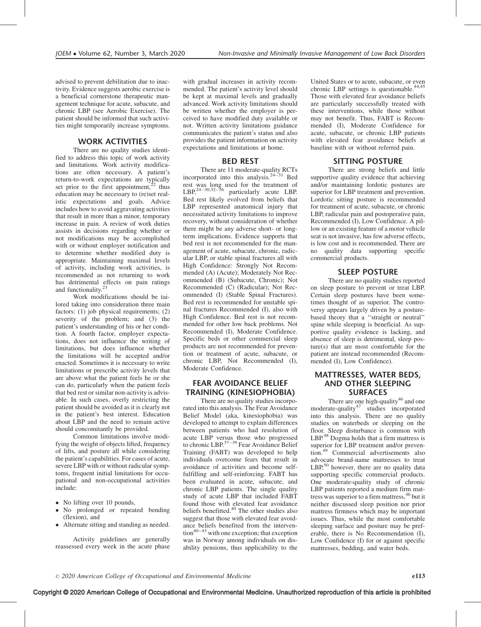advised to prevent debilitation due to inactivity. Evidence suggests aerobic exercise is a beneficial cornerstone therapeutic management technique for acute, subacute, and chronic LBP (see Aerobic Exercise). The patient should be informed that such activities might temporarily increase symptoms.

### WORK ACTIVITIES

There are no quality studies identified to address this topic of work activity and limitations. Work activity modifications are often necessary. A patient's return-to-work expectations are typically set prior to the first appointment, $22$  thus education may be necessary to (re)set realistic expectations and goals. Advice includes how to avoid aggravating activities that result in more than a minor, temporary increase in pain. A review of work duties assists in decisions regarding whether or not modifications may be accomplished with or without employer notification and to determine whether modified duty is appropriate. Maintaining maximal levels of activity, including work activities, is recommended as not returning to work has detrimental effects on pain ratings and functionality.23

Work modifications should be tailored taking into consideration three main factors: (1) job physical requirements; (2) severity of the problem; and (3) the patient's understanding of his or her condition. A fourth factor, employer expectations, does not influence the writing of limitations, but does influence whether the limitations will be accepted and/or enacted. Sometimes it is necessary to write limitations or prescribe activity levels that are above what the patient feels he or she can do, particularly when the patient feels that bed rest or similar non-activity is advisable. In such cases, overly restricting the patient should be avoided as it is clearly not in the patient's best interest. Education about LBP and the need to remain active should concomitantly be provided.

Common limitations involve modifying the weight of objects lifted, frequency of lifts, and posture all while considering the patient's capabilities. For cases of acute, severe LBP with or without radicular symptoms, frequent initial limitations for occupational and non-occupational activities include:

- No lifting over 10 pounds,
- No prolonged or repeated bending (flexion), and
- $\bullet$ Alternate sitting and standing as needed.

Activity guidelines are generally reassessed every week in the acute phase with gradual increases in activity recommended. The patient's activity level should be kept at maximal levels and gradually advanced. Work activity limitations should be written whether the employer is perceived to have modified duty available or not. Written activity limitations guidance communicates the patient's status and also provides the patient information on activity expectations and limitations at home.

### BED REST

There are 11 moderate-quality RCTs incorporated into this analysis.24–31 Bed rest was long used for the treatment of LBP,  $^{24-30,32-36}$  particularly acute LBP. Bed rest likely evolved from beliefs that LBP represented anatomical injury that necessitated activity limitations to improve recovery, without consideration of whether there might be any adverse short- or longterm implications. Evidence supports that bed rest is not recommended for the management of acute, subacute, chronic, radicular LBP, or stable spinal fractures all with High Confidence: Strongly Not Recommended (A) (Acute); Moderately Not Recommended (B) (Subacute, Chronic); Not Recommended (C) (Radicular); Not Recommended (I) (Stable Spinal Fractures). Bed rest is recommended for unstable spinal fractures Recommended (I), also with High Confidence. Bed rest is not recommended for other low back problems. Not Recommended (I), Moderate Confidence. Specific beds or other commercial sleep products are not recommended for prevention or treatment of acute, subacute, or chronic LBP, Not Recommended (I), Moderate Confidence.

### FEAR AVOIDANCE BELIEF TRAINING (KINESIOPHOBIA)

There are no quality studies incorporated into this analysis. The Fear Avoidance Belief Model (aka, kinesiophobia) was developed to attempt to explain differences between patients who had resolution of acute LBP versus those who progressed<br>to chronic LBP.<sup>37–39</sup> Fear Avoidance Belief Training (FABT) was developed to help individuals overcome fears that result in avoidance of activities and become selffulfilling and self-reinforcing. FABT has been evaluated in acute, subacute, and chronic LBP patients. The single quality study of acute LBP that included FABT found those with elevated fear avoidance beliefs benefitted.<sup>40</sup> The other studies also suggest that those with elevated fear avoidance beliefs benefited from the interven- $\text{tion}^{40-43}$  with one exception; that exception was in Norway among individuals on disability pensions, thus applicability to the

United States or to acute, subacute, or even chronic LBP settings is questionable.<sup>44,45</sup> Those with elevated fear avoidance beliefs are particularly successfully treated with these interventions, while those without may not benefit. Thus, FABT is Recommended (I), Moderate Confidence for acute, subacute, or chronic LBP patients with elevated fear avoidance beliefs at baseline with or without referred pain.

### SITTING POSTURE

There are strong beliefs and little supportive quality evidence that achieving and/or maintaining lordotic postures are superior for LBP treatment and prevention. Lordotic sitting posture is recommended for treatment of acute, subacute, or chronic LBP, radicular pain and postoperative pain, Recommended (I), Low Confidence. A pillow or an existing feature of a motor vehicle seat is not invasive, has few adverse effects, is low cost and is recommended. There are no quality data supporting specific commercial products.

### SLEEP POSTURE

There are no quality studies reported on sleep posture to prevent or treat LBP. Certain sleep postures have been sometimes thought of as superior. The controversy appears largely driven by a posturebased theory that a ''straight or neutral'' spine while sleeping is beneficial. As supportive quality evidence is lacking, and absence of sleep is detrimental, sleep posture(s) that are most comfortable for the patient are instead recommended (Recommended (I), Low Confidence).

# MATTRESSES, WATER BEDS, AND OTHER SLEEPING **SURFACES**

There are one high-quality<sup>46</sup> and one moderate-quality<sup>47</sup> studies incorporated into this analysis. There are no quality studies on waterbeds or sleeping on the floor. Sleep disturbance is common with LBP.<sup>48</sup> Dogma holds that a firm mattress is superior for LBP treatment and/or prevention.<sup>49</sup> Commercial advertisements also advocate brand-name mattresses to treat  $LBP<sub>1</sub><sup>50</sup>$  however, there are no quality data supporting specific commercial products. One moderate-quality study of chronic LBP patients reported a medium firm mattress was superior to a firm mattress, <sup>46</sup> but it neither discussed sleep position nor prior mattress firmness which may be important issues. Thus, while the most comfortable sleeping surface and posture may be preferable, there is No Recommendation (I), Low Confidence (I) for or against specific mattresses, bedding, and water beds.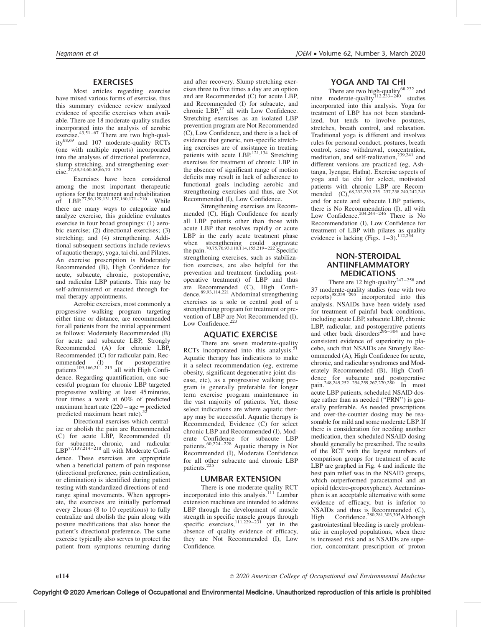#### EXERCISES

Most articles regarding exercise have mixed various forms of exercise, thus this summary evidence review analyzed evidence of specific exercises when available. There are 18 moderate-quality studies incorporated into the analysis of aerobic exercise. $43,51-67$  There are two high-quality68,69 and 107 moderate-quality RCTs (one with multiple reports) incorporated into the analyses of directional preference, slump stretching, and strengthening exercise.<sup>27,43,54,60,63,66,70–170</sup>

Exercises have been considered among the most important therapeutic options for the treatment and rehabilitation of LBP.77,96,129,131,137,160,171–210 While there are many ways to categorize and analyze exercise, this guideline evaluates exercise in four broad groupings: (1) aerobic exercise; (2) directional exercises; (3) stretching; and (4) strengthening. Additional subsequent sections include reviews of aquatic therapy, yoga, tai chi, and Pilates. An exercise prescription is Moderately Recommended (B), High Confidence for acute, subacute, chronic, postoperative, and radicular LBP patients. This may be self-administered or enacted through formal therapy appointments.

Aerobic exercises, most commonly a progressive walking program targeting either time or distance, are recommended for all patients from the initial appointment as follows: Moderately Recommended (B) for acute and subacute LBP, Strongly Recommended (A) for chronic LBP, Recommended (C) for radicular pain, Recommended (I) for postoperative<br>patients<sup>109,166,211–213</sup> all with High Confidence. Regarding quantification, one successful program for chronic LBP targeted progressive walking at least 45 minutes, four times a week at 60% of predicted maximum heart rate  $(220 - age = predicted$  predicted maximum heart rate).<sup>52</sup>

Directional exercises which centralize or abolish the pain are Recommended (C) for acute LBP, Recommended (I) for subacute, chronic, and radicular LBP77,137,214–218 all with Moderate Confidence. These exercises are appropriate when a beneficial pattern of pain response (directional preference, pain centralization, or elimination) is identified during patient testing with standardized directions of endrange spinal movements. When appropriate, the exercises are initially performed every 2 hours (8 to 10 repetitions) to fully centralize and abolish the pain along with posture modifications that also honor the patient's directional preference. The same exercise typically also serves to protect the patient from symptoms returning during and after recovery. Slump stretching exercises three to five times a day are an option and are Recommended (C) for acute LBP, and Recommended (I) for subacute, and chronic LBP,<sup>77</sup> all with Low Confidence. Stretching exercises as an isolated LBP prevention program are Not Recommended (C), Low Confidence, and there is a lack of evidence that generic, non-specific stretching exercises are of assistance in treating patients with acute LBP.<sup>121,134</sup> Stretching exercises for treatment of chronic LBP in the absence of significant range of motion deficits may result in lack of adherence to functional goals including aerobic and strengthening exercises and thus, are Not Recommended (I), Low Confidence.

Strengthening exercises are Recommended (C), High Confidence for nearly all LBP patients other than those with acute LBP that resolves rapidly or acute LBP in the early acute treatment phase when strengthening could aggravate<br>the pain.<sup>70,75,76,93,110,114,155,219–222</sup> Specific strengthening exercises, such as stabilization exercises, are also helpful for the prevention and treatment (including postoperative treatment) of LBP and thus are Recommended (C), High Confidence.89,93,114,221 Abdominal strengthening exercises as a sole or central goal of a strengthening program for treatment or prevention of LBP are Not Recommended (I), Low Confidence.<sup>223</sup>

### AQUATIC EXERCISE

There are seven moderate-quality RCTs incorporated into this analysis. $51$ Aquatic therapy has indications to make it a select recommendation (eg, extreme obesity, significant degenerative joint disease, etc), as a progressive walking program is generally preferable for longer term exercise program maintenance in the vast majority of patients. Yet, those select indications are where aquatic therapy may be successful. Aquatic therapy is Recommended, Evidence (C) for select chronic LBP and Recommended (I), Moderate Confidence for subacute LBP patients. $60,224-228$  Aquatic therapy is Not Recommended (I), Moderate Confidence for all other subacute and chronic LBP patients.<sup>225</sup>

### LUMBAR EXTENSION

There is one moderate-quality RCT incorporated into this analysis.<sup>111</sup> Lumbar extension machines are intended to address LBP through the development of muscle strength in specific muscle groups through specific exercises, $111,229-231$  yet in the absence of quality evidence of efficacy, they are Not Recommended (I), Low Confidence.

#### YOGA AND TAI CHI

There are two high-quality $68,232$  and nine moderate-quality<sup> $112,233-240$ </sup> studies incorporated into this analysis. Yoga for treatment of LBP has not been standardized, but tends to involve postures, stretches, breath control, and relaxation. Traditional yoga is different and involves rules for personal conduct, postures, breath control, sense withdrawal, concentration, meditation, and self-realization, $239,241$  and different versions are practiced (eg, Ashtanga, Iyengar, Hatha). Exercise aspects of yoga and tai chi for select, motivated patients with chronic LBP are Recom-<br>mended (C),  $^{68,232,233,235-237,238,240,242,243}$ and for acute and subacute LBP patients, there is No Recommendation (I), all with<br>Low Confidence.<sup>204,244–246</sup> There is No Recommendation (I), Low Confidence for treatment of LBP with pilates as quality evidence is lacking (Figs.  $1-3$ ).<sup>112,234</sup>

# NON-STEROIDAL ANTIINFLAMMATORY MEDICATIONS

There are 12 high-quality<sup>247–258</sup> and 37 moderate-quality studies (one with two<br>reports)<sup>98,259–295</sup> incorporated into this analysis. NSAIDs have been widely used for treatment of painful back conditions, including acute LBP, subacute LBP, chronic LBP, radicular, and postoperative patients and other back disorders<sup>296–304</sup> and have consistent evidence of superiority to placebo, such that NSAIDs are Strongly Recommended (A), High Confidence for acute, chronic, and radicular syndromes and Moderately Recommended (B), High Confidence for subacute and postoperative pain.248,249,252–254,259,267,270,280 In most acute LBP patients, scheduled NSAID dosage rather than as needed (''PRN'') is generally preferable. As needed prescriptions and over-the-counter dosing may be reasonable for mild and some moderate LBP. If there is consideration for needing another medication, then scheduled NSAID dosing should generally be prescribed. The results of the RCT with the largest numbers of comparison groups for treatment of acute LBP are graphed in Fig. 4 and indicate the best pain relief was in the NSAID groups, which outperformed paracetamol and an opioid (dextro-propoxyphene). Acetaminophen is an acceptable alternative with some evidence of efficacy, but is inferior to NSAIDs and thus is Recommended (C), High Confidence.<sup>280,281,303,305</sup>Although gastrointestinal bleeding is rarely problematic in employed populations, when there is increased risk and as NSAIDs are superior, concomitant prescription of proton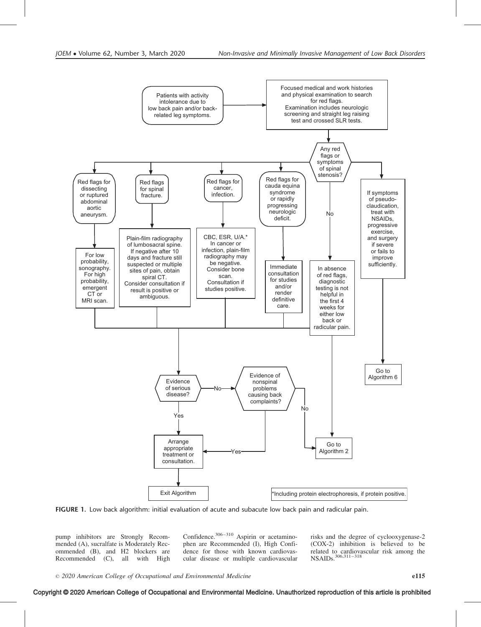

FIGURE 1. Low back algorithm: initial evaluation of acute and subacute low back pain and radicular pain.

pump inhibitors are Strongly Recommended (A), sucralfate is Moderately Recommended (B), and H2 blockers are Recommended (C), all with High Confidence.306–310 Aspirin or acetaminophen are Recommended (I), High Confidence for those with known cardiovascular disease or multiple cardiovascular

risks and the degree of cyclooxygenase-2 (COX-2) inhibition is believed to be related to cardiovascular risk among the NSAIDs.<sup>306,311–318</sup>

### Copyright © 2020 American College of Occupational and Environmental Medicine. Unauthorized reproduction of this article is prohibited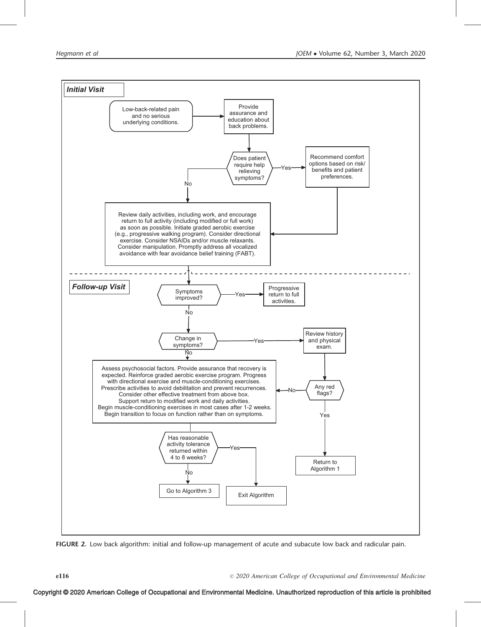

FIGURE 2. Low back algorithm: initial and follow-up management of acute and subacute low back and radicular pain.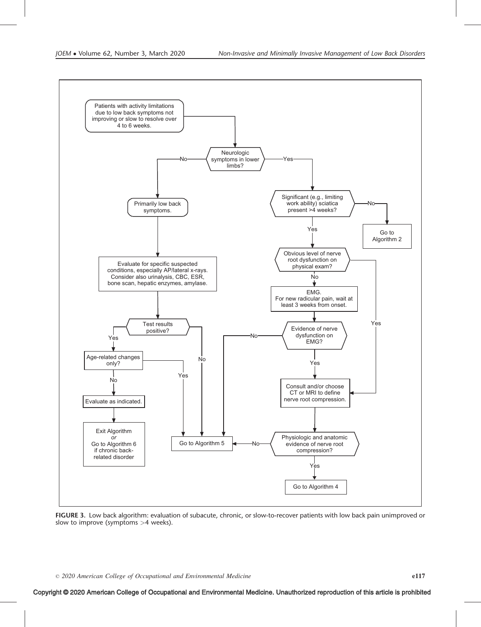

FIGURE 3. Low back algorithm: evaluation of subacute, chronic, or slow-to-recover patients with low back pain unimproved or slow to improve (symptoms >4 weeks).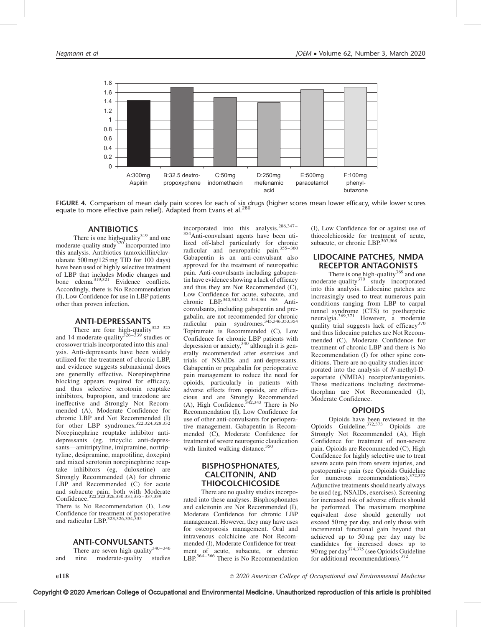

FIGURE 4. Comparison of mean daily pain scores for each of six drugs (higher scores mean lower efficacy, while lower scores equate to more effective pain relief). Adapted from Evans et al.<sup>280</sup>

### ANTIBIOTICS

There is one high-quality $319$  and one moderate-quality study<sup>320</sup> incorporated into this analysis. Antibiotics (amoxicillin/clavulanate 500 mg/125 mg TID for 100 days) have been used of highly selective treatment of LBP that includes Modic changes and bone edema.319,321 Evidence conflicts. Accordingly, there is No Recommendation (I), Low Confidence for use in LBP patients other than proven infection.

### ANTI-DEPRESSANTS

There are four high-quality<sup>322-325</sup> and 14 moderate-quality  $326 - 339$  studies or crossover trials incorporated into this analysis. Anti-depressants have been widely utilized for the treatment of chronic LBP, and evidence suggests submaximal doses are generally effective. Norepinephrine blocking appears required for efficacy, and thus selective serotonin reuptake inhibitors, bupropion, and trazodone are ineffective and Strongly Not Recommended (A), Moderate Confidence for chronic LBP and Not Recommended (I)<br>for other LBP syndromes.<sup>322,324,328,332</sup> Norepinephrine reuptake inhibitor antidepressants (eg, tricyclic anti-depressants—amitriptyline, imipramine, nortriptyline, desipramine, maprotiline, doxepin) and mixed serotonin norepinephrine reuptake inhibitors (eg, duloxetine) are Strongly Recommended (A) for chronic LBP and Recommended (C) for acute and subacute pain, both with Moderate<br>Confidence.<sup>322,323,326,330,331,335–337,339</sup>

There is No Recommendation (I), Low Confidence for treatment of postoperative<br>and radicular LBP.<sup>323,326,334,335</sup>

### ANTI-CONVULSANTS

There are seven high-quality $340-346$ and nine moderate-quality studies

incorporated into this analysis.<sup>286,347–</sup> 354Anti-convulsant agents have been utilized off-label particularly for chronic radicular and neuropathic pain.355–360 Gabapentin is an anti-convulsant also approved for the treatment of neuropathic pain. Anti-convulsants including gabapentin have evidence showing a lack of efficacy and thus they are Not Recommended (C), Low Confidence for acute, subacute, and<br>chronic LBP.<sup>340,345,352–354,361–363</sup> Anticonvulsants, including gabapentin and pregabalin, are not recommended for chronic<br>radicular pain syndromes.<sup>345,346,353,354</sup> Topiramate is Recommended (C), Low Confidence for chronic LBP patients with depression or anxiety,  $340$  although it is generally recommended after exercises and trials of NSAIDs and anti-depressants. Gabapentin or pregabalin for perioperative pain management to reduce the need for opioids, particularly in patients with adverse effects from opioids, are efficacious and are Strongly Recommended<br>(A), High Confidence.<sup>342,343</sup> There is No Recommendation (I), Low Confidence for use of other anti-convulsants for perioperative management. Gabapentin is Recommended (C), Moderate Confidence for treatment of severe neurogenic claudication with limited walking distance. $350$ 

### BISPHOSPHONATES, CALCITONIN, AND **THIOCOLCHICOSIDE**

There are no quality studies incorporated into these analyses. Bisphosphonates and calcitonin are Not Recommended (I), Moderate Confidence for chronic LBP management. However, they may have uses for osteoporosis management. Oral and intravenous colchicine are Not Recommended (I), Moderate Confidence for treatment of acute, subacute, or chronic<br>LBP.<sup>364–366</sup> There is No Recommendation

(I), Low Confidence for or against use of thiocolchicoside for treatment of acute, subacute, or chronic LBP.<sup>367,368</sup>

### LIDOCAINE PATCHES, NMDA RECEPTOR ANTAGONISTS

There is one high-quality<sup>369</sup> and one moderate-quality<sup>370</sup> study incorporated into this analysis. Lidocaine patches are increasingly used to treat numerous pain conditions ranging from LBP to carpal tunnel syndrome (CTS) to postherpetic neuralgia.369,371 However, a moderate quality trial suggests lack of efficacy<sup>370</sup> and thus lidocaine patches are Not Recommended (C), Moderate Confidence for treatment of chronic LBP and there is No Recommendation (I) for other spine conditions. There are no quality studies incorporated into the analysis of N-methyl-Daspartate (NMDA) receptor/antagonists. These medications including dextromethorphan are Not Recommended (I), Moderate Confidence.

### OPIOIDS

Opioids have been reviewed in the Opioids Guideline.372,373 Opioids are Strongly Not Recommended (A), High Confidence for treatment of non-severe pain. Opioids are Recommended (C), High Confidence for highly selective use to treat severe acute pain from severe injuries, and postoperative pain (see Opioids Guideline for numerous recommendations).<sup>372,373</sup> Adjunctive treatments should nearly always be used (eg, NSAIDs, exercises). Screening for increased risk of adverse effects should be performed. The maximum morphine equivalent dose should generally not exceed 50 mg per day, and only those with incremental functional gain beyond that achieved up to 50 mg per day may be candidates for increased doses up to<br>90 mg per day<sup>374,375</sup> (see Opioids Guideline for additional recommendations).<sup>372</sup>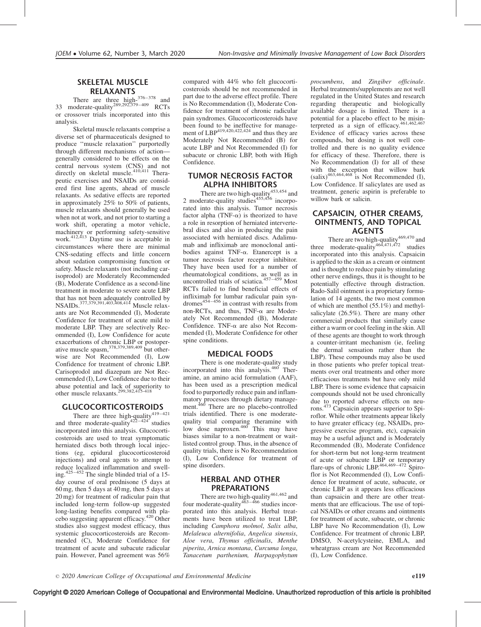#### SKELETAL MUSCLE RELAXANTS

There are three high- $376-378$  and 33 moderate-quality<sup>289,292,379–409</sup> RCTs or crossover trials incorporated into this analysis.

Skeletal muscle relaxants comprise a diverse set of pharmaceuticals designed to produce ''muscle relaxation'' purportedly through different mechanisms of action generally considered to be effects on the central nervous system (CNS) and not directly on skeletal muscle.<sup>410,411</sup> Therapeutic exercises and NSAIDs are considered first line agents, ahead of muscle relaxants. As sedative effects are reported in approximately 25% to 50% of patients, muscle relaxants should generally be used when not at work, and not prior to starting a work shift, operating a motor vehicle, machinery or performing safety-sensitive macninery or performing safety-sensitive<br>work.<sup>412,413</sup> Daytime use is acceptable in circumstances where there are minimal CNS-sedating effects and little concern about sedation compromising function or safety. Muscle relaxants (not including carisoprodol) are Moderately Recommended (B), Moderate Confidence as a second-line treatment in moderate to severe acute LBP that has not been adequately controlled by NSAIDs.377,379,391,403,408,414 Muscle relaxants are Not Recommended (I), Moderate Confidence for treatment of acute mild to moderate LBP. They are selectively Recommended (I), Low Confidence for acute exacerbations of chronic LBP or postoperative muscle spasm,  $378,379,389,409$  but otherwise are Not Recommended (I), Low Confidence for treatment of chronic LBP. Carisoprodol and diazepam are Not Recommended (I), Low Confidence due to their abuse potential and lack of superiority to<br>other muscle relaxants.<sup>299,382,415-418</sup>

### GLUCOCORTICOSTEROIDS

There are three high-quality<sup>419-421</sup> and three moderate-quality $422-424$  studies incorporated into this analysis. Glucocorticosteroids are used to treat symptomatic herniated discs both through local injections (eg, epidural glucocorticosteroid injections) and oral agents to attempt to reduce localized inflammation and swelling.425–452 The single blinded trial of a 15 day course of oral prednisone (5 days at 60 mg, then 5 days at 40 mg, then 5 days at 20 mg) for treatment of radicular pain that included long-term follow-up suggested long-lasting benefits compared with placebo suggesting apparent efficacy.<sup>420</sup> Other studies also suggest modest efficacy, thus systemic glucocorticosteroids are Recommended (C), Moderate Confidence for treatment of acute and subacute radicular pain. However, Panel agreement was 56%

compared with 44% who felt glucocorticosteroids should be not recommended in part due to the adverse effect profile. There is No Recommendation (I), Moderate Confidence for treatment of chronic radicular pain syndromes. Glucocorticosteroids have been found to be ineffective for management of  $LBP<sup>419,420,422,424</sup>$  and thus they are Moderately Not Recommended (B) for acute LBP and Not Recommended (I) for subacute or chronic LBP, both with High Confidence.

### TUMOR NECROSIS FACTOR ALPHA INHIBITORS

There are two high-quality $453,454$  and 2 moderate-quality studies $455,456$  incorporated into this analysis. Tumor necrosis factor alpha (TNF- $\alpha$ ) is theorized to have a role in resorption of herniated intervertebral discs and also in producing the pain associated with herniated discs. Adalimumab and infliximab are monoclonal antibodies against TNF- $\alpha$ . Etanercept is a tumor necrosis factor receptor inhibitor. They have been used for a number of rheumatological conditions, as well as in uncontrolled trials of sciatica.<sup>457–459</sup> Most RCTs failed to find beneficial effects of infliximab for lumbar radicular pain syn $d$ romes $454-456$  in contrast with results from non-RCTs, and thus,  $TNF-\alpha$  are Moderately Not Recommended (B), Moderate Confidence. TNF- $\alpha$  are also Not Recommended (I), Moderate Confidence for other spine conditions.

### MEDICAL FOODS

There is one moderate-quality study incorporated into this analysis.<sup>460</sup> Theramine, an amino acid formulation (AAF), has been used as a prescription medical food to purportedly reduce pain and inflammatory processes through dietary manage-<br>ment.<sup>460</sup> There are no placebo-controlled trials identified. There is one moderatequality trial comparing theramine with<br>low dose naproxen.<sup>460</sup> This may have biases similar to a non-treatment or waitlisted control group. Thus, in the absence of quality trials, there is No Recommendation (I), Low Confidence for treatment of spine disorders.

### HERBAL AND OTHER PREPARATIONS

There are two high-quality  $461,462$  and four moderate-quality<sup>463–466</sup> studies incorporated into this analysis. Herbal treatments have been utilized to treat LBP, including Camphora molmol, Salix alba, Melaleuca alternifolia, Angelica sinensis, Aloe vera, Thymus officinalis, Menthe piperita, Arnica montana, Curcuma longa, Tanacetum parthenium, Harpagophytum

procumbens, and Zingiber officinale. Herbal treatments/supplements are not well regulated in the United States and research regarding therapeutic and biologically available dosage is limited. There is a potential for a placebo effect to be misinterpreted as a sign of efficacy. $461,462,467$ Evidence of efficacy varies across these compounds, but dosing is not well controlled and there is no quality evidence for efficacy of these. Therefore, there is No Recommendation (I) for all of these with the exception that willow bark  $(sali x)^{463,464,468}$  is Not Recommended (I), Low Confidence. If salicylates are used as treatment, generic aspirin is preferable to willow bark or salicin.

# CAPSAICIN, OTHER CREAMS, OINTMENTS, AND TOPICAL AGENTS

There are two high-quality $469,470$  and three moderate-quality<sup>464,471,472</sup> studies incorporated into this analysis. Capsaicin is applied to the skin as a cream or ointment and is thought to reduce pain by stimulating other nerve endings, thus it is thought to be potentially effective through distraction. Rado-Salil ointment is a proprietary formulation of 14 agents, the two most common of which are menthol (55.1%) and methylsalicylate (26.5%). There are many other commercial products that similarly cause either a warm or cool feeling in the skin. All of these agents are thought to work through a counter-irritant mechanism (ie, feeling the dermal sensation rather than the LBP). These compounds may also be used in those patients who prefer topical treatments over oral treatments and other more efficacious treatments but have only mild LBP. There is some evidence that capsaicin compounds should not be used chronically due to reported adverse effects on neurons.473 Capsaicin appears superior to Spiroflor. While other treatments appear likely to have greater efficacy (eg, NSAIDs, progressive exercise program, etc), capsaicin may be a useful adjunct and is Moderately Recommended (B), Moderate Confidence for short-term but not long-term treatment of acute or subacute LBP or temporary flare-ups of chronic LBP.<sup>464,469–472</sup> Spiroflor is Not Recommended (I), Low Confidence for treatment of acute, subacute, or chronic LBP as it appears less efficacious than capsaicin and there are other treatments that are efficacious. The use of topical NSAIDs or other creams and ointments for treatment of acute, subacute, or chronic LBP have No Recommendation (I), Low Confidence. For treatment of chronic LBP, DMSO, N-acetylcysteine, EMLA, and wheatgrass cream are Not Recommended (I), Low Confidence.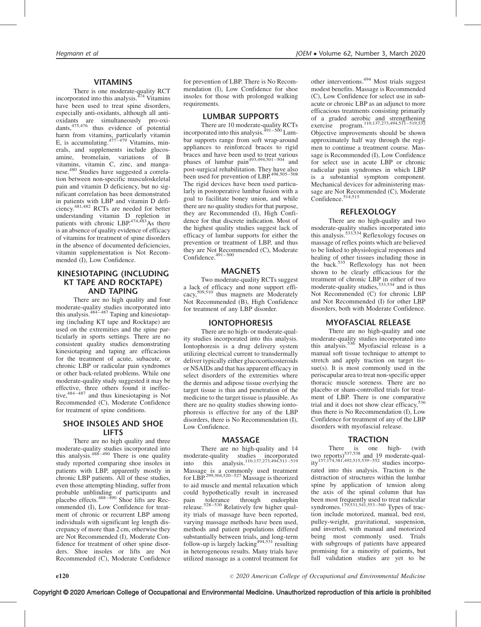#### VITAMINS

There is one moderate-quality RCT<br>incorporated into this analysis.<sup>474</sup> Vitamins have been used to treat spine disorders, especially anti-oxidants, although all antioxidants are simultaneously pro-oxi-dants,475,476 thus evidence of potential harm from vitamins, particularly vitamin<br>E, is accumulating.<sup>477–479</sup> Vitamins, minerals, and supplements include glucosamine, bromelain, variations of B vitamins, vitamin C, zinc, and manganese.<sup>480</sup> Studies have suggested a correlation between non-specific musculoskeletal pain and vitamin D deficiency, but no significant correlation has been demonstrated in patients with LBP and vitamin D deficiency.481,482 RCTs are needed for better understanding vitamin D repletion in patients with chronic LBP. $474,483$ As there is an absence of quality evidence of efficacy of vitamins for treatment of spine disorders in the absence of documented deficiencies, vitamin supplementation is Not Recommended (I), Low Confidence.

### KINESIOTAPING (INCLUDING KT TAPE AND ROCKTAPE) AND TAPING

There are no high quality and four moderate-quality studies incorporated into<br>this analysis.<sup>484–487</sup> Taping and kinesiotaping (including KT tape and Rocktape) are used on the extremities and the spine particularly in sports settings. There are no consistent quality studies demonstrating kinesiotaping and taping are efficacious for the treatment of acute, subacute, or chronic LBP or radicular pain syndromes or other back-related problems. While one moderate-quality study suggested it may be effective, three others found it ineffective,484–487 and thus kinesiotaping is Not Recommended (C), Moderate Confidence for treatment of spine conditions.

### SHOE INSOLES AND SHOE LIFTS

There are no high quality and three moderate-quality studies incorporated into<br>this analysis.<sup>488–490</sup> There is one quality study reported comparing shoe insoles in patients with LBP, apparently mostly in chronic LBP patients. All of these studies, even those attempting blinding, suffer from probable unblinding of participants and<br>placebo effects.<sup>488–490</sup> Shoe lifts are Recommended (I), Low Confidence for treatment of chronic or recurrent LBP among individuals with significant leg length discrepancy of more than 2 cm, otherwise they are Not Recommended (I), Moderate Confidence for treatment of other spine disorders. Shoe insoles or lifts are Not Recommended (C), Moderate Confidence

for prevention of LBP. There is No Recommendation (I), Low Confidence for shoe insoles for those with prolonged walking requirements.

#### LUMBAR SUPPORTS

There are 10 moderate-quality RCTs incorporated into this analysis.491–500 Lumbar supports range from soft wrap-around appliances to reinforced braces to rigid braces and have been used to treat various<br>phases of lumbar pain<sup>493,494,501–504</sup> and post-surgical rehabilitation. They have also<br>been used for prevention of LBP.<sup>498,505–508</sup> The rigid devices have been used particularly in postoperative lumbar fusion with a goal to facilitate boney union, and while there are no quality studies for that purpose, they are Recommended (I), High Confidence for that discrete indication. Most of the highest quality studies suggest lack of efficacy of lumbar supports for either the prevention or treatment of LBP, and thus they are Not Recommended (C), Moderate Confidence.<sup>491–500</sup>

#### **MAGNETS**

Two moderate-quality RCTs suggest a lack of efficacy and none support efficacy,<sup>509,510</sup> thus magnets are Moderately Not Recommended (B), High Confidence for treatment of any LBP disorder.

#### IONTOPHORESIS

There are no high- or moderate-quality studies incorporated into this analysis. Iontophoresis is a drug delivery system utilizing electrical current to transdermally deliver typically either glucocorticosteroids or NSAIDs and that has apparent efficacy in select disorders of the extremities where the dermis and adipose tissue overlying the target tissue is thin and penetration of the medicine to the target tissue is plausible. As there are no quality studies showing iontophoresis is effective for any of the LBP disorders, there is No Recommendation (I), Low Confidence.

#### MASSAGE

There are no high-quality and 14 moderate-quality studies incorporated<br>into this analysis.<sup>110,137,273,494,511–519</sup> Massage is a commonly used treatment<br>for LBP.<sup>299,304,520–527</sup> Massage is theorized to aid muscle and mental relaxation which could hypothetically result in increased pain tolerance through endorphin release.<sup>528–530</sup> Relatively few higher quality trials of massage have been reported, varying massage methods have been used, methods and patient populations differed substantially between trials, and long-term follow-up is largely lacking $494,531$  resulting in heterogeneous results. Many trials have utilized massage as a control treatment for

other interventions.494 Most trials suggest modest benefits. Massage is Recommended (C), Low Confidence for select use in subacute or chronic LBP as an adjunct to more efficacious treatments consisting primarily of a graded aerobic and strengthening<br>exercise program.<sup>110,137,273,494,511–519,532</sup> Objective improvements should be shown approximately half way through the regimen to continue a treatment course. Massage is Recommended (I), Low Confidence for select use in acute LBP or chronic radicular pain syndromes in which LBP is a substantial symptom component. Mechanical devices for administering massage are Not Recommended (C), Moderate<br>Confidence.<sup>514,515</sup>

### **REFLEXOLOGY**

There are no high-quality and two moderate-quality studies incorporated into<br>this analysis.<sup>533,534</sup> Reflexology focuses on massage of reflex points which are believed to be linked to physiological responses and healing of other tissues including those in the back.<sup>535</sup> Reflexology has not been shown to be clearly efficacious for the treatment of chronic LBP in either of two moderate-quality studies,  $5^{33,534}$  and is thus Not Recommended (C) for chronic LBP and Not Recommended (I) for other LBP disorders, both with Moderate Confidence.

### MYOFASCIAL RELEASE

There are no high-quality and one moderate-quality studies incorporated into<br>this analysis.<sup>536</sup> Myofascial release is a manual soft tissue technique to attempt to stretch and apply traction on target tissue(s). It is most commonly used in the periscapular area to treat non-specific upper thoracic muscle soreness. There are no placebo or sham-controlled trials for treatment of LBP. There is one comparative trial and it does not show clear efficacy,<sup>536</sup> thus there is No Recommendation (I), Low Confidence for treatment of any of the LBP disorders with myofascial release.

### **TRACTION**

There is one high- (with two reports)<sup>537,538</sup> and 19 moderate-quality157,174,381,492,515,539–552 studies incorporated into this analysis. Traction is the distraction of structures within the lumbar spine by application of tension along the axis of the spinal column that has been most frequently used to treat radicular syndromes.<sup>179,531,541,553–560</sup> Types of traction include motorized, manual, bed rest, pulley-weight, gravitational, suspension, and inverted, with manual and motorized being most commonly used. Trials with subgroups of patients have appeared promising for a minority of patients, but full validation studies are yet to be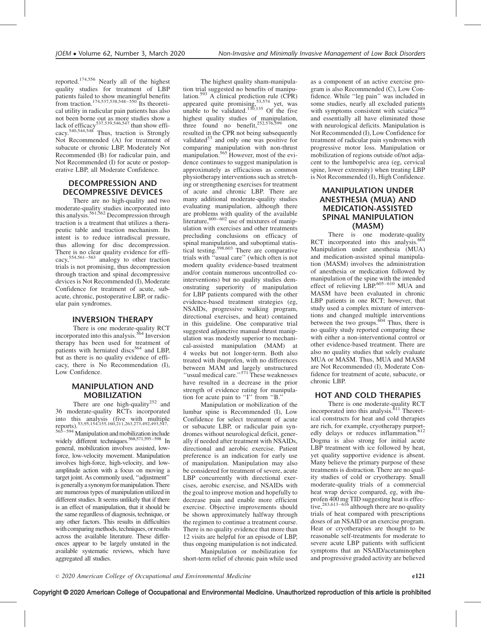reported.174,556 Nearly all of the highest quality studies for treatment of LBP patients failed to show meaningful benefits from traction.<sup>174,537,538,548–550</sup> Its theoretical utility in radicular pain patients has also not been borne out as more studies show a<br>lack of efficacy<sup>537,539,546,547</sup> than show effirack of emergency<br>cacy.<sup>540,544,548</sup> Thus, traction is Strongly Not Recommended (A) for treatment of subacute or chronic LBP, Moderately Not Recommended (B) for radicular pain, and Not Recommended (I) for acute or postoperative LBP, all Moderate Confidence.

# DECOMPRESSION AND DECOMPRESSIVE DEVICES

There are no high-quality and two moderate-quality studies incorporated into<br>this analysis.<sup>561,562</sup> Decompression through traction is a treatment that utilizes a therapeutic table and traction mechanism. Its intent is to reduce intradiscal pressure, thus allowing for disc decompression. There is no clear quality evidence for efficacy,  $554,561-563$  analogy to other traction trials is not promising, thus decompression through traction and spinal decompressive devices is Not Recommended (I), Moderate Confidence for treatment of acute, subacute, chronic, postoperative LBP, or radicular pain syndromes.

### INVERSION THERAPY

There is one moderate-quality RCT incorporated into this analysis.<sup>564</sup> Inversion therapy has been used for treatment of patients with herniated discs<sup>564</sup> and LBP, but as there is no quality evidence of efficacy, there is No Recommendation (I), Low Confidence.

### MANIPULATION AND MOBILIZATION

There are one high-quality<sup>252</sup> and 36 moderate-quality RCTs incorporated into this analysis (five with multiple reports).53,95,154,155,160,211,263,273,492,493,547, 565–594 Manipulation and mobilization include widely different techniques.<sup>568,571,595–598</sup> In general, mobilization involves assisted, lowforce, low-velocity movement. Manipulation involves high-force, high-velocity, and lowamplitude action with a focus on moving a target joint. As commonly used, ''adjustment'' is generally a synonym for manipulation. There are numerous types of manipulation utilized in different studies. It seems unlikely that if there is an effect of manipulation, that it should be the same regardless of diagnosis, technique, or any other factors. This results in difficulties with comparing methods, techniques, or results across the available literature. These differences appear to be largely unstated in the available systematic reviews, which have aggregated all studies.

The highest quality sham-manipulation trial suggested no benefits of manipulation.<sup>593</sup> A clinical prediction rule  $(CPR)$ appeared quite promising,<sup>53,574</sup> yet, was unable to be validated.<sup>130,135</sup> Of the five highest quality studies of manipulation, three found no benefit, $252,576,599$  one resulted in the CPR not being subsequently validated $53$  and only one was positive for comparing manipulation with non-thrust manipulation.<sup>565</sup> However, most of the evidence continues to suggest manipulation is approximately as efficacious as common physiotherapy interventions such as stretching or strengthening exercises for treatment of acute and chronic LBP. There are many additional moderate-quality studies evaluating manipulation, although there are problems with quality of the available literature,  $600-602$  use of mixtures of manipulation with exercises and other treatments precluding conclusions on efficacy of spinal manipulation, and suboptimal statistical testing.<sup>598,603</sup> There are comparative trials with ''usual care'' (which often is not modern quality evidence-based treatment and/or contain numerous uncontrolled cointerventions) but no quality studies demonstrating superiority of manipulation for LBP patients compared with the other evidence-based treatment strategies (eg, NSAIDs, progressive walking program, directional exercises, and heat) contained in this guideline. One comparative trial suggested adjunctive manual-thrust manipulation was modestly superior to mechanical-assisted manipulation (MAM) at 4 weeks but not longer-term. Both also treated with ibuprofen, with no differences between MAM and largely unstructured<br>"usual medical care."<sup>571</sup> These weaknesses have resulted in a decrease in the prior strength of evidence rating for manipulation for acute pain to ''I'' from ''B.''

Manipulation or mobilization of the lumbar spine is Recommended (I), Low Confidence for select treatment of acute or subacute LBP, or radicular pain syndromes without neurological deficit, generally if needed after treatment with NSAIDs, directional and aerobic exercise. Patient preference is an indication for early use of manipulation. Manipulation may also be considered for treatment of severe, acute LBP concurrently with directional exercises, aerobic exercise, and NSAIDs with the goal to improve motion and hopefully to decrease pain and enable more efficient exercise. Objective improvements should be shown approximately halfway through the regimen to continue a treatment course. There is no quality evidence that more than 12 visits are helpful for an episode of LBP, thus ongoing manipulation is not indicated.

Manipulation or mobilization for short-term relief of chronic pain while used as a component of an active exercise program is also Recommended (C), Low Confidence. While ''leg pain'' was included in some studies, nearly all excluded patients with symptoms consistent with sciatica<sup>589</sup> and essentially all have eliminated those with neurological deficits. Manipulation is Not Recommended (I), Low Confidence for treatment of radicular pain syndromes with progressive motor loss. Manipulation or mobilization of regions outside of/not adjacent to the lumbopelvic area (eg, cervical spine, lower extremity) when treating LBP is Not Recommended (I), High Confidence.

# MANIPULATION UNDER ANESTHESIA (MUA) AND MEDICATION-ASSISTED SPINAL MANIPULATION (MASM)

There is one moderate-quality RCT incorporated into this analysis. $604$ Manipulation under anesthesia (MUA) and medication-assisted spinal manipulation (MASM) involves the administration of anesthesia or medication followed by manipulation of the spine with the intended effect of relieving LBP.<sup>605-610</sup> MUA and MASM have been evaluated in chronic LBP patients in one RCT; however, that study used a complex mixture of interventions and changed multiple interventions between the two groups.<sup>604</sup> Thus, there is no quality study reported comparing these with either a non-interventional control or other evidence-based treatment. There are also no quality studies that solely evaluate MUA or MASM. Thus, MUA and MASM are Not Recommended (I), Moderate Confidence for treatment of acute, subacute, or chronic LBP.

# HOT AND COLD THERAPIES

There is one moderate-quality RCT incorporated into this analysis.<sup>611</sup> Theoretical constructs for heat and cold therapies are rich, for example, cryotherapy purportedly delays or reduces inflammation.<sup>612</sup> Dogma is also strong for initial acute LBP treatment with ice followed by heat, yet quality supportive evidence is absent. Many believe the primary purpose of these treatments is distraction. There are no quality studies of cold or cryotherapy. Small moderate-quality trials of a commercial heat wrap device compared, eg, with ibuprofen 400 mg TID suggesting heat is effective,<sup>283,613–616</sup> although there are no quality trials of heat compared with prescriptions doses of an NSAID or an exercise program. Heat or cryotherapies are thought to be reasonable self-treatments for moderate to severe acute LBP patients with sufficient symptoms that an NSAID/acetaminophen and progressive graded activity are believed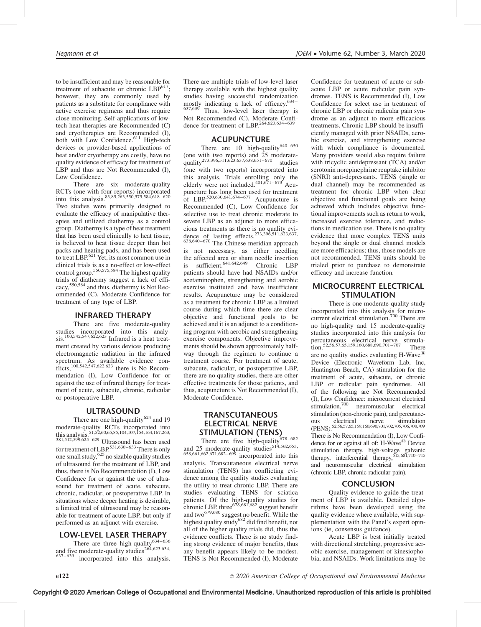to be insufficient and may be reasonable for treatment of subacute or chronic  $LBP^{617}$ : however, they are commonly used by patients as a substitute for compliance with active exercise regimens and thus require close monitoring. Self-applications of lowtech heat therapies are Recommended (C) and cryotherapies are Recommended (I), both with Low Confidence.<sup>611</sup> High-tech devices or provider-based applications of heat and/or cryotherapy are costly, have no quality evidence of efficacy for treatment of LBP and thus are Not Recommended (I), Low Confidence.

There are six moderate-quality RCTs (one with four reports) incorporated<br>into this analysis.<sup>83,85,263,550,575,584,618–620</sup> Two studies were primarily designed to evaluate the efficacy of manipulative therapies and utilized diathermy as a control group. Diathermy is a type of heat treatment that has been used clinically to heat tissue, is believed to heat tissue deeper than hot packs and heating pads, and has been used to treat LBP. $621$  Yet, its most common use in clinical trials is as a no-effect or low-effect control group.550,575,584 The highest quality trials of diathermy suggest a lack of efficacy,550,584 and thus, diathermy is Not Recommended (C), Moderate Confidence for treatment of any type of LBP.

### INFRARED THERAPY

There are five moderate-quality studies incorporated into this analy-<br>sis.<sup>100,542,547,622,623</sup> Infrared is a heat treatment created by various devices producing electromagnetic radiation in the infrared spectrum. As available evidence conflicts,<sup>100,542,547,622,623</sup> there is No Recommendation (I), Low Confidence for or against the use of infrared therapy for treatment of acute, subacute, chronic, radicular or postoperative LBP.

### ULTRASOUND

There are one high-quality<sup>624</sup> and 19 moderate-quality RCTs incorporated into<br>this analysis. 51,52,60,65,85,104,107,154,164,167,263, 381,512,599,625–629 Ultrasound has been used for treatment of LBP.<sup>531,630–633</sup> There is only one small study,  $625$  no sizable quality studies of ultrasound for the treatment of LBP, and thus, there is No Recommendation (I), Low Confidence for or against the use of ultrasound for treatment of acute, subacute, chronic, radicular, or postoperative LBP. In situations where deeper heating is desirable, a limited trial of ultrasound may be reasonable for treatment of acute LBP, but only if performed as an adjunct with exercise.

### LOW-LEVEL LASER THERAPY

There are three high-quality $634-636$ and five moderate-quality studies<sup>264,623,634,637–639</sup> 637–639 incorporated into this analysis.

There are multiple trials of low-level laser therapy available with the highest quality studies having successful randomization mostly indicating a lack of efficacy.<sup>634–</sup> 637,639 Thus, low-level laser therapy is Not Recommended (C), Moderate Confidence for treatment of  $LBP^{264,623,634}$ 

#### ACUPUNCTURE

There are 10 high-quality $640-650$ (one with two reports) and 25 moderate-<br>quality<sup>273,396,511,623,637,638,651–670</sup> studies (one with two reports) incorporated into this analysis. Trials enrolling only the elderly were not included.<sup>401,671–673</sup> Acupuncture has long been used for treatment<br>of LBP.<sup>520,630,641,674–677</sup> Acupuncture is Recommended (C), Low Confidence for selective use to treat chronic moderate to severe LBP as an adjunct to more efficacious treatments as there is no quality evidence of lasting effects.<sup>273,396,511,623,637</sup>,

638,640–670 The Chinese meridian approach is not necessary, as either needling the affected area or sham needle insertion  $\frac{1}{100}$  is sufficient.<sup>641,642,649</sup> Chronic LBP patients should have had NSAIDs and/or acetaminophen, strengthening and aerobic exercise instituted and have insufficient results. Acupuncture may be considered as a treatment for chronic LBP as a limited course during which time there are clear objective and functional goals to be achieved and it is an adjunct to a conditioning program with aerobic and strengthening exercise components. Objective improvements should be shown approximately halfway through the regimen to continue a treatment course. For treatment of acute, subacute, radicular, or postoperative LBP, there are no quality studies, there are other effective treatments for those patients, and thus, acupuncture is Not Recommended (I), Moderate Confidence.

### **TRANSCUTANEOUS** ELECTRICAL NERVE STIMULATION (TENS)

There are five high-quality $678-682$ and 25 moderate-quality studies<sup>514,562,653,</sup>

658,661,662,671,682–699 incorporated into this analysis. Transcutaneous electrical nerve stimulation (TENS) has conflicting evidence among the quality studies evaluating the utility to treat chronic LBP. There are studies evaluating TENS for sciatica patients. Of the high-quality studies for chronic LBP, three<sup>678,681,682</sup> suggest benefit and two<sup>679,680</sup> suggest no benefit. While the highest quality study<sup>682</sup> did find benefit, not all of the higher quality trials did, thus the evidence conflicts. There is no study finding strong evidence of major benefits, thus any benefit appears likely to be modest. TENS is Not Recommended (I), Moderate

Confidence for treatment of acute or subacute LBP or acute radicular pain syndromes. TENS is Recommended (I), Low Confidence for select use in treatment of chronic LBP or chronic radicular pain syndrome as an adjunct to more efficacious treatments. Chronic LBP should be insufficiently managed with prior NSAIDs, aerobic exercise, and strengthening exercise with which compliance is documented. Many providers would also require failure with tricyclic antidepressant (TCA) and/or serotonin norepinephrine reuptake inhibitor (SNRI) anti-depressants. TENS (single or dual channel) may be recommended as treatment for chronic LBP when clear objective and functional goals are being achieved which includes objective functional improvements such as return to work, increased exercise tolerance, and reductions in medication use. There is no quality evidence that more complex TENS units beyond the single or dual channel models are more efficacious; thus, those models are not recommended. TENS units should be trialed prior to purchase to demonstrate efficacy and increase function.

### MICROCURRENT ELECTRICAL STIMULATION

There is one moderate-quality study incorporated into this analysis for microcurrent electrical stimulation.<sup>700</sup> There are no high-quality and 15 moderate-quality studies incorporated into this analysis for percutaneous electrical nerve stimula-tion.52,56,57,65,159,160,688,690,701–707 There are no quality studies evaluating  $H-Wave^{\circledR}$ Device (Electronic Waveform Lab, Inc, Huntington Beach, CA) stimulation for the treatment of acute, subacute, or chronic LBP or radicular pain syndromes. All of the following are Not Recommended (I), Low Confidence: microcurrent electrical stimulation,700 neuromuscular electrical stimulation (non-chronic pain), and percutane-<br>ous electrical nerve stimulation ous electrical nerve stimulation<br>(PENS).<sup>52,56,57,65,159,160,690,701,702,705,706,708,709</sup> There is No Recommendation (I), Low Confidence for or against all of: H-Wave $^{(8)}$  Device stimulation therapy, high-voltage galvanic<br>therapy, interferential therapy,<sup>515,681,710–715</sup> and neuromuscular electrical stimulation (chronic LBP, chronic radicular pain).

### CONCLUSION

Quality evidence to guide the treatment of LBP is available. Detailed algorithms have been developed using the quality evidence where available, with supplementation with the Panel's expert opinions (ie, consensus guidance).

Acute LBP is best initially treated with directional stretching, progressive aerobic exercise, management of kinesiophobia, and NSAIDs. Work limitations may be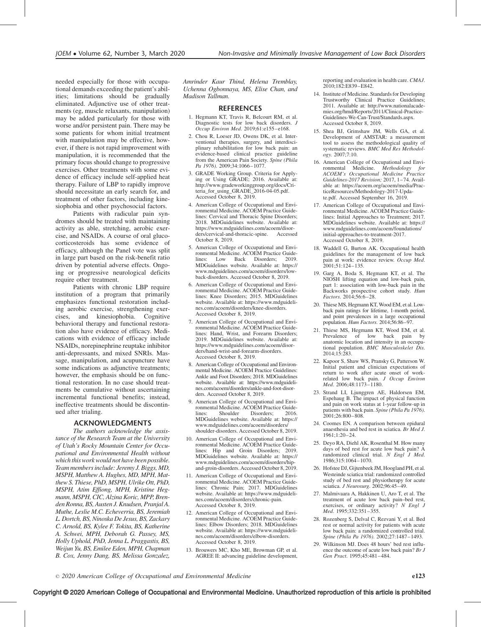needed especially for those with occupational demands exceeding the patient's abilities; limitations should be gradually eliminated. Adjunctive use of other treatments (eg, muscle relaxants, manipulation) may be added particularly for those with worse and/or persistent pain. There may be some patients for whom initial treatment with manipulation may be effective, however, if there is not rapid improvement with manipulation, it is recommended that the primary focus should change to progressive exercises. Other treatments with some evidence of efficacy include self-applied heat therapy. Failure of LBP to rapidly improve should necessitate an early search for, and treatment of other factors, including kinesiophobia and other psychosocial factors.

Patients with radicular pain syndromes should be treated with maintaining activity as able, stretching, aerobic exercise, and NSAIDs. A course of oral glucocorticosteroids has some evidence of efficacy, although the Panel vote was split in large part based on the risk-benefit ratio driven by potential adverse effects. Ongoing or progressive neurological deficits require other treatment.

Patients with chronic LBP require institution of a program that primarily emphasizes functional restoration including aerobic exercise, strengthening exercises, and kinesiophobia. Cognitive behavioral therapy and functional restoration also have evidence of efficacy. Medications with evidence of efficacy include NSAIDs, norepinephrine reuptake inhibitor anti-depressants, and mixed SNRIs. Massage, manipulation, and acupuncture have some indications as adjunctive treatments; however, the emphasis should be on functional restoration. In no case should treatments be cumulative without ascertaining incremental functional benefits; instead, ineffective treatments should be discontinued after trialing.

#### ACKNOWLEDGMENTS

The authors acknowledge the assistance of the Research Team at the University of Utah's Rocky Mountain Center for Occupational and Environmental Health without which this work would not have been possible. Team members include: Jeremy J. Biggs, MD, MSPH, Matthew A. Hughes, MD, MPH, Matthew S. Thiese, PhD, MSPH, Ulrike Ott, PhD, MSPH, Atim Effiong, MPH, Kristine Hegmann, MSPH, CIC, Alzina Koric, MPP, Brenden Ronna, BS, Austen J. Knudsen, Pranjal A. Muthe, Leslie M.C. Echeverria, BS, Jeremiah L. Dortch, BS, Ninoska De Jesus, BS, Zackary C. Arnold, BS, Kylee F. Tokita, BS, Katherine A. Schwei, MPH, Deborah G. Passey, MS, Holly Uphold, PhD, Jenna L. Praggastis, BS, Weijun Yu, BS, Emilee Eden, MPH, Chapman B. Cox, Jenny Dang, BS, Melissa Gonzalez,

Amrinder Kaur Thind, Helena Tremblay, Uchenna Ogbonnaya, MS, Elise Chan, and Madison Tallman.

#### **REFERENCES**

- 1. Hegmann KT, Travis R, Belcourt RM, et al. Diagnostic tests for low back disorders. J Occup Environ Med. 2019;61:e155–e168.
- 2. Chou R, Loeser JD, Owens DK, et al. Interventional therapies, surgery, and interdisciplinary rehabilitation for low back pain: an evidence-based clinical practice guideline from the American Pain Society. Spine (Phila Pa 1976). 2009;34:1066-1077.
- 3. GRADE Working Group. Criteria for Apply-ing or Using GRADE; 2016. Available at: [http://www.gradeworkinggroup.org/docs/Cri](http://www.gradeworkinggroup.org/docs/Criteria_for_using_GRADE_2016-04-05.pdf)[teria\\_for\\_using\\_GRADE\\_2016-04-05.pdf.](http://www.gradeworkinggroup.org/docs/Criteria_for_using_GRADE_2016-04-05.pdf) [Accessed October 8, 2019.](http://www.gradeworkinggroup.org/docs/Criteria_for_using_GRADE_2016-04-05.pdf)
- 4. American College of Occupational and Environmental Medicine. ACOEM Practice Guidelines: Cervical and Thoracic Spine Disorders; 2018. MDGuidelines website. Available at: https://www.mdguidelines.com/acoem/disor-<br>ders/cervical-and-thoracic-spine. Accessed ders/cervical-and-thoracic-spine. [October 8, 2019.](https://www.mdguidelines.com/acoem/disorders/cervical-and-thoracic-spine)
- 5. American College of Occupational and Environmental Medicine. ACOEM Practice Guide-<br>lines: Low Back Disorders; 2019. Disorders; MDGuidelines website. Available at: [https://](https://www.mdguidelines.com/acoem/disorders/low-back-disorders) [www.mdguidelines.com/acoem/disorders/low](https://www.mdguidelines.com/acoem/disorders/low-back-disorders)[back-disorders. Accessed October 8, 2019.](https://www.mdguidelines.com/acoem/disorders/low-back-disorders)
- 6. American College of Occupational and Environmental Medicine. ACOEM Practice Guidelines: Knee Disorders; 2015. MDGuidelines website. Available at: [https://www.mdguideli](https://www.mdguidelines.com/acoem/disorders/knee-disorders)[nes.com/acoem/disorders/knee-disorders.](https://www.mdguidelines.com/acoem/disorders/knee-disorders) [Accessed October 8, 2019.](https://www.mdguidelines.com/acoem/disorders/knee-disorders)
- 7. American College of Occupational and Environmental Medicine. ACOEM Practice Guidelines: Hand, Wrist, and Forearm Disorders; 2019. MDGuidelines website. Available at: [https://www.mdguidelines.com/acoem/disor](https://www.mdguidelines.com/acoem/disorders/hand-wrist-and-forearm-disorders)[ders/hand-wrist-and-forearm-disorders.](https://www.mdguidelines.com/acoem/disorders/hand-wrist-and-forearm-disorders) [Accessed October 8, 2019.](https://www.mdguidelines.com/acoem/disorders/hand-wrist-and-forearm-disorders)
- 8. American College of Occupational and Environmental Medicine. ACOEM Practice Guidelines: Ankle and Foot Disorders; 2018. MDGuidelines website. Available at: [https://www.mdguideli](https://www.mdguidelines.com/acoem/disorders/ankle-and-foot-disorders)[nes.com/acoem/disorders/ankle-and-foot-disor](https://www.mdguidelines.com/acoem/disorders/ankle-and-foot-disorders)[ders. Accessed October 8, 2019.](https://www.mdguidelines.com/acoem/disorders/ankle-and-foot-disorders)
- 9. American College of Occupational and Environmental Medicine. ACOEM Practice Guide-<br>lines: Shoulder Disorders: 2016. Disorders: MDGuidelines website. Available at: [https://](https://www.mdguidelines.com/acoem/disorders/shoulder-disorders) [www.mdguidelines.com/acoem/disorders/](https://www.mdguidelines.com/acoem/disorders/shoulder-disorders) [shoulder-disorders. Accessed October 8, 2019.](https://www.mdguidelines.com/acoem/disorders/shoulder-disorders)
- 10. American College of Occupational and Environmental Medicine. ACOEM Practice Guidelines: Hip and Groin Disorders; 2019. MDGuidelines website. Available at: [https://](https://www.mdguidelines.com/acoem/disorders/hip-and-groin-disorders) [www.mdguidelines.com/acoem/disorders/hip](https://www.mdguidelines.com/acoem/disorders/hip-and-groin-disorders)[and-groin-disorders. Accessed October 8, 2019.](https://www.mdguidelines.com/acoem/disorders/hip-and-groin-disorders)
- 11. American College of Occupational and Environmental Medicine. ACOEM Practice Guidelines: Chronic Pain; 2017. MDGuidelines website. Available at: [https://www.mdguideli](https://www.mdguidelines.com/acoem/disorders/chronic-pain)[nes.com/acoem/disorders/chronic-pain.](https://www.mdguidelines.com/acoem/disorders/chronic-pain) [Accessed October 8, 2019.](https://www.mdguidelines.com/acoem/disorders/chronic-pain)
- 12. American College of Occupational and Environmental Medicine. ACOEM Practice Guidelines: Elbow Disorders; 2018. MDGuidelines website. Available at: [https://www.mdguideli](https://www.mdguidelines.com/acoem/disorders/elbow-disorders)[nes.com/acoem/disorders/elbow-disorders.](https://www.mdguidelines.com/acoem/disorders/elbow-disorders) [Accessed October 8, 2019.](https://www.mdguidelines.com/acoem/disorders/elbow-disorders)
- 13. Brouwers MC, Kho ME, Browman GP, et al. AGREE II: advancing guideline development,

reporting and evaluation in health care. CMAJ. 2010;182:E839–E842.

- 14. Institute of Medicine. Standards for Developing Trustworthy Clinical Practice Guidelines; 2011. Available at: [http://www.nationalacade](http://www.nationalacademies.org/hmd/Reports/2011/Clinical-Practice-Guidelines-We-Can-Trust/Standards.aspx)[mies.org/hmd/Reports/2011/Clinical-Practice-](http://www.nationalacademies.org/hmd/Reports/2011/Clinical-Practice-Guidelines-We-Can-Trust/Standards.aspx)[Guidelines-We-Can-Trust/Standards.aspx.](http://www.nationalacademies.org/hmd/Reports/2011/Clinical-Practice-Guidelines-We-Can-Trust/Standards.aspx) [Accessed October 8, 2019.](http://www.nationalacademies.org/hmd/Reports/2011/Clinical-Practice-Guidelines-We-Can-Trust/Standards.aspx)
- 15. Shea BJ, Grimshaw JM, Wells GA, et al. Development of AMSTAR: a measurement tool to assess the methodological quality of systematic reviews. BMC Med Res Methodology. 2007;7:10.
- 16. American College of Occupational and Envi-<br>ronmental Medicine. *Methodology for* ronmental Medicine. ACOEM's Occupational Medicine Practice Guidelines-2017 Revision; 2017, 1–74. Available at: [https://acoem.org/acoem/media/Prac](https://acoem.org/acoem/media/PracticeResources/Methodology-2017-Update.pdf)[ticeResources/Methodology-2017-Upda](https://acoem.org/acoem/media/PracticeResources/Methodology-2017-Update.pdf)[te.pdf.](https://acoem.org/acoem/media/PracticeResources/Methodology-2017-Update.pdf) Accessed September 16, 2019.
- 17. American College of Occupational and Environmental Medicine. ACOEM Practice Guidelines: Initial Approaches to Treatment; 2017. MDGuidelines website. Available at: [https://](https://www.mdguidelines.com/acoem/foundations/initial-approaches-to-treatment-2017) [www.mdguidelines.com/acoem/foundations/](https://www.mdguidelines.com/acoem/foundations/initial-approaches-to-treatment-2017) [initial-approaches-to-treatment-2017.](https://www.mdguidelines.com/acoem/foundations/initial-approaches-to-treatment-2017) [Accessed October 8, 2019.](https://www.mdguidelines.com/acoem/foundations/initial-approaches-to-treatment-2017)
- 18. Waddell G, Burton AK. Occupational health guidelines for the management of low back pain at work: evidence review. Occup Med. 2001;51:124–135.
- 19. Garg A, Boda S, Hegmann KT, et al. The NIOSH lifting equation and low-back pain, part 1: association with low-back pain in the Backworks prospective cohort study. Hum Factors. 2014;56:6–28.
- 20. Thiese MS, Hegmann KT, Wood EM, et al. Lowback pain ratings for lifetime, 1-month period, and point prevalences in a large occupational population. Hum Factors. 2014;56:86–97.
- 21. Thiese MS, Hegmann KT, Wood EM, et al. Prevalence of low back pain by anatomic location and intensity in an occupational population. BMC Musculoskelet  $\hat{D}$ is. 2014;15:283.
- 22. Kapoor S, Shaw WS, Pransky G, Patterson W. Initial patient and clinician expectations of return to work after acute onset of workrelated low back pain. J Occup Environ Med. 2006;48:1173–1180.
- 23. Strand LI, Ljunggren AE, Haldorsen EM, Espehaug B. The impact of physical function and pain on work status at 1-year follow-up in patients with back pain. Spine (Phila Pa 1976). 2001;26:800–808.
- 24. Coomes EN. A comparison between epidural anaesthesia and bed rest in sciatica. Br Med J. 1961;1:20–24.
- 25. Deyo RA, Diehl AK, Rosenthal M. How many days of bed rest for acute low back pain? A randomized clinical trial.  $N$  Engl  $J$  Med. 1986;315:1064–1070.
- 26. Hofstee DJ, Gijtenbeek JM, Hoogland PH, et al. Westeinde sciatica trial: randomized controlled study of bed rest and physiotherapy for acute sciatica. J Neurosurg. 2002;96:45-49.
- 27. Malmivaara A, Hakkinen U, Aro T, et al. The treatment of acute low back pain–bed rest, exercises, or ordinary activity? N Engl J Med. 1995;332:351–355.
- 28. Rozenberg S, Delval C, Rezvani Y, et al. Bed rest or normal activity for patients with acute low back pain: a randomized controlled trial. Spine (Phila Pa 1976). 2002;27:1487–1493.
- 29. Wilkinson MJ. Does 48 hours' bed rest influence the outcome of acute low back pain? Br J Gen Pract. 1995;45:481–484.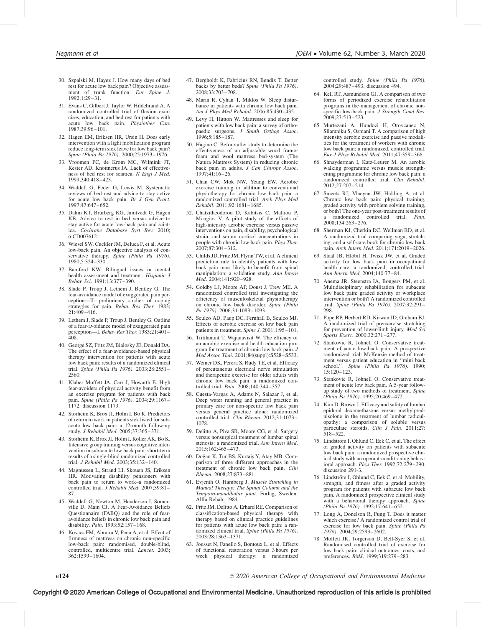- 30. Szpalski M, Hayez J. How many days of bed rest for acute low back pain? Objective assessment of trunk function. Eur Spine J. 1992;1:29–31.
- 31. Evans C, Gilbert J, Taylor W, Hildebrand A. A randomized controlled trial of flexion exercises, education, and bed rest for patients with acute low back pain. Physiother Can. 1987;39:96–101.
- 32. Hagen EM, Eriksen HR, Ursin H. Does early intervention with a light mobilization program reduce long-term sick leave for low back pain? Spine (Phila Pa 1976). 2000;25:1973–1976.
- 33. Vroomen PC, de Krom MC, Wilmink JT, Kester AD, Knottnerus JA. Lack of effectiveness of bed rest for sciatica. N Engl J Med. 1999;340:418–423.
- 34. Waddell G, Feder G, Lewis M. Systematic reviews of bed rest and advice to stay active for acute low back pain. Br J Gen Pract. 1997;47:647–652.
- 35. Dahm KT, Brurberg KG, Jamtvedt G, Hagen KB. Advice to rest in bed versus advice to stay active for acute low-back pain and sciatica. Cochrane Database Syst Rev. 2010; 6:CD007612.
- 36. Wiesel SW, Cuckler JM, Deluca F, et al. Acute low-back pain. An objective analysis of conservative therapy. Spine (Phila Pa 1976). 1980;5:324–330.
- 37. Bamford KW. Bilingual issues in mental health assessment and treatment. Hispanic J Behav Sci. 1991;13:377–390.
- 38. Slade P, Troup J, Lethem J, Bentley G. The fear-avoidance model of exaggerated pain perception—II: preliminary studies of coping strategies for pain. Behav Res Ther. 1983;  $21.409 - 416$
- 39. Lethem J, Slade P, Troup J, Bentley G. Outline of a fear-avoidance model of exaggerated pain perception—I. Behav Res Ther. 1983;21:401– 408.
- 40. George SZ, Fritz JM, Bialosky JE, Donald DA. The effect of a fear-avoidance-based physical therapy intervention for patients with acute low back pain: results of a randomized clinical trial. Spine (Phila Pa 1976). 2003;28:2551– 2560.
- 41. Klaber Moffett JA, Carr J, Howarth E. High fear-avoiders of physical activity benefit from an exercise program for patients with back pain. Spine (Phila Pa 1976). 2004;29:1167-1172. discussion 1173.
- 42. Storheim K, Brox JI, Holm I, Bo K. Predictors of return to work in patients sick listed for subacute low back pain: a 12-month follow-up study. J Rehabil Med. 2005;37:365–371.
- 43. Storheim K, Brox JI, Holm I, Koller AK, Bo K. Intensive group training versus cognitive intervention in sub-acute low back pain: short-term results of a single-blind randomized controlled trial. J Rehabil Med. 2003;35:132–140.
- 44. Magnussen L, Strand LI, Skouen JS, Eriksen HR. Motivating disability pensioners with back pain to return to work–a randomized controlled trial. J Rehabil Med. 2007;39:81– 87.
- 45. Waddell G, Newton M, Henderson I, Somerville D, Main CJ. A Fear-Avoidance Beliefs Questionnaire (FABQ) and the role of fearavoidance beliefs in chronic low back pain and disability. Pain. 1993;52:157–168.
- 46. Kovacs FM, Abraira V, Pena A, et al. Effect of firmness of mattress on chronic non-specific low-back pain: randomised, double-blind, controlled, multicentre trial. Lancet. 2003; 362:1599–1604.
- 47. Bergholdt K, Fabricius RN, Bendix T. Better backs by better beds? Spine (Phila Pa 1976). 2008;33:703–708.
- 48. Marin R, Cyhan T, Miklos W. Sleep disturbance in patients with chronic low back pain. Am J Phys Med Rehabil. 2006;85:430-435.
- 49. Levy H, Hutton W. Mattresses and sleep for patients with low back pain: a survey of orthopaedic surgeons. J South Orthop Assoc. 1996;5:185–187.
- 50. Hagino C. Before-after study to determine the effectiveness of an adjustable wood framefoam and wool mattress bed-system (The Natura Mattress System) in reducing chronic back pain in adults. J Can Chiropr Assoc. 1997;41:16–26.
- 51. Chan CW, Mok NW, Yeung EW. Aerobic exercise training in addition to conventional physiotherapy for chronic low back pain: a randomized controlled trial. Arch Phys Med Rehabil. 2011;92:1681–1685.
- 52. Chatzitheodorou D, Kabitsis C, Malliou P, Mougios V. A pilot study of the effects of high-intensity aerobic exercise versus passive interventions on pain, disability, psychological strain, and serum cortisol concentrations in people with chronic low back pain. Phys Ther. 2007;87:304–312.
- 53. Childs JD, Fritz JM, Flynn TW, et al. A clinical prediction rule to identify patients with low back pain most likely to benefit from spinal manipulation: a validation study. Ann Intern Med. 2004;141:920-928.
- 54. Goldby LJ, Moore AP, Doust J, Trew ME. A randomized controlled trial investigating the efficiency of musculoskeletal physiotherapy on chronic low back disorder. Spine (Phila Pa 1976). 2006;31:1083–1093.
- 55. Sculco AD, Paup DC, Fernhall B, Sculco MJ. Effects of aerobic exercise on low back pain patients in treatment. Spine J. 2001;1:95–101.
- 56. Tritilanunt T, Wajanavisit W. The efficacy of an aerobic exercise and health education program for treatment of chronic low back pain. J Med Assoc Thai. 2001;84(suppl):S528–S533.
- 57. Weiner DK, Perera S, Rudy TE, et al. Efficacy of percutaneous electrical nerve stimulation and therapeutic exercise for older adults with chronic low back pain: a randomized controlled trial. Pain. 2008;140:344–357.
- 58. Cuesta-Vargas A, Adams N, Salazar J, et al. Deep water running and general practice in primary care for non-specific low back pain versus general practice alone: randomized controlled trial. Clin Rheum. 2012;31:1073-1078.
- 59. Delitto A, Piva SR, Moore CG, et al. Surgery versus nonsurgical treatment of lumbar spinal stenosis: a randomized trial. Ann Intern Med. 2015;162:465–473.
- 60. Doğan K, Tur BS, Kurtaiş Y, Atay MB. Comparison of three different approaches in the treatment of chronic low back pain. Clin Rheum. 2008;27:873–881.
- 61. Evjenth O, Hamberg J. Muscle Stretching in Manual Therapy: The Spinal Column and the Temporo-mandibular joint. Forlag, Sweden: Alfta Rehab; 1984.
- 62. Fritz JM, Delitto A, Erhard RE. Comparison of classification-based physical therapy with therapy based on clinical practice guidelines for patients with acute low back pain: a randomized clinical trial. Spine (Phila Pa 1976). 2003;28:1363–1371.
- 63. Jousset N, Fanello S, Bontoux L, et al. Effects of functional restoration versus 3 hours per week physical therapy: a randomized

controlled study. Spine (Phila Pa 1976). 2004;29:487–493. discussion 494.

- 64. Kell RT, Asmundson GJ. A comparison of two forms of periodized exercise rehabilitation programs in the management of chronic nonspecific low-back pain. J Strength Cond Res. 2009;23:513–523.
- 65. Murtezani A, Hundozi H, Orovcanec N, Sllamniku S, Osmani T. A comparison of high intensity aerobic exercise and passive modalities for the treatment of workers with chronic low back pain: a randomized, controlled trial. Eur J Phys Rehabil Med. 2011;47:359–366.
- 66. Shnayderman I, Katz-Leurer M. An aerobic walking programme versus muscle strengthening programme for chronic low back pain: a randomized controlled trial. Clin Rehabil. 2012;27:207–214.
- 67. Smeets RJ, Vlaeyen JW, Hidding A, et al. Chronic low back pain: physical training, graded activity with problem solving training, or both? The one-year post-treatment results of<br>a randomized controlled trial. Pain. controlled trial. Pain. 2008;134:263–276.
- 68. Sherman KJ, Cherkin DC, Wellman RD, et al. A randomized trial comparing yoga, stretching, and a self-care book for chronic low back pain. Arch Intern Med. 2011;171:2019–2026.
- 69. Staal JB, Hlobil H, Twisk JW, et al. Graded activity for low back pain in occupational health care: a randomized, controlled trial. Ann Intern Med. 2004;140:77–84.
- 70. Anema JR, Steenstra IA, Bongers PM, et al. Multidisciplinary rehabilitation for subacute low back pain: graded activity or workplace intervention or both? A randomized controlled trial. Spine (Phila Pa 1976). 2007;32:291– 298.
- 71. Pope RP, Herbert RD, Kirwan JD, Graham BJ. A randomized trial of preexercise stretching for prevention of lower-limb injury. Med Sci Sports Exerc. 2000;32:271–277.
- 72. Stankovic R, Johnell O. Conservative treatment of acute low-back pain. A prospective randomized trial: McKenzie method of treatment versus patient education in ''mini back school.''. Spine (Phila Pa 1976). 1990; 15:120–123.
- 73. Stankovic R, Johnell O. Conservative treatment of acute low back pain. A 5-year followup study of two methods of treatment. Spine (Phila Pa 1976). 1995;20:469–472.
- 74. Kim D, Brown J. Efficacy and safety of lumbar epidural dexamethasone versus methylprednisolone in the treatment of lumbar radiculopathy: a comparison of soluble versus particulate steroids. Clin J Pain. 2011;27: 518–522.
- 75. Lindström I, Ohlund C, Eek C, et al. The effect of graded activity on patients with subacute low back pain: a randomized prospective clinical study with an operant-conditioning behavioral approach. Phys Ther. 1992;72:279–290. discussion 291-3.
- 76. Lindström I, Ohlund C, Eek C, et al. Mobility, strength, and fitness after a graded activity program for patients with subacute low back pain. A randomized prospective clinical study with a behavioral therapy approach. Spine (Phila Pa 1976). 1992;17:641–652.
- 77. Long A, Donelson R, Fung T. Does it matter which exercise? A randomized control trial of exercise for low back pain. Spine (Phila Pa 1976). 2004;29:2593–2602.
- 78. Moffett JK, Torgerson D, Bell-Syer S, et al. Randomised controlled trial of exercise for low back pain: clinical outcomes, costs, and preferences. BMJ. 1999;319:279–283.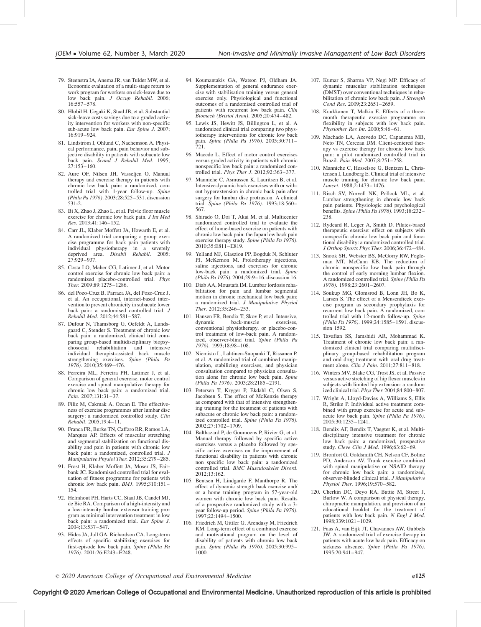- 79. Steenstra IA, Anema JR, van Tulder MW, et al. Economic evaluation of a multi-stage return to work program for workers on sick-leave due to low back pain. J Occup Rehabil. 2006; 16:557–578.
- 80. Hlobil H, Uegaki K, Staal JB, et al. Substantial sick-leave costs savings due to a graded activity intervention for workers with non-specific sub-acute low back pain. Eur Spine J. 2007; 16:919–924.
- 81. Lindström I, Ohlund C, Nachemson A. Physical performance, pain, pain behavior and subjective disability in patients with subacute low back pain. Scand J Rehabil Med. 1995; 27:153–160.
- 82. Aure OF, Nilsen JH, Vasseljen O. Manual therapy and exercise therapy in patients with chronic low back pain: a randomized, controlled trial with 1-year follow-up. Spine (Phila Pa 1976). 2003;28:525–531. discussion 531-2.
- 83. Bi X, Zhao J, Zhao L, et al. Pelvic floor muscle exercise for chronic low back pain. J Int Med Res. 2013;41:146–152.
- 84. Carr JL, Klaber Moffett JA, Howarth E, et al. A randomized trial comparing a group exercise programme for back pain patients with<br>individual physiotherapy in a severely individual physiotherapy deprived area. Disabil Rehabil. 2005; 27:929–937.
- 85. Costa LO, Maher CG, Latimer J, et al. Motor control exercise for chronic low back pain: a randomized placebo-controlled trial. Phys Ther. 2009;89:1275–1286.
- 86. del Pozo-Cruz B, Parraca JA, del Pozo-Cruz J, et al. An occupational, internet-based intervention to prevent chronicity in subacute lower back pain: a randomised controlled trial. J Rehabil Med. 2012;44:581–587.
- 87. Dufour N, Thamsborg G, Oefeldt A, Lundsgaard C, Stender S. Treatment of chronic low back pain: a randomized, clinical trial comparing group-based multidisciplinary biopsychosocial rehabilitation and intensive individual therapist-assisted back muscle strengthening exercises. Spine (Phila Pa 1976). 2010;35:469–476.
- 88. Ferreira ML, Ferreira PH, Latimer J, et al. Comparison of general exercise, motor control exercise and spinal manipulative therapy for chronic low back pain: a randomized trial. Pain. 2007;131:31–37.
- 89. Filiz M, Cakmak A, Ozcan E. The effectiveness of exercise programmes after lumbar disc surgery: a randomized controlled study. Clin Rehabil. 2005;19:4–11.
- 90. Franca FR, Burke TN, Caffaro RR, Ramos LA, Marques AP. Effects of muscular stretching and segmental stabilization on functional disability and pain in patients with chronic low back pain: a randomized, controlled trial. J Manipulative Physiol Ther. 2012;35:279–285.
- 91. Frost H, Klaber Moffett JA, Moser JS, Fairbank JC. Randomised controlled trial for evaluation of fitness programme for patients with chronic low back pain. BMJ. 1995;310:151-154.
- 92. Helmhout PH, Harts CC, Staal JB, Candel MJ, de Bie RA. Comparison of a high-intensity and a low-intensity lumbar extensor training program as minimal intervention treatment in low back pain: a randomized trial. Eur Spine J. 2004;13:537–547.
- 93. Hides JA, Jull GA, Richardson CA. Long-term effects of specific stabilizing exercises for first-episode low back pain. Spine (Phila Pa 1976). 2001;26:E243–E248.
- 94. Koumantakis GA, Watson PJ, Oldham JA. Supplementation of general endurance exercise with stabilisation training versus general exercise only. Physiological and functional outcomes of a randomised controlled trial of patients with recurrent low back pain. Clin Biomech (Bristol Avon). 2005;20:474–482.
- 95. Lewis JS, Hewitt JS, Billington L, et al. A randomized clinical trial comparing two physiotherapy interventions for chronic low back pain. Spine (Phila Pa 1976). 2005;30:711– 721.
- 96. Macedo L. Effect of motor control exercises versus graded activity in patients with chronic nonspecific low back pain: a randomized controlled trial. Phys Ther J. 2012;92:363–377.
- 97. Manniche C, Asmussen K, Lauritsen B, et al. Intensive dynamic back exercises with or without hyperextension in chronic back pain after surgery for lumbar disc protrusion. A clinical trial. Spine (Phila Pa 1976). 1993;18:560-567.
- 98. Shirado O, Doi T, Akai M, et al. Multicenter randomized controlled trial to evaluate the effect of home-based exercise on patients with chronic low back pain: the Japan low back pain exercise therapy study. Spine (Phila Pa 1976). 2010;35:E811–E819.
- 99. Yelland MJ, Glasziou PP, Bogduk N, Schluter PJ, McKernon M. Prolotherapy injections, saline injections, and exercises for chronic low-back pain: a randomized trial. Spine (Phila Pa 1976). 2004;29:9–16. discussion 16.
- 100. Diab AA, Moustafa IM. Lumbar lordosis rehabilitation for pain and lumbar segmental motion in chronic mechanical low back pain: a randomized trial. J Manipulative Physiol Ther. 2012;35:246–253.
- 101. Hansen FR, Bendix T, Skov P, et al. Intensive, dynamic back-muscle exercises, back-muscle exercises, conventional physiotherapy, or placebo-control treatment of low-back pain. A randomized, observer-blind trial. Spine (Phila Pa 1976). 1993;18:98–108.
- 102. Niemisto L, Lahtinen-Suopanki T, Rissanen P, et al. A randomized trial of combined manipulation, stabilizing exercises, and physician consultation compared to physician consultation alone for chronic low back pain. Spine (Phila Pa 1976). 2003;28:2185–2191.
- 103. Petersen T, Kryger P, Ekdahl C, Olsen S, Jacobsen S. The effect of McKenzie therapy as compared with that of intensive strengthening training for the treatment of patients with subacute or chronic low back pain: a randomized controlled trial. Spine (Phila Pa 1976). 2002;27:1702–1709.
- 104. Balthazard P, de Goumoens P, Rivier G, et al. Manual therapy followed by specific active exercises versus a placebo followed by specific active exercises on the improvement of functional disability in patients with chronic non specific low back pain: a randomized controlled trial. BMC Musculoskelet Disord. 2012;13:162.
- 105. Bentsen H, Lindgarde F, Manthorpe R. The effect of dynamic strength back exercise and/ or a home training program in 57-year-old women with chronic low back pain. Results of a prospective randomized study with a 3 year follow-up period. Spine (Phila Pa 1976). 1997;22:1494–1500.
- 106. Friedrich M, Gittler G, Arendasy M, Friedrich KM. Long-term effect of a combined exercise and motivational program on the level of disability of patients with chronic low back pain. Spine (Phila Pa 1976). 2005;30:995-1000.
- 107. Kumar S, Sharma VP, Negi MP. Efficacy of dynamic muscular stabilization techniques (DMST) over conventional techniques in rehabilitation of chronic low back pain. J Strength Cond Res. 2009;23:2651–2659.
- 108. Kuukkanen T, Malkia E. Effects of a threemonth therapeutic exercise programme on flexibility in subjects with low back pain. Physiother Res Int. 2000;5:46–61.
- 109. Machado LA, Azevedo DC, Capanema MB, Neto TN, Cerceau DM. Client-centered therapy vs exercise therapy for chronic low back pain: a pilot randomized controlled trial in Brazil. Pain Med. 2007;8:251–258.
- 110. Manniche C, Hesselsoe G, Bentzen L, Christensen I, Lundberg E. Clinical trial of intensive muscle training for chronic low back pain. Lancet. 1988;2:1473–1476.
- 111. Risch SV, Norvell NK, Pollock ML, et al. Lumbar strengthening in chronic low back pain patients. Physiologic and psychological benefits. Spine (Phila Pa 1976). 1993;18:232– 238.
- 112. Rydeard R, Leger A, Smith D. Pilates-based therapeutic exercise: effect on subjects with nonspecific chronic low back pain and functional disability: a randomized controlled trial. J Orthop Sports Phys Ther. 2006;36:472–484.
- 113. Snook SH, Webster BS, McGorry RW, Fogleman MT, McCann KB. The reduction of chronic nonspecific low back pain through the control of early morning lumbar flexion. A randomized controlled trial. Spine (Phila Pa 1976). 1998;23:2601–2607.
- 114. Soukup MG, Glomsrod B, Lonn JH, Bo K, Larsen S. The effect of a Mensendieck exercise program as secondary prophylaxis for recurrent low back pain. A randomized, controlled trial with 12-month follow-up. Spine (Phila Pa 1976). 1999;24:1585–1591. discussion 1592.
- 115. Tavafian SS, Jamshidi AR, Mohammad K. Treatment of chronic low back pain: a randomized clinical trial comparing multidisciplinary group-based rehabilitation program and oral drug treatment with oral drug treatment alone. *Clin J Pain*. 2011;27:811-818.
- 116. Winters MV, Blake CG, Trost JS, et al. Passive versus active stretching of hip flexor muscles in subjects with limited hip extension: a randomized clinical trial.Phys Ther. 2004;84:800–807.
- 117. Wright A, Lloyd-Davies A, Williams S, Ellis R, Strike P. Individual active treatment combined with group exercise for acute and subacute low back pain. Spine (Phila Pa 1976). 2005;30:1235–1241.
- 118. Bendix AF, Bendix T, Vaegter K, et al. Multidisciplinary intensive treatment for chronic low back pain: a randomized, prospective study. Cleve Clin J Med. 1996;63:62–69.
- 119. Bronfort G, Goldsmith CH, Nelson CF, Boline PD, Anderson AV. Trunk exercise combined with spinal manipulative or NSAID therapy for chronic low back pain: a randomized, observer-blinded clinical trial. J Manipulative Physiol Ther. 1996;19:570–582.
- 120. Cherkin DC, Deyo RA, Battie M, Street J, Barlow W. A comparison of physical therapy, chiropractic manipulation, and provision of an educational booklet for the treatment of patients with low back pain. N Engl J Med. 1998;339:1021–1029.
- 121. Faas A, van Eijk JT, Chavannes AW, Gubbels JW. A randomized trial of exercise therapy in patients with acute low back pain. Efficacy on sickness absence. Spine (Phila Pa 1976). 1995;20:941–947.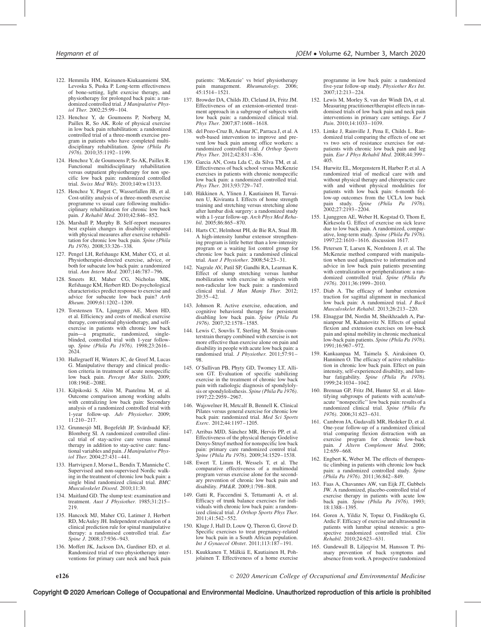- 122. Hemmila HM, Keinanen-Kiukaanniemi SM, Levoska S, Puska P. Long-term effectiveness of bone-setting, light exercise therapy, and physiotherapy for prolonged back pain: a randomized controlled trial. J Manipulative Physiol Ther. 2002;25:99–104.
- 123. Henchoz Y, de Goumoens P, Norberg M, Paillex R, So AK. Role of physical exercise in low back pain rehabilitation: a randomized controlled trial of a three-month exercise program in patients who have completed multidisciplinary rehabilitation. Spine (Phila Pa 1976). 2010;35:1192–1199.
- 124. Henchoz Y, de Goumoens P, So AK, Paillex R. Functional multidisciplinary rehabilitation versus outpatient physiotherapy for non specific low back pain: randomized controlled trial. Swiss Med Wkly. 2010;140:w13133.
- 125. Henchoz Y, Pinget C, Wasserfallen JB, et al. Cost-utility analysis of a three-month exercise programme vs usual care following multidisciplinary rehabilitation for chronic low back pain. J Rehabil Med. 2010;42:846–852.
- 126. Marshall P, Murphy B. Self-report measures best explain changes in disability compared with physical measures after exercise rehabilitation for chronic low back pain. Spine (Phila Pa 1976). 2008;33:326-338.
- 127. Pengel LH, Refshauge KM, Maher CG, et al. Physiotherapist-directed exercise, advice, or both for subacute low back pain: a randomized trial. Ann Intern Med. 2007;146:787-796.
- 128. Smeets RJ, Maher CG, Nicholas MK, Refshauge KM, Herbert RD. Do psychological characteristics predict response to exercise and advice for subacute low back pain? Arth Rheum. 2009;61:1202–1209.
- 129. Torstensen TA, Ljunggren AE, Meen HD, et al. Efficiency and costs of medical exercise therapy, conventional physiotherapy, and selfexercise in patients with chronic low back pain—a pragmatic, randomized, singleblinded, controlled trial with 1-year followup. Spine (Phila Pa 1976). 1998;23:2616-2624.
- 130. Hallegraeff H, Winters JC, de Greef M, Lucas G. Manipulative therapy and clinical prediction criteria in treatment of acute nonspecific low back pain. Percept Mot Skills. 2009; 108:196E–208E.
- 131. Kilpikoski S, Alèn M, Paatelma M, et al. Outcome comparison among working adults with centralizing low back pain: Secondary analysis of a randomized controlled trial with 1-year follow-up. Adv Physiother. 2009;  $11:210-217$
- 132. Grunnesjö MI, Bogefeldt JP, Svärdsudd KF, Blomberg SI. A randomized controlled clinical trial of stay-active care versus manual therapy in addition to stay-active care: functional variables and pain. J Manipulative Physiol Ther. 2004;27:431–441.
- 133. Hartvigsen J, Morsø L, Bendix T, Manniche C. Supervised and non-supervised Nordic walking in the treatment of chronic low back pain: a single blind randomized clinical trial. BMC Musculoskelet Disord. 2010;11:30.
- 134. Maitland GD. The slump test: examination and treatment. Aust J Physiother. 1985;31:215-219.
- 135. Hancock MJ, Maher CG, Latimer J, Herbert RD, McAuley JH. Independent evaluation of a clinical prediction rule for spinal manipulative therapy: a randomised controlled trial. Eur Spine J. 2008;17:936-943.
- 136. Moffett JK, Jackson DA, Gardiner ED, et al. Randomized trial of two physiotherapy interventions for primary care neck and back pain

patients: 'McKenzie' vs brief physiotherapy pain management. Rheumatology. 2006; 45:1514–1521.

- 137. Browder DA, Childs JD, Cleland JA, Fritz JM. Effectiveness of an extension-oriented treatment approach in a subgroup of subjects with low back pain: a randomized clinical trial. Phys Ther. 2007;87:1608–1618.
- 138. del Pozo-Cruz B, Adsuar JC, Parraca J, et al. A web-based intervention to improve and prevent low back pain among office workers: a randomized controlled trial. J Orthop Sports Phys Ther. 2012;42:831–836.
- 139. Garcia AN, Costa Lda C, da Silva TM, et al. Effectiveness of back school versus McKenzie exercises in patients with chronic nonspecific low back pain: a randomized controlled trial. Phys Ther. 2013;93:729–747.
- 140. Häkkinen A, Ylinen J, Kautiainen H, Tarvainen U, Kiviranta I. Effects of home strength training and stretching versus stretching alone after lumbar disk surgery: a randomized study with a 1-year follow-up. Arch Phys Med Rehabil. 2005;86:865–870.
- 141. Harts CC, Helmhout PH, de Bie RA, Staal JB. A high-intensity lumbar extensor strengthening program is little better than a low-intensity program or a waiting list control group for chronic low back pain: a randomised clinical trial. Aust J Physiother. 2008;54:23–31.
- 142. Nagrale AV, Patil SP, Gandhi RA, Learman K. Effect of slump stretching versus lumbar mobilization with exercise in subjects with non-radicular low back pain: a randomized clinical trial. J Man Manip Ther. 2012; 20:35–42.
- 143. Johnson R. Active exercise, education, and cognitive behavioral therapy for persistent disabling low back pain. Spine (Phila Pa 1976). 2007;32:1578–1585.
- 144. Lewis C, Souvlis T, Sterling M. Strain-counterstrain therapy combined with exercise is not more effective than exercise alone on pain and disability in people with acute low back pain: a randomised trial. J Physiother. 2011;57:91-98.
- 145. O'Sullivan PB, Phyty GD, Twomey LT, Allison GT. Evaluation of specific stabilizing exercise in the treatment of chronic low back pain with radiologic diagnosis of spondylolysis or spondylolisthesis. Spine (Phila Pa 1976). 1997;22:2959–2967.
- 146. Wajswelner H, Metcalf B, Bennell K. Clinical Pilates versus general exercise for chronic low back pain: randomized trial. Med Sci Sports Exerc. 2012;44:1197–1205.
- 147. Arribas MJD, Sánchez MR, Hervás PP, et al. Effectiveness of the physical therapy Godelive Denys-Struyf method for nonspecific low back pain: primary care randomized control trial. Spine (Phila Pa 1976). 2009;34:1529–1538.
- 148. Ewert T, Limm H, Wessels T, et al. The comparative effectiveness of a multimodal program versus exercise alone for the secondary prevention of chronic low back pain and disability. PM&R. 2009;1:798–808.
- 149. Gatti R, Faccendini S, Tettamanti A, et al. Efficacy of trunk balance exercises for individuals with chronic low back pain: a randomized clinical trial. J Orthop Sports Phys Ther. 2011;41:542–552.
- 150. Kluge J, Hall D, Louw Q, Theron G, Grové D. Specific exercises to treat pregnancy-related low back pain in a South African population. Int J Gynaecol Obstet. 2011;113:187–191.
- 151. Kuukkanen T, Mälkiä E, Kautiainen H, Pohjolainen T. Effectiveness of a home exercise

programme in low back pain: a randomized five-year follow-up study. Physiother Res Int. 2007;12:213–224.

- 152. Lewis M, Morley S, van der Windt DA, et al. Measuring practitioner/therapist effects in randomised trials of low back pain and neck pain interventions in primary care settings.  $\vec{Eur}$  J Pain. 2010;14:1033-1039.
- 153. Limke J, Rainville J, Pena E, Childs L. Randomized trial comparing the effects of one set vs two sets of resistance exercises for outpatients with chronic low back pain and leg pain. Eur J Phys Rehabil Med. 2008;44:399–  $405.$
- 154. Hurwitz EL, Morgenstern H, Harber P, et al. A randomized trial of medical care with and without physical therapy and chiropractic care with and without physical modalities for patients with low back pain: 6-month follow-up outcomes from the UCLA low back pain study. Spine (Phila Pa 1976). 2002;27:2193–2204.
- 155. Ljunggren AE, Weber H, Kogstad O, Thom E, Kirkesola G. Effect of exercise on sick leave due to low back pain. A randomized, comparative, long-term study. Spine (Phila Pa 1976). 1997;22:1610–1616. discussion 1617.
- 156. Petersen T, Larsen K, Nordsteen J, et al. The McKenzie method compared with manipulation when used adjunctive to information and advice in low back pain patients presenting with centralization or peripheralization: a randomized controlled trial. Spine (Phila Pa 1976). 2011;36:1999–2010.
- 157. Diab A. The efficacy of lumbar extension traction for sagittal alignment in mechanical low back pain: A randomized trial. J Back Musculoskelet Rehabil. 2013;26:213–220.
- 158. Elnaggar IM, Nordin M, Sheikhzadeh A, Parnianpour M, Kahanovitz N. Effects of spinal flexion and extension exercises on low-back pain and spinal mobility in chronic mechanical low-back pain patients. Spine (Phila Pa 1976). 1991;16:967–972.
- 159. Kankaanpaa M, Taimela S, Airaksinen O, Hanninen O. The efficacy of active rehabilitation in chronic low back pain. Effect on pain intensity, self-experienced disability, and lumbar fatigability. Spine (Phila Pa 1976). 1999;24:1034–1042.
- 160. Brennan GP, Fritz JM, Hunter SJ, et al. Identifying subgroups of patients with acute/subacute ''nonspecific'' low back pain: results of a randomized clinical trial. Spine (Phila Pa 1976). 2006;31:623–631.
- 161. Cambron JA, Gudavalli MR, Hedeker D, et al. One-year follow-up of a randomized clinical trial comparing flexion distraction with an exercise program for chronic low-back pain. J Altern Complement Med. 2006;  $12.659 - 668$ .
- 162. Engbert K, Weber M. The effects of therapeutic climbing in patients with chronic low back pain: a randomized controlled study. Spine (Phila Pa 1976). 2011;36:842–849.
- 163. Faas A, Chavannes AW, van Eijk JT, Gubbels JW. A randomized, placebo-controlled trial of exercise therapy in patients with acute low back pain. Spine (Phila Pa 1976). 1993; 18:1388–1395.
- 164. Goren A, Yildiz N, Topuz O, Findikoglu G, Ardic F. Efficacy of exercise and ultrasound in patients with lumbar spinal stenosis: a prospective randomized controlled trial. Clin Rehabil. 2010;24:623–631.
- 165. Gundewall B, Liljeqvist M, Hansson T. Primary prevention of back symptoms and absence from work. A prospective randomized

e126  $\qquad \qquad \circ$ 2020 American College of Occupational and Environmental Medicine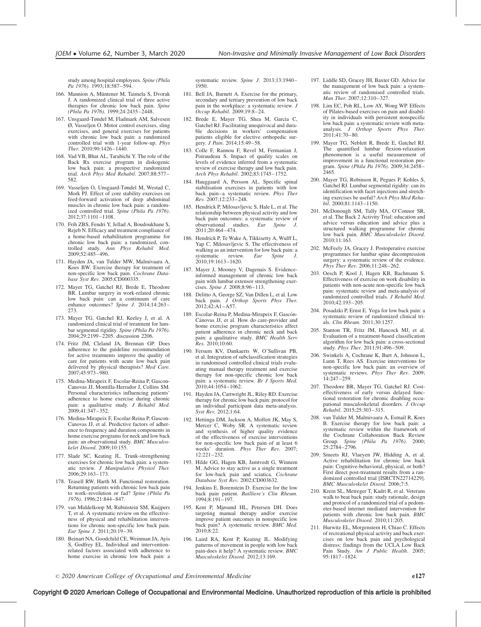study among hospital employees. Spine (Phila Pa 1976). 1993;18:587–594.

- 166. Mannion A, Müntener M, Taimela S, Dvorak J. A randomized clinical trial of three active therapies for chronic low back pain. Spine (Phila Pa 1976). 1999;24:2435–2448.
- 167. Unsgaard-Tøndel M, Fladmark AM, Salvesen Ø, Vasseljen O. Motor control exercises, sling exercises, and general exercises for patients with chronic low back pain: a randomized controlled trial with 1-year follow-up. Phys Ther. 2010;90:1426–1440.
- 168. Vad VB, Bhat AL, Tarabichi Y. The role of the Back Rx exercise program in diskogenic low back pain: a prospective randomized trial. Arch Phys Med Rehabil. 2007;88:577– 582.
- 169. Vasseljen O, Unsgaard-Tøndel M, Westad C, Mork PJ. Effect of core stability exercises on feed-forward activation of deep abdominal muscles in chronic low back pain: a randomized controlled trial. Spine (Phila Pa 1976). 2012;37:1101–1108.
- 170. Frih ZBS, Fendri Y, Jellad A, Boudoukhane S, Rejeb N. Efficacy and treatment compliance of a home-based rehabilitation programme for chronic low back pain: a randomized, controlled study. Ann Phys Rehabil Med. 2009;52:485–496.
- 171. Hayden JA, van Tulder MW, Malmivaara A, Koes BW. Exercise therapy for treatment of non-specific low back pain. Cochrane Database Syst Rev. 2005;CD000335.
- 172. Mayer TG, Gatchel RJ, Brede E, Theodore BR. Lumbar surgery in work-related chronic low back pain: can a continuum of care enhance outcomes? Spine J. 2014;14:263– 273.
- 173. Mayer TG, Gatchel RJ, Keeley J, et al. A randomized clinical trial of treatment for lumbar segmental rigidity. Spine (Phila Pa 1976). 2004;29:2199–2205. discussion 2206.
- 174. Fritz JM, Cleland JA, Brennan GP. Does adherence to the guideline recommendation for active treatments improve the quality of care for patients with acute low back pain delivered by physical therapists? Med Care. 2007;45:973–980.
- 175. Medina-Mirapeix F, Escolar-Reina P, Gascon-Canovas JJ, Montilla-Herrador J, Collins SM. Personal characteristics influencing patients' adherence to home exercise during chronic pain: a qualitative study. J Rehabil Med. 2009;41:347–352.
- 176. Medina-Mirapeix F, Escolar-Reina P, Gascon-Canovas JJ, et al. Predictive factors of adherence to frequency and duration components in home exercise programs for neck and low back pain: an observational study. BMC Musculoskelet Disord. 2009;10:155.
- 177. Slade SC, Keating JL. Trunk-strengthening exercises for chronic low back pain: a systematic review. J Manipulative Physiol Ther. 2006;29:163–173.
- 178. Teasell RW, Harth M. Functional restoration. Returning patients with chronic low back pain to work–revolution or fad? Spine (Phila Pa 1976). 1996;21:844–847.
- 179. van Middelkoop M, Rubinstein SM, Kuijpers T, et al. A systematic review on the effectiveness of physical and rehabilitation interventions for chronic non-specific low back pain. Eur Spine J. 2011;20:19–39.
- 180. Beinart NA, Goodchild CE, Weinman JA, Ayis S, Godfrey EL. Individual and interventionrelated factors associated with adherence to home exercise in chronic low back pain: a

systematic review. Spine J. 2013;13:1940-1950.

- 181. Bell JA, Burnett A. Exercise for the primary, secondary and tertiary prevention of low back pain in the workplace: a systematic review. J Occup Rehabil. 2009;19:8–24.
- 182. Brede E, Mayer TG, Shea M, Garcia C, Gatchel RJ. Facilitating unequivocal and durable decisions in workers' compensation patients eligible for elective orthopedic surgery. J Pain. 2014;15:49-58.
- 183. Colle F, Rannou F, Revel M, Fermanian J, Poiraudeau S. Impact of quality scales on levels of evidence inferred from a systematic review of exercise therapy and low back pain. Arch Phys Rehabil. 2002;83:1745–1752.
- 184. Hauggaard A, Persson AL. Specific spinal stabilisation exercises in patients with low back pain–a systematic review. Phys Ther Rev. 2007;12:233–248.
- 185. Hendrick P, Milosavljevic S, Hale L, et al. The relationship between physical activity and low back pain outcomes: a systematic review of observational studies. Eur Spine J. observational studies. 2011;20:464–474.
- 186. Hendrick P, Te Wake A, Tikkisetty A, Wulff L, Yap C, Milosavljevic S. The effectiveness of walking as an intervention for low back pain: a<br>systematic review.  $Eur$  Spine J. systematic review. Eur Spine J. 2010;19:1613–1620.
- 187. Mayer J, Mooney V, Dagenais S. Evidenceinformed management of chronic low back pain with lumbar extensor strengthening exercises. Spine J. 2008;8:96–113.
- 188. Delitto A, George SZ, Van Dillen L, et al. Low back pain. J Orthop Sports Phys Ther. 2012;42:A1–A57.
- 189. Escolar-Reina P, Medina-Mirapeix F, Gascón-Cánovas JJ, et al. How do care-provider and home exercise program characteristics affect patient adherence in chronic neck and back pain: a qualitative study. BMC Health Serv Res. 2010;10:60.
- 190. Fersum KV, Dankaerts W, O'Sullivan PB, et al. Integration of subclassification strategies in randomised controlled clinical trials evaluating manual therapy treatment and exercise therapy for non-specific chronic low back pain: a systematic review. Br J Sports Med. 2010;44:1054–1062.
- 191. Hayden JA, Cartwright JL, Riley RD. Exercise therapy for chronic low back pain: protocol for an individual participant data meta-analysis. Syst Rev. 2012;1:64.
- 192. Hettinga DM, Jackson A, Moffett JK, May S, Mercer C, Woby SR. A systematic review and synthesis of higher quality evidence of the effectiveness of exercise interventions for non-specific low back pain of at least 6 weeks' duration. *Phys Ther Rev.* 2007; 12:221–232.
- 193. Hilde GG, Hagen KB, Jamtvedt G, Winnem M. Advice to stay active as a single treatment for low-back pain and sciatica. Cochrane Database Syst Rev. 2002;CD003632.
- 194. Jenkins E, Borenstein D. Exercise for the low back pain patient. Bailliere's Clin Rheum. 1994;8:191–197.
- 195. Kent P, Mjøsund HL, Petersen DH. Does targeting manual therapy and/or exercise improve patient outcomes in nonspecific low back pain? A systematic review. BMC Med. 2010;8:22.
- 196. Laird RA, Kent P, Keating JL. Modifying patterns of movement in people with low back pain-does it help? A systematic review. BMC Musculoskelet Disord. 2012;13:169.
- 197. Liddle SD, Gracey JH, Baxter GD. Advice for the management of low back pain: a systematic review of randomised controlled trials. Man Ther. 2007;12:310–327.
- 198. Lim EC, Poh RL, Low AY, Wong WP. Effects of Pilates-based exercises on pain and disability in individuals with persistent nonspecific low back pain: a systematic review with metaanalysis. J Orthop Sports Phys Ther. 2011;41:70–80.
- 199. Mayer TG, Neblett R, Brede E, Gatchel RJ. The quantified lumbar flexion-relaxation phenomenon is a useful measurement of improvement in a functional restoration program. Spine (Phila Pa 1976). 2009;34:2458– 2465.
- 200. Mayer TG, Robinson R, Pegues P, Kohles S, Gatchel RJ. Lumbar segmental rigidity: can its identification with facet injections and stretching exercises be useful? Arch Phys Med Rehabil. 2000;81:1143–1150.
- 201. McDonough SM, Tully MA, O'Connor SR, et al. The Back 2 Activity Trial: education and advice versus education and advice plus a structured walking programme for chronic low back pain. BMC Musculoskelet Disord. 2010;11:163.
- 202. McFeely JA, Gracey J. Postoperative exercise programmes for lumbar spine decompression surgery: a systematic review of the evidence. Phys Ther Rev. 2006;11:248–262.
- 203. Oesch P, Kool J, Hagen KB, Bachmann S. Effectiveness of exercise on work disability in patients with non-acute non-specific low back pain: systematic review and meta-analysis of randomized controlled trials. J Rehabil Med. 2010;42:193–205.
- 204. Posadzki P, Ernst E. Yoga for low back pain: a systematic review of randomized clinical trials. Clin Rheum. 2011;30:1257.
- 205. Stanton TR, Fritz JM, Hancock MJ, et al. Evaluation of a treatment-based classification algorithm for low back pain: a cross-sectional study. Phys Ther. 2011;91:496-509.
- 206. Swinkels A, Cochrane K, Burt A, Johnson L, Lunn T, Rees AS. Exercise interventions for non-specific low back pain: an overview of systematic reviews. Phys Ther Rev. 2009; 14:247–259.
- 207. Theodore BR, Mayer TG, Gatchel RJ. Costeffectiveness of early versus delayed functional restoration for chronic disabling occupational musculoskeletal disorders.  $\overline{J}$  Occup Rehabil. 2015;25:303–315.
- 208. van Tulder M, Malmivaara A, Esmail R, Koes B. Exercise therapy for low back pain: a systematic review within the framework of the Cochrane Collaboration Back Review<br>Group. Spine (Phila Pa 1976). 2000;  $(Phi \; Pa \; 1976).$  2000: 25:2784–2796.
- 209. Smeets RJ, Vlaeyen JW, Hidding A, et al. Active rehabilitation for chronic low back pain: Cognitive-behavioral, physical, or both? First direct post-treatment results from a randomized controlled trial [ISRCTN22714229]. BMC Musculoskelet Disord. 2006;7:5.
- 210. Krein SL, Metreger T, Kadri R, et al. Veterans walk to beat back pain: study rationale, design and protocol of a randomized trial of a pedometer-based internet mediated intervention for patients with chronic low back pain. BMC Musculoskelet Disord. 2010;11:205.
- 211. Hurwitz EL, Morgenstern H, Chiao C. Effects of recreational physical activity and back exercises on low back pain and psychological distress: findings from the UCLA Low Back Pain Study. Am J Public Health. 2005; 95:1817–1824.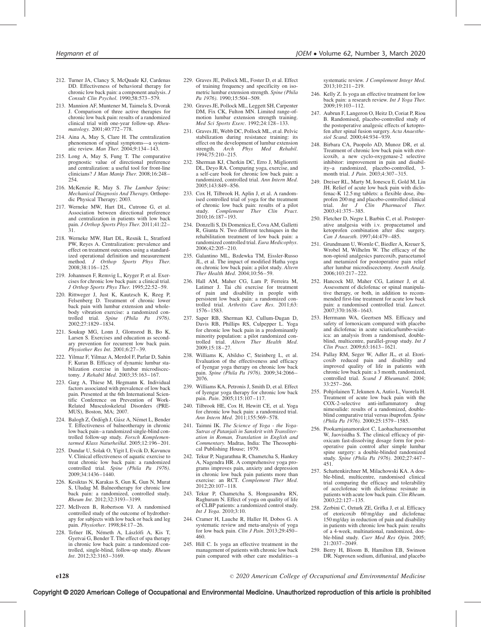- 212. Turner JA, Clancy S, McQuade KJ, Cardenas DD. Effectiveness of behavioral therapy for chronic low back pain: a component analysis. J Consult Clin Psychol. 1990;58:573–579.
- 213. Mannion AF, Muntener M, Taimela S, Dvorak J. Comparison of three active therapies for chronic low back pain: results of a randomized clinical trial with one-year follow-up. Rheumatology. 2001;40:772–778.
- 214. Aina A, May S, Clare H. The centralization phenomenon of spinal symptoms—a systematic review. Man Ther.  $200\hat{4}$ :9:134-143.
- 215. Long A, May S, Fung T. The comparative prognostic value of directional preference and centralization: a useful tool for front-line clinicians? J Man Manip Ther. 2008;16:248– 254.
- 216. McKenzie R, May S. The Lumbar Spine: Mechanical Diagnosis And Therapy. Orthopedic Physical Therapy; 2003.
- 217. Werneke MW, Hart DL, Cutrone G, et al. Association between directional preference and centralization in patients with low back pain. J Orthop Sports Phys Ther. 2011;41:22– 31.
- 218. Werneke MW, Hart DL, Resnik L, Stratford PW, Reyes A. Centralization: prevalence and effect on treatment outcomes using a standardized operational definition and measurement method. J Orthop Sports Phys Ther. 2008;38:116–125.
- 219. Johannsen F, Remvig L, Kryger P, et al. Exercises for chronic low back pain: a clinical trial. J Orthop Sports Phys Ther. 1995;22:52–59.
- 220. Rittweger J, Just K, Kautzsch K, Reeg P, Felsenberg D. Treatment of chronic lower back pain with lumbar extension and wholebody vibration exercise: a randomized controlled trial. Spine (Phila Pa 1976). 2002;27:1829–1834.
- 221. Soukup MG, Lonn J, Glomsrod B, Bo K, Larsen S. Exercises and education as secondary prevention for recurrent low back pain. Physiother Res Int. 2001;6:27–39.
- 222. Yilmaz F, Yilmaz A, Merdol F, Parlar D, Sahin F, Kuran B. Efficacy of dynamic lumbar stabilization exercise in lumbar microdiscectomy. J Rehabil Med. 2003;35:163–167.
- 223. Garg A, Thiese M, Hegmann K. Individual factors associated with prevalence of low back pain. Presented at the 6th International Scientific Conference on Prevention of Work-Related Musculoskeletal Disorders (PRE-MUS), Boston, MA; 2007.
- 224. Balogh Z, Ördögh J, Gász A, Német L, Bender T. Effectiveness of balneotherapy in chronic low back pain–a randomized single-blind controlled follow-up study. Forsch Komplementarmed Klass Naturheilkd. 2005;12:196–201.
- 225. Dundar U, Solak O, Yigit I, Evcik D, Kavuncu V. Clinical effectiveness of aquatic exercise to treat chronic low back pain: a randomized controlled trial. Spine (Phila Pa 1976). 2009;34:1436–1440.
- 226. Kesiktas N, Karakas S, Gun K, Gun N, Murat S, Uludag M. Balneotherapy for chronic low back pain: a randomized, controlled study. Rheum Int. 2012;32:3193–3199.
- 227. McIlveen B, Robertson VJ. A randomised controlled study of the outcome of hydrotherapy for subjects with low back or back and leg pain. Physiother. 1998;84:17–26.
- 228. Tefner IK, Németh A, Lászlófi A, Kis T, Gyetvai G, Bender T. The effect of spa therapy in chronic low back pain: a randomized controlled, single-blind, follow-up study. Rheum Int. 2012;32:3163–3169.
- 229. Graves JE, Pollock ML, Foster D, et al. Effect of training frequency and specificity on isometric lumbar extension strength. Spine (Phila Pa 1976). 1990;15:504-509.
- 230. Graves JE, Pollock ML, Leggett SH, Carpenter DM, Fix CK, Fulton MN. Limited range-ofmotion lumbar extension strength training. Med Sci Sports Exerc. 1992;24:128–133.
- 231. Graves JE, Webb DC, Pollock ML, et al. Pelvic stabilization during resistance training: its effect on the development of lumbar extension<br>strength. Arch Phys Med Rehabil. Arch Phys Med Rehabil. 1994;75:210–215.
- 232. Sherman KJ, Cherkin DC, Erro J, Miglioretti DL, Deyo RA. Comparing yoga, exercise, and a self-care book for chronic low back pain: a randomized, controlled trial. Ann Intern Med. 2005;143:849–856.
- 233. Cox H, Tilbrook H, Aplin J, et al. A randomised controlled trial of yoga for the treatment of chronic low back pain: results of a pilot study. Complement Ther Clin Pract. 2010;16:187–193.
- 234. Donzelli S, Di Domenica E, Cova AM, Galletti R, Giunta N. Two different techniques in the rehabilitation treatment of low back pain: a randomized controlled trial. Eura Medicophys. 2006;42:205–210.
- 235. Galantino ML, Bzdewka TM, Eissler-Russo JL, et al. The impact of modified Hatha yoga on chronic low back pain: a pilot study. Altern Ther Health Med. 2004;10:56–59.
- 236. Hall AM, Maher CG, Lam P, Ferreira M, Latimer J. Tai chi exercise for treatment of pain and disability in people with persistent low back pain: a randomized controlled trial. Arthritis Care Res. 2011;63: 1576–1583.
- 237. Saper RB, Sherman KJ, Cullum-Dugan D, Davis RB, Phillips RS, Culpepper L. Yoga for chronic low back pain in a predominantly minority population: a pilot randomized controlled trial. Altern Ther Health Med. 2009;15:18–27.
- 238. Williams K, Abildso C, Steinberg L, et al. Evaluation of the effectiveness and efficacy of Iyengar yoga therapy on chronic low back pain. Spine (Phila Pa 1976). 2009;34:2066-2076.
- 239. Williams KA, Petronis J, Smith D, et al. Effect of Iyengar yoga therapy for chronic low back pain. Pain. 2005;115:107–117.
- 240. Tilbrook HE, Cox H, Hewitt CE, et al. Yoga for chronic low back pain: a randomized trial. Ann Intern Med. 2011;155:569-578.
- 241. Taimni IK. The Science of Yoga the Yoga-Sutras of Patanjali in Sanskrit with Transliteration in Roman, Translation in English and Commentary. Madras, India: The Theosophical Publishing House; 1979.
- 242. Tekur P, Nagarathna R, Chametcha S, Hankey A, Nagendra HR. A comprehensive yoga programs improves pain, anxiety and depression in chronic low back pain patients more than exercise: an RCT. Complement Ther Med. 2012;20:107–118.
- 243. Tekur P, Chametcha S, Hongasandra RN, Raghuram N. Effect of yoga on quality of life of CLBP patients: a randomized control study. Int J Yoga. 2010;3:10.
- 244. Cramer H, Lauche R, Haller H, Dobos G. A systematic review and meta-analysis of yoga for low back pain. Clin J Pain. 2013;29:450– 460.
- 245. Hill C. Is yoga an effective treatment in the management of patients with chronic low back pain compared with other care modalities–a

systematic review. J Complement Integr Med. 2013;10:211–219.

- 246. Kelly Z. Is yoga an effective treatment for low back pain: a research review. Int J Yoga Ther. 2009;19:103–112.
- 247. Aubrun F, Langeron O, Heitz D, Coriat P, Riou B. Randomised, placebo-controlled study of the postoperative analgesic effects of ketoprofen after spinal fusion surgery. Acta Anaesthesiol Scand. 2000;44:934–939.
- 248. Birbara CA, Puopolo AD, Munoz DR, et al. Treatment of chronic low back pain with etoricoxib, a new cyclo-oxygenase-2 selective inhibitor: improvement in pain and disability–a randomized, placebo-controlled, 3 month trial. J Pain. 2003;4:307–315.
- 249. Dreiser RL, Marty M, Ionescu E, Gold M, Liu JH. Relief of acute low back pain with diclofenac-K 12.5 mg tablets: a flexible dose, ibuprofen 200 mg and placebo-controlled clinical<br>trial. Int J Clin Pharmacol Ther. 2003;41:375–385.
- 250. Fletcher D, Negre I, Barbin C, et al. Postoperative analgesia with i.v. propacetamol and ketoprofen combination after disc surgery. Can J Anaesth. 1997;44:479–485.
- 251. Grundmann U, Wornle C, Biedler A, Kreuer S, Wrobel M, Wilhelm W. The efficacy of the non-opioid analgesics parecoxib, paracetamol and metamizol for postoperative pain relief after lumbar microdiscectomy. Anesth Analg. 2006;103:217–222.
- 252. Hancock MJ, Maher CG, Latimer J, et al. Assessment of diclofenac or spinal manipulative therapy, or both, in addition to recommended first-line treatment for acute low back pain: a randomised controlled trial. Lancet 2007;370:1638–1643.
- 253. Herrmann WA, Geertsen MS. Efficacy and safety of lornoxicam compared with placebo and diclofenac in acute sciatica/lumbo-sciatica: an analysis from a randomised, doubleblind, multicentre, parallel-group study. Int J Clin Pract. 2009;63:1613–1621.
- 254. Pallay RM, Seger W, Adler JL, et al. Etoricoxib reduced pain and disability and improved quality of life in patients with chronic low back pain: a 3 month, randomized, controlled trial. Scand J Rheumatol. 2004; 33:257–266.
- 255. Pohjolainen T, Jekunen A, Autio L, Vuorela H. Treatment of acute low back pain with the COX-2-selective anti-inflammatory drug nimesulide: results of a randomized, doubleblind comparative trial versus ibuprofen. Spine (Phila Pa 1976). 2000;25:1579–1585.
- 256. Pookarnjanamorakot C, Laohacharoensombat W, Jaovisidha S. The clinical efficacy of piroxicam fast-dissolving dosage form for postoperative pain control after simple lumbar spine surgery: a double-blinded randomized study. Spine (Phila Pa 1976). 2002;27:447– 451.
- 257. Schattenkirchner M, Milachowski KA. A double-blind, multicentre, randomised clinical trial comparing the efficacy and tolerability of aceclofenac with diclofenac resinate in patients with acute low back pain. Clin Rheum. 2003;22:127–135.
- 258. Zerbini C, Ozturk ZE, Grifka J, et al. Efficacy of etoricoxib 60 mg/day and diclofenac 150 mg/day in reduction of pain and disability in patients with chronic low back pain: results of a 4-week, multinational, randomized, double-blind study. Curr Med Res Opin. 2005; 21:2037–2049.
- 259. Berry H, Bloom B, Hamilton EB, Swinson DR. Naproxen sodium, diflunisal, and placebo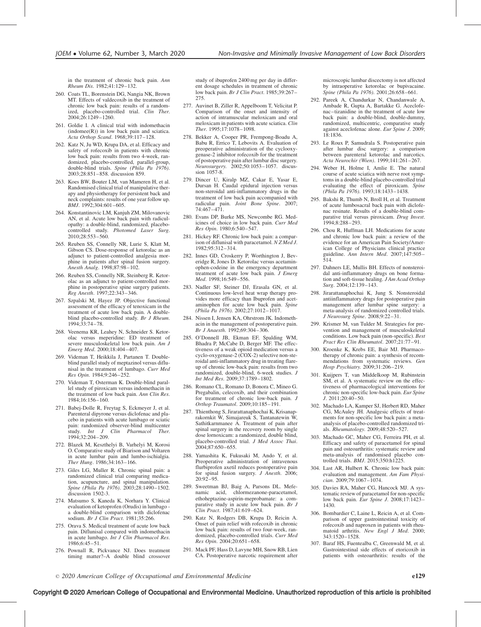in the treatment of chronic back pain. Ann Rheum Dis. 1982;41:129–132.

- 260. Coats TL, Borenstein DG, Nangia NK, Brown MT. Effects of valdecoxib in the treatment of chronic low back pain: results of a randomized, placebo-controlled trial. Clin Ther. 2004;26:1249–1260.
- 261. Goldie I. A clinical trial with indomethacin  $(indone(R))$  in low back pain and sciatica. Acta Orthop Scand. 1968;39:117-128.
- 262. Katz N, Ju WD, Krupa DA, et al. Efficacy and safety of rofecoxib in patients with chronic low back pain: results from two 4-week, randomized, placebo-controlled, parallel-group, double-blind trials. Spine (Phila Pa 1976). 2003;28:851–858. discussion 859.
- 263. Koes BW, Bouter LM, van Mameren H, et al. Randomised clinical trial of manipulative therapy and physiotherapy for persistent back and neck complaints: results of one year follow up. BMJ. 1992;304:601–605.
- 264. Konstantinovic LM, Kanjuh ZM, Milovanovic AN, et al. Acute low back pain with radiculopathy: a double-blind, randomized, placebocontrolled study. Photomed Laser Surg. 2010;28:553–560.
- 265. Reuben SS, Connelly NR, Lurie S, Klatt M, Gibson CS. Dose-response of ketorolac as an adjunct to patient-controlled analgesia morphine in patients after spinal fusion surgery. Anesth Analg. 1998;87:98–102.
- 266. Reuben SS, Connelly NR, Steinberg R. Ketorolac as an adjunct to patient-controlled morphine in postoperative spine surgery patients. Reg Anesth. 1997;22:343–346.
- 267. Szpalski M, Hayez JP. Objective functional assessment of the efficacy of tenoxicam in the treatment of acute low back pain. A doubleblind placebo-controlled study. Br J Rheum. 1994;33:74–78.
- 268. Veenema KR, Leahey N, Schneider S. Ketorolac versus meperidine: ED treatment of severe musculoskeletal low back pain. Am J Emerg Med. 2000;18:404–407.
- 269. Videman T, Heikkila J, Partanen T. Doubleblind parallel study of meptazinol versus diflunisal in the treatment of lumbago. Curr Med Res Opin. 1984;9:246–252.
- 270. Videman T, Osterman K. Double-blind parallel study of piroxicam versus indomethacin in the treatment of low back pain. Ann Clin Res. 1984;16:156–160.
- 271. Babej-Dolle R, Freytag S, Eckmeyer J, et al. Parenteral dipyrone versus diclofenac and placebo in patients with acute lumbago or sciatic pain: randomized observer-blind multicenter study. Int J Clin Pharmacol Ther. 1994;32:204–209.
- 272. Blazek M, Keszthelyi B, Varhelyi M, Korosi O. Comparative study of Biarison and Voltaren in acute lumbar pain and lumbo-ischialgia. Ther Hung. 1986;34:163–166.
- 273. Giles LG, Muller R. Chronic spinal pain: a randomized clinical trial comparing medication, acupuncture, and spinal manipulation. Spine (Phila Pa 1976). 2003;28:1490–1502. discussion 1502-3.
- 274. Matsumo S, Kaneda K, Norhara Y. Clinical evaluation of ketoprofen (Orudis) in lumbago a double-blind comparison with diclofenac sodium. *Br J Clin Pract.* 1981:35:266.
- 275. Orava S. Medical treatment of acute low back pain. Diflunisal compared with indomethacin in acute lumbago. Int J Clin Pharmacol Res. 1986;6:45–51.
- 276. Pownall R, Pickvance NJ. Does treatment timing matter?–A double blind crossover

study of ibuprofen 2400 mg per day in different dosage schedules in treatment of chronic low back pain. Br J Clin Pract. 1985;39:267– 275.

- 277. Auvinet B, Ziller R, Appelboom T, Velicitat P. Comparison of the onset and intensity of action of intramuscular meloxicam and oral meloxicam in patients with acute sciatica. Clin Ther. 1995;17:1078–1098.
- 278. Bekker A, Cooper PR, Frempong-Boadu A, Babu R, Errico T, Lebovits A. Evaluation of preoperative administration of the cyclooxygenase-2 inhibitor rofecoxib for the treatment of postoperative pain after lumbar disc surgery. Neurosurgery. 2002;50:1053–1057. discussion 1057-8<sup>-1</sup>
- 279. Dincer U, Kiralp MZ, Cakar E, Yasar E, Dursan H. Caudal epidural injection versus non-steroidal anti-inflammatory drugs in the treatment of low back pain accompanied with radicular pain. Joint Bone Spine. 2007; 74:467–471.
- 280. Evans DP, Burke MS, Newcombe RG. Medicines of choice in low back pain. Curr Med Res Opin. 1980;6:540–547.
- 281. Hickey RF. Chronic low back pain: a comparison of diflunisal with paracetamol.  $NZ$  Med J. 1982;95:312–314.
- 282. Innes GD, Croskerry P, Worthington J, Beveridge R, Jones D. Ketorolac versus acetaminophen-codeine in the emergency department treatment of acute low back pain. J Emerg Med. 1998;16:549–556.
- 283. Nadler SF, Steiner DJ, Erasala GN, et al. Continuous low-level heat wrap therapy provides more efficacy than Ibuprofen and acetaminophen for acute low back pain. Spine (Phila Pa 1976). 2002;27:1012–1017.
- 284. Nissen I, Jensen KA, Ohrstrom JK. Indomethacin in the management of postoperative pain. Br J Anaesth. 1992;69:304–306.
- 285. O'Donnell JB, Ekman EF, Spalding WM, Bhadra P, McCabe D, Berger MF. The effectiveness of a weak opioid medication versus a cyclo-oxygenase-2 (COX-2) selective non-steroidal anti-inflammatory drug in treating flareup of chronic low-back pain: results from two randomized, double-blind, 6-week studies. J Int Med Res. 2009;37:1789–1802.
- 286. Romano CL, Romano D, Bonora C, Mineo G. Pregabalin, celecoxib, and their combination for treatment of chronic low-back pain. J Orthop Traumatol. 2009;10:185–191.
- 287. Thienthong S, Jirarattanaphochai K, Krisanaprakornkit W, Simajareuk S, Tantanatewin W, Sathitkarnmanee A. Treatment of pain after spinal surgery in the recovery room by single dose lornoxicam: a randomized, double blind, placebo-controlled trial. J Med Assoc Thai. 2004;87:650–655.
- 288. Yamashita K, Fukusaki M, Ando Y, et al. Preoperative administration of intravenous flurbiprofen axetil reduces postoperative pain for spinal fusion surgery.  $J$  Anesth. 2006;  $20.92 - 95$
- 289. Sweetman BJ, Baig A, Parsons DL. Mefenamic acid, chlormezanone-paracetamol, ethoheptazine-aspirin-meprobamate: a comparative study in acute low back pain. Br J Clin Pract. 1987;41:619–624.
- 290. Katz N, Rodgers DB, Krupa D, Reicin A. Onset of pain relief with rofecoxib in chronic low back pain: results of two four-week, randomized, placebo-controlled trials. Curr Med Res Opin. 2004;20:651–658.
- 291. Mack PF, Hass D, Lavyne MH, Snow RB, Lien CA. Postoperative narcotic requirement after

microscopic lumbar discectomy is not affected by intraoperative ketorolac or bupivacaine. Spine (Phila Pa 1976). 2001;26:658-661.

- 292. Pareek A, Chandurkar N, Chandanwale A, Ambade R, Gupta A, Bartakke G. Aceclofenac–tizanidine in the treatment of acute low back pain: a double-blind, double-dummy, randomized, multicentric, comparative study against aceclofenac alone. Eur Spine J. 2009; 18:1836.
- 293. Le Roux P, Samudrala S. Postoperative pain after lumbar disc surgery: a comparison between parenteral ketorolac and narcotics. Acta Neurochir (Wien). 1999;141:261–267.
- 294. Weber H, Holme I, Amlie E. The natural course of acute sciatica with nerve root symptoms in a double-blind placebo-controlled trial evaluating the effect of piroxicam. Spine (Phila Pa 1976). 1993;18:1433–1438.
- 295. Bakshi R, Thumb N, Broll H, et al. Treatment of acute lumbosacral back pain with diclofenac resinate. Results of a double-blind comparative trial versus piroxicam. Drug Invest. 1994;8:288–293.
- 296. Chou R, Huffman LH. Medications for acute and chronic low back pain: a review of the evidence for an American Pain Society/American College of Physicians clinical practice guideline. Ann Intern Med. 2007;147:505– 514.
- 297. Dahners LE, Mullis BH. Effects of nonsteroidal anti-inflammatory drugs on bone formation and soft-tissue healing. J Am Acad Orthop Surg. 2004;12:139–143.
- 298. Jirarattanaphochai K, Jung S. Nonsteroidal antiinflammatory drugs for postoperative pain management after lumbar spine surgery: a meta-analysis of randomized controlled trials. J Neurosurg Spine. 2008;9:22–31.
- 299. Krismer M, van Tulder M. Strategies for prevention and management of musculoskeletal conditions. Low back pain (non-specific). Best Pract Res Clin Rheumatol. 2007;21:77–91.
- 300. Kroenke K, Krebs EE, Bair MJ. Pharmacotherapy of chronic pain: a synthesis of recommendations from systematic reviews. Gen Hosp Psychiatry. 2009;31:206–219.
- 301. Kuijpers T, van Middelkoop M, Rubinstein SM, et al. A systematic review on the effectiveness of pharmacological interventions for chronic non-specific low-back pain. Eur Spine  $J. 2011;20:40-50.$
- 302. Machado LA, Kamper SJ, Herbert RD, Maher CG, McAuley JH. Analgesic effects of treatments for non-specific low back pain: a metaanalysis of placebo-controlled randomized trials. Rheumatology. 2009;48:520–527.
- 303. Machado GC, Maher CG, Ferreira PH, et al. Efficacy and safety of paracetamol for spinal pain and osteoarthritis: systematic review and meta-analysis of randomised placebo controlled trials. BMJ. 2015;350:h1225.
- 304. Last AR, Hulbert K. Chronic low back pain: evaluation and management. Am Fam Physician. 2009;79:1067–1074.
- 305. Davies RA, Maher CG, Hancock MJ. A systematic review of paracetamol for non-specific low back pain. Eur Spine J. 2008;17:1423– 1430.
- 306. Bombardier C, Laine L, Reicin A, et al. Comparison of upper gastrointestinal toxicity of rofecoxib and naproxen in patients with rheumatoid arthritis. New Engl J Med. 2000; 343:1520–1528.
- 307. Baraf HS, Fuentealba C, Greenwald M, et al. Gastrointestinal side effects of etoricoxib in patients with osteoarthritis: results of the

### Copyright © 2020 American College of Occupational and Environmental Medicine. Unauthorized reproduction of this article is prohibited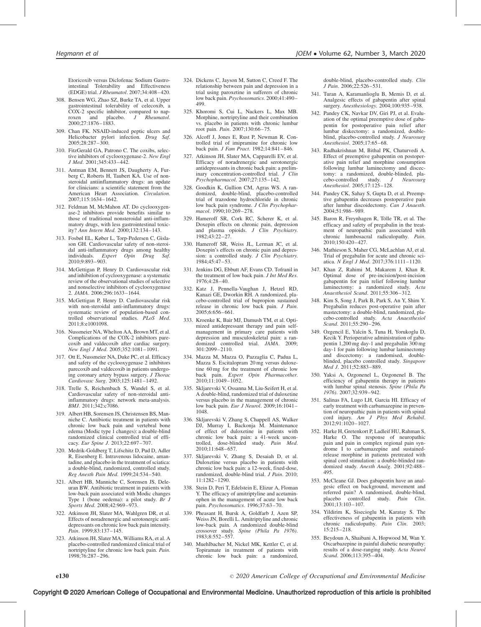Etoricoxib versus Diclofenac Sodium Gastrointestinal Tolerability and Effectiveness (EDGE) trial. J Rheumatol. 2007;34:408–420.

- 308. Bensen WG, Zhao SZ, Burke TA, et al. Upper gastrointestinal tolerability of celecoxib, a  $COX-2$  specific inhibitor, compared to nap-<br>roxen and placebo. *J* Rheumatol. and placebo. 2000;27:1876–1883.
- 309. Chan FK. NSAID-induced peptic ulcers and Helicobacter pylori infection. *Drug Saf.*<br>2005;28:287–300.
- 310. FitzGerald GA, Patrono C. The coxibs, selective inhibitors of cyclooxygenase-2. New Engl J Med. 2001;345:433–442.
- 311. Antman EM, Bennett JS, Daugherty A, Furberg C, Roberts H, Taubert KA. Use of nonsteroidal antiinflammatory drugs: an update for clinicians: a scientific statement from the American Heart Association. Circulation. 2007;115:1634–1642.
- 312. Feldman M, McMahon AT. Do cyclooxygenase-2 inhibitors provide benefits similar to those of traditional nonsteroidal anti-inflammatory drugs, with less gastrointestinal toxicity? Ann Intern Med. 2000;132:134–143.
- 313. Fosbøl EL, Køber L, Torp-Pedersen C, Gislason GH. Cardiovascular safety of non-steroidal anti-inflammatory drugs among healthy<br>individuals. Expert Opin Drug Saf.  $individuals.$  Expert  $Opin$  Drug 2010;9:893–903.
- 314. McGettigan P, Henry D. Cardiovascular risk and inhibition of cyclooxygenase: a systematic review of the observational studies of selective and nonselective inhibitors of cyclooxygenase 2. JAMA. 2006;296:1633–1644.
- 315. McGettigan P, Henry D. Cardiovascular risk with non-steroidal anti-inflammatory drugs: systematic review of population-based controlled observational studies. PLoS Med. 2011;8:e1001098.
- 316. Nussmeier NA, Whelton AA, Brown MT, et al. Complications of the COX-2 inhibitors parecoxib and valdecoxib after cardiac surgery. New Engl J Med. 2005;352:1081–1091.
- 317. Ott E, Nussmeier NA, Duke PC, et al. Efficacy and safety of the cyclooxygenase 2 inhibitors parecoxib and valdecoxib in patients undergoing coronary artery bypass surgery. J Thorac Cardiovasc Surg. 2003;125:1481–1492.
- 318. Trelle S, Reichenbach S, Wandel S, et al. Cardiovascular safety of non-steroidal antiinflammatory drugs: network meta-analysis. BMJ. 2011;342:c7086.
- 319. Albert HB, Sorensen JS, Christensen BS, Manniche C. Antibiotic treatment in patients with chronic low back pain and vertebral bone edema (Modic type 1 changes): a double-blind randomized clinical controlled trial of efficacy. Eur Spine J. 2013;22:697–707.
- 320. Medrik-Goldberg T, Lifschitz D, Pud D, Adler R, Eisenberg E. Intravenous lidocaine, amantadine, and placebo in the treatment of sciatica: a double-blind, randomized, controlled study. Reg Anesth Pain Med. 1999;24:534–540.
- 321. Albert HB, Manniche C, Sorensen JS, Deleuran BW. Antibiotic treatment in patients with low-back pain associated with Modic changes Type 1 (bone oedema): a pilot study. Br  $J$ Sports Med. 2008;42:969–973.
- 322. Atkinson JH, Slater MA, Wahlgren DR, et al. Effects of noradrenergic and serotonergic antidepressants on chronic low back pain intensity. Pain. 1999;83:137-145.
- 323. Atkinson JH, Slater MA, Williams RA, et al. A placebo-controlled randomized clinical trial of nortriptyline for chronic low back pain. Pain. 1998;76:287–296.
- 324. Dickens C, Jayson M, Sutton C, Creed F. The relationship between pain and depression in a trial using paroxetine in sufferers of chronic low back pain. Psychosomatics. 2000;41:490– 499.
- 325. Khoromi S, Cui L, Nackers L, Max MB. Morphine, nortriptyline and their combination vs. placebo in patients with chronic lumbar root pain. Pain. 2007;130:66–75.
- 326. Alcoff J, Jones E, Rust P, Newman R. Controlled trial of imipramine for chronic low back pain. J Fam Pract. 1982;14:841-846.
- 327. Atkinson JH, Slater MA, Capparelli EV, et al. Efficacy of noradrenergic and serotonergic antidepressants in chronic back pain: a preliminary concentration-controlled trial. J Clin Psychopharmacol. 2007;27:135–142.
- 328. Goodkin K, Gullion CM, Agras WS. A randomized, double-blind, placebo-controlled trial of trazodone hydrochloride in chronic low back pain syndrome. J Clin Psychopharmacol. 1990;10:269–278.
- 329. Hameroff SR, Cork RC, Scherer K, et al. Doxepin effects on chronic pain, depression and plasma opioids.  $J$   $Clin$   $Psychiatry$ . 1982;43:22–27.
- 330. Hameroff SR, Weiss JL, Lerman JC, et al. Doxepin's effects on chronic pain and depression: a controlled study.  $J$  Clin Psychiatry. 1984;45:47–53.
- 331. Jenkins DG, Ebbutt AF, Evans CD. Tofranil in the treatment of low back pain. J Int Med Res. 1976;4:28–40.
- 332. Katz J, Pennella-Vaughan J, Hetzel RD, Kanazi GE, Dworkin RH. A randomized, placebo-controlled trial of bupropion sustained release in chronic low back pain. J Pain. 2005;6:656–661.
- 333. Kroenke K, Bair MJ, Damush TM, et al. Optimized antidepressant therapy and pain selfmanagement in primary care patients with depression and musculoskeletal pain: a randomized controlled trial. JAMA. 2009; 301:2099–2110.
- 334. Mazza M, Mazza O, Pazzaglia C, Padua L, Mazza S. Escitalopram 20 mg versus duloxetine 60 mg for the treatment of chronic low back pain. Expert Opin Pharmacother. 2010;11:1049–1052.
- 335. Skljarevski V, Ossanna M, Liu-Seifert H, et al. A double-blind, randomized trial of duloxetine versus placebo in the management of chronic low back pain. Eur J Neurol. 2009;16:1041– 1048.
- 336. Skljarevski V, Zhang S, Chappell AS, Walker DJ, Murray I, Backonja M. Maintenance of effect of duloxetine in patients with chronic low back pain: a 41-week uncontrolled, dose-blinded study. Pain Med.  $2010 \cdot 11.648 - 657$
- 337. Skljarevski V, Zhang S, Desaiah D, et al. Duloxetine versus placebo in patients with chronic low back pain: a 12-week, fixed-dose, randomized, double-blind trial. J Pain. 2010; 11:1282–1290.
- 338. Stein D, Peri T, Edelstein E, Elizur A, Floman Y. The efficacy of amitriptyline and acetaminophen in the management of acute low back pain. Psychosomatics. 1996;37:63–70.
- 339. Pheasant H, Bursk A, Goldfarb J, Azen SP, Weiss JN, Borelli L. Amitriptyline and chronic low-back pain. A randomized double-blind crossover study. Spine (Phila Pa 1976). 1983;8:552–557.
- 340. Muehlbacher M, Nickel MK, Kettler C, et al. Topiramate in treatment of patients with chronic low back pain: a randomized,

double-blind, placebo-controlled study. Clin J Pain. 2006;22:526–531.

- 341. Turan A, Karamanlioglu B, Memis D, et al. Analgesic effects of gabapentin after spinal surgery. Anesthesiology. 2004;100:935-938.
- 342. Pandey CK, Navkar DV, Giri PJ, et al. Evaluation of the optimal preemptive dose of gabapentin for postoperative pain relief after lumbar diskectomy: a randomized, doubleblind, placebo-controlled study. J Neurosurg Anesthesiol. 2005;17:65–68.
- 343. Radhakrishnan M, Bithal PK, Chaturvedi A. Effect of preemptive gabapentin on postoperative pain relief and morphine consumption following lumbar laminectomy and discectomy: a randomized, double-blinded, pla-<br>cebo-controlled study. J Neurosurg cebo-controlled Anesthesiol. 2005;17:125–128.
- 344. Pandey CK, Sahay S, Gupta D, et al. Preemptive gabapentin decreases postoperative pain after lumbar discoidectomy. Can J Anaesth. 2004;51:986–989.
- 345. Baron R, Freynhagen R, Tölle TR, et al. The efficacy and safety of pregabalin in the treatment of neuropathic pain associated with chronic lumbosacral radiculopathy. Pain. 2010;150:420–427.
- 346. Mathieson S, Maher CG, McLachlan AJ, et al. Trial of pregabalin for acute and chronic sciatica. N Engl J Med. 2017;376:1111–1120.
- 347. Khan Z, Rahimi M, Makarem J, Khan R. Optimal dose of pre-incision/post-incision gabapentin for pain relief following lumbar laminectomy: a randomized study. Acta Anaesthesiol Scand. 2011;55:306–312.
- 348. Kim S, Song J, Park B, Park S, An Y, Shim Y. Pregabalin reduces post-operative pain after mastectomy: a double-blind, randomized, placebo-controlled study. Acta Anaesthesiol Scand. 2011;55:290–296.
- 349. Ozgencil E, Yalcin S, Tuna H, Yorukoglu D, Kecik Y. Perioperative administration of gabapentin 1,200 mg day-1 and pregabalin 300 mg day-1 for pain following lumbar laminectomy and discectomy: a randomised, doubleblinded, placebo controlled study. Singapore Med J. 2011;52:883-889.
- 350. Yaksi A, Ozgonenel L, Ozgonenel B. The efficiency of gabapentin therapy in patients with lumbar spinal stenosis. Spine (Phila Pa 1976). 2007;32:939–942.
- 351. Salinas FA, Lugo LH, Garcia HI. Efficacy of early treatment with carbamazepine in prevention of neuropathic pain in patients with spinal cord injury.  $Am^J$  *Phys Med Rehabil.* 2012;91:1020–1027.
- 352. Harke H, Gretenkort P, Ladleif HU, Rahman S, Harke O. The response of neuropathic pain and pain in complex regional pain syndrome I to carbamazepine and sustainedrelease morphine in patients pretreated with spinal cord stimulation: a double-blinded randomized study. Anesth Analg. 2001;92:488– 495.
- 353. McCleane GJ. Does gabapentin have an analgesic effect on background, movement and referred pain? A randomised, double-blind, placebo controlled study. Pain Clin. 2001;13:103–107.
- 354. Yildirim K, Sisecioglu M, Karatay S. The effectiveness of gabapentin in patients with chronic radiculopathy. Pain Clin. 2003; 15:215–218.
- 355. Beydoun A, Shaibani A, Hopwood M, Wan Y. Oxcarbazepine in painful diabetic neuropathy: results of a dose-ranging study. Acta Neurol Scand. 2006;113:395–404.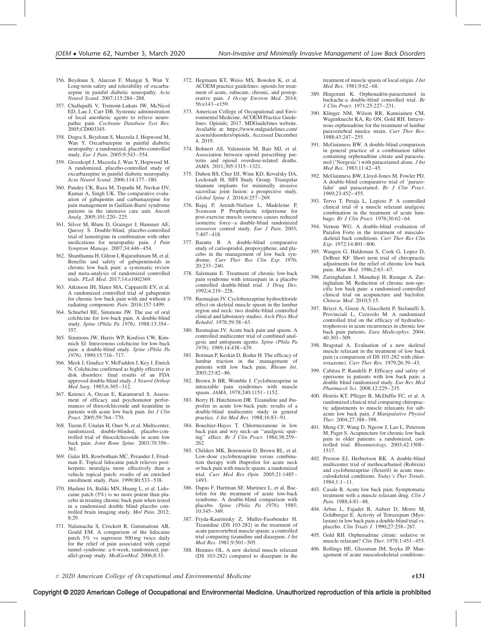- 356. Beydoun S, Alarcon F, Mangat S, Wan Y. Long-term safety and tolerability of oxcarbazepine in painful diabetic neuropathy. Acta Neurol Scand. 2007;115:284–288.
- 357. Challapalli V, Tremont-Lukats IW, McNicol ED, Lau J, Carr DB. Systemic administration of local anesthetic agents to relieve neuropathic pain. Cochrane Database Syst Rev. 2005;CD003345.
- 358. Dogra S, Beydoun S, Mazzola J, Hopwood M, Wan Y. Oxcarbazepine in painful diabetic neuropathy: a randomized, placebo-controlled study. Eur J Pain. 2005;9:543–554.
- 359. Grosskopf J, Mazzola J, Wan Y, Hopwood M. A randomized, placebo-controlled study of oxcarbazepine in painful diabetic neuropathy. Acta Neurol Scand. 2006;114:177–180.
- 360. Pandey CK, Raza M, Tripathi M, Navkar DV, Kumar A, Singh UK. The comparative evaluation of gabapentin and carbamazepine for pain management in Guillain-Barré syndrome patients in the intensive care unit. Anesth Analg. 2005;101:220–225.
- 361. Silver M, Blum D, Grainger J, Hammer AE, Quessy S. Double-blind, placebo-controlled trial of lamotrigine in combination with other medications for neuropathic pain. J Pain Symptom Manage. 2007;34:446–454.
- 362. Shanthanna H, Gilron I, Rajarathinam M, et al. Benefits and safety of gabapentinoids in chronic low back pain: a systematic review and meta-analysis of randomized controlled trials. PLoS Med. 2017;14:e1002369.
- 363. Atkinson JH, Slater MA, Capparelli EV, et al. A randomized controlled trial of gabapentin for chronic low back pain with and without a radiating component. Pain. 2016;157:1499.
- 364. Schnebel BE, Simmons JW. The use of oral colchicine for low-back pain. A double-blind study. Spine (Phila Pa 1976). 1988;13:354– 357.
- 365. Simmons JW, Harris WP, Koulisis CW, Kimmich SJ. Intravenous colchicine for low-back pain: a double-blind study. Spine (Phila Pa 1976). 1990;15:716–717.
- 366. Meek J, Giudice V, McFadden J, Key J, Enrick N. Colchicine confirmed as highly effective in disk disorders: final results of an FDA approved double-blind study. J Neurol Orthop Med Surg. 1985;6:305–312.
- 367. Ketenci A, Ozcan E, Karamursel S. Assessment of efficacy and psychomotor performances of thiocolchicoside and tizanidine in patients with acute low back pain. Int J Clin Pract. 2005;59:764–770.
- 368. Tuzun F, Unalan H, Oner N, et al. Multicenter, randomized, double-blinded, placebo-controlled trial of thiocolchicoside in acute low back pain. Joint Bone Spine. 2003;70:356– 361.
- 369. Galer BS, Rowbotham MC, Perander J, Friedman E. Topical lidocaine patch relieves postherpetic neuralgia more effectively than a vehicle topical patch: results of an enriched enrollment study. Pain. 1999;80:533-538.
- 370. Hashmi JA, Baliki MN, Huang L, et al. Lidocaine patch (5%) is no more potent than placebo in treating chronic back pain when tested in a randomised double blind placebo controlled brain imaging study. Mol Pain. 2012; 8:29.
- 371. Nalamachu S, Crockett R, Gammaitoni AR, Gould EM. A comparison of the lidocaine patch 5% vs naproxen 500 mg twice daily for the relief of pain associated with carpal tunnel syndrome: a 6-week, randomized, parallel-group study. MedGenMed. 2006;8:33.
- 372. Hegmann KT, Weiss MS, Bowden K, et al. ACOEM practice guidelines: opioids for treatment of acute, subacute, chronic, and postoperative pain. J Occup Environ Med. 2014; 56:e143–e159.
- 373. American College of Occupational and Environmental Medicine. ACOEM Practice Guidelines: Opioids; 2017. MDGuidelines website. Available at: [https://www.mdguidelines.com/](https://www.mdguidelines.com/acoem/disorders/opioids) [acoem/disorders/opioids. Accessed December](https://www.mdguidelines.com/acoem/disorders/opioids) [4, 2019.](https://www.mdguidelines.com/acoem/disorders/opioids)
- 374. Bohnert AS, Valenstein M, Bair MJ, et al. Association between opioid prescribing patterns and opioid overdose-related deaths. JAMA. 2011;305:1315–1321.
- 375. Duhon BS, Cher DJ, Wine KD, Kovalsky DA, Lockstadt H, SIFI Study Group. Triangular titanium implants for minimally invasive sacroiliac joint fusion: a prospective study.<br>Global Spine J. 2016;6:257–269.
- 376. Bajaj P, Arendt-Nielsen L, Madeleine P, Svensson P. Prophylactic tolperisone for post-exercise muscle soreness causes reduced isometric force–a double-blind randomized crossover control study. Eur J Pain. 2003; 7:407–418.
- 377. Baratta R. A double-blind comparative study of carisoprodol, propoxyphene, and placebo in the management of low back syndrome. Curr Ther Res Clin Exp. 1976; 20:233–240.
- 378. Salzmann E. Treatment of chronic low-back pain syndrome with tetrazepam in a placebo controlled double-blind trial. J Drug Dev. 1992;4:219–228.
- 379. Basmajian JV. Cyclobenzaprine hydrochloride effect on skeletal muscle spasm in the lumbar region and neck: two double-blind controlled clinical and laboratory studies. Arch Phys Med Rehabil. 1978;59:58–63.
- 380. Basmajian JV. Acute back pain and spasm. A controlled multicenter trial of combined analgesic and antispasm agents. Spine (Phila Pa 1976). 1989;14:438–439.
- 381. Borman P, Keskin D, Bodur H. The efficacy of lumbar traction in the management of patients with low back pain. Rheum Int. 2003;23:82–86.
- 382. Brown Jr BR, Womble J. Cyclobenzaprine in intractable pain syndromes with muscle spasm. JAMA. 1978;240:1151–1152.
- 383. Berry H, Hutchinson DR. Tizanidine and ibuprofen in acute low-back pain: results of a double-blind multicentre study in general practice. *J Int Med Res.* 1988;16:83-91.
- 384. Bouchier-Hayes T. Chlormezanone in low back pain and wry neck–an ''analgesic spar-ing'' effect. Br J Clin Pract. 1984;38:259– 262.
- 385. Childers MK, Borenstein D, Brown RL, et al. Low-dose cyclobenzaprine versus combination therapy with ibuprofen for acute neck or back pain with muscle spasm: a randomized trial. Curr Med Res Opin. 2005;21:1485– 1493.
- 386. Dapas F, Hartman SF, Martinez L, et al. Baclofen for the treatment of acute low-back syndrome. A double-blind comparison with placebo. Spine (Phila Pa 1976). 1985; 10:345–349.
- 387. Fryda-Kaurimsky Z, Muller-Fassbender H. Tizanidine (DS 103-282) in the treatment of acute paravertebral muscle spasm: a controlled trial comparing tizanidine and diazepam. J Int Med Res. 1981;9:501-505.
- 388. Hennies OL. A new skeletal muscle relaxant (DS 103-282) compared to diazepam in the

treatment of muscle spasm of local origin. J Int Med Res. 1981;9:62–68.

- 389. Hingorani K. Orphenadrin-paracetamol in backache-a double-blind controlled trial. Br J Clin Pract. 1971;25:227–231.
- 390. Klinger NM, Wilson RR, Kanniainen CM, Wagenknecht KA, Re ON, Gold RH. Intravenous orphenadrine for the treatment of lumbar paravertebral muslce strain. Curr Ther Res. 1988;43:247–255.
- 391. McGuinness BW. A double-blind comparison in general practice of a combination tablet containing orphenadrine citrate and paracetamol ('Norgesic') with paracetamol alone. J Int Med Res. 1983;11:42–45.
- 392. McGuinness BW, Lloyd-Jones M, Fowler PD. A double-blind comparative trial of 'parazolidin' and paracetamol. Br J Clin Pract. 1969;23:452–455.
- 393. Tervo T, Petaja L, Lepisto P. A controlled clinical trial of a muscle relaxant analgesic combination in the treatment of acute lumbago. Br J Clin Pract. 1976;30:62–64.
- 394. Vernon WG. A double-blind evaluation of Parafon Forte in the treatment of musculoskeletal back conditions. Curr Ther Res Clin Exp. 1972;14:801–806.
- 395. Waagen G, Haldeman S, Cook G, Lopez D, DeBoer KF. Short term trial of chiropractic adjustments for the relief of chronic low back pain. Man Med. 1986;2:63–67.
- 396. Zaringhalam J, Manaheji H, Rastqar A, Zaringhalam M. Reduction of chronic non-specific low back pain: a randomised controlled clinical trial on acupuncture and baclofen. Chinese Med.  $2010:5:15$ .
- 397. Brizzi A, Giusti A, Giacchetti P, Stefanelli S, Provinciali L, Ceravolo M. A randomised controlled trial on the efficacy of hydroelectrophoresis in acute recurrences in chronic low back pain patients. Eura Medicophys. 2004; 40:303–309.
- 398. Bragstad A. Evaluation of a new skeletal muscle relaxant in the treatment of low back pain (a comparison of DS 103-282 with chlorzoxazone). Curr Ther Res. 1979;26:39–43.
- 399. Cabitza P, Randelli P. Efficacy and safety of eperisone in patients with low back pain: a double blind randomized study. Eur Rev Med Pharmacol Sci. 2008;12:229–235.
- 400. Hoiriis KT, Pfleger B, McDuffie FC, et al. A randomized clinical trial comparing chiropractic adjustments to muscle relaxants for subacute low back pain. J Manipulative Physiol Ther. 2004;27:388–398.
- 401. Meng CF, Wang D, Ngeow J, Lao L, Peterson M, Paget S. Acupuncture for chronic low back pain in older patients: a randomized, controlled trial. Rheumatology. 2003;42:1508– 1517.
- 402. Preston EJ, Herbertson RK. A double-blind multicenter trial of methocarbamol (Robixin) and cyclobenzaprine (flexeril) in acute musculoskeletal conditions. Today's Ther Trends. 1984;1:1–11.
- 403. Casale R. Acute low back pain. Symptomatic treatment with a muscle relaxant drug. Clin J Pain. 1988;4:81–88.
- 404. Arbus L, Fajadet B, Aubert D, Morre M, Goldberger E. Activity of Tetrazepam (Myolastan) in low back pain a double-blind trial vs. placebo. Clin Trials J. 1990;27:258–267.
- 405. Gold RH. Orphenadrine citrate: sedative or muscle relaxant? Clin Ther. 1978;1:451–453.
- 406. Rollings HE, Glassman JM, Soyka JP. Management of acute musculoskeletal conditions-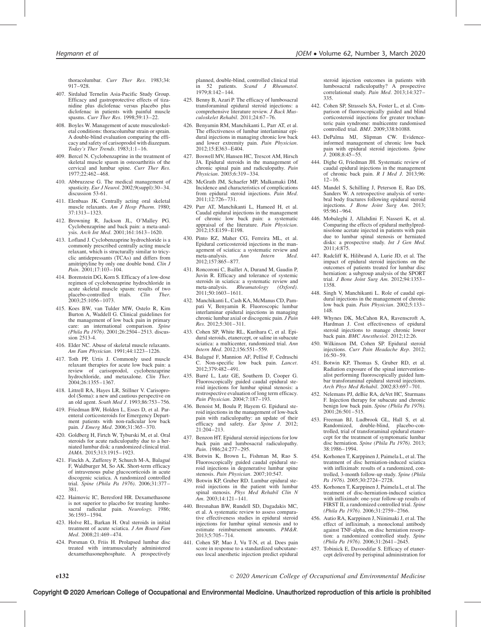thoracolumbar. Curr Ther Res. 1983;34: 917–928.

- 407. Sirdalud Ternelin Asia-Pacific Study Group. Efficacy and gastroprotective effects of tizanidine plus diclofenac versus placebo plus diclofenac in patients with painful muscle spasms. Curr Ther Res. 1998;59:13–22.
- 408. Boyles W. Management of acute musculoskeletal conditions: thoracolumbar strain or sprain. A double-blind evaluation comparing the efficacy and safety of carisoprodol with diazepam. Today's Ther Trends.  $1983:1:1-16$ .
- 409. Bercel N. Cyclobenzaprine in the treatment of skeletal muscle spasm in osteoarthritis of the cervical and lumbar spine. Curr Ther Res. 1977;22:462–468.
- 410. Abbruzzese G. The medical management of spasticity. Eur J Neurol. 2002;9(suppl):30–34. discussion 53-61.
- 411. Elenbaas JK. Centrally acting oral skeletal muscle relaxants. Am J Hosp Pharm. 1980; 37:1313–1323.
- 412. Browning R, Jackson JL, O'Malley PG. Cyclobenzaprine and back pain: a meta-analysis. Arch Int Med. 2001;161:1613-1620.
- 413. Lofland J. Cyclobenzaprine hydrochloride is a commonly prescribed centrally acting muscle relaxant, which is structurally similar to tricyclic antidepressants (TCAs) and differs from amitriptyline by only one double bond. Clin J Pain. 2001;17:103–104.
- 414. Borenstein DG, Korn S. Efficacy of a low-dose regimen of cyclobenzaprine hydrochloride in acute skeletal muscle spasm: results of two<br>placebo-controlled trials. *Clin Ther.* placebo-controlled 2003;25:1056–1073.
- 415. Koes BW, van Tulder MW, Ostelo R, Kim Burton A, Waddell G. Clinical guidelines for the management of low back pain in primary care: an international comparison. Spine (Phila Pa 1976). 2001;26:2504–2513. discussion 2513-4.
- 416. Elder NC. Abuse of skeletal muscle relaxants. Am Fam Physician. 1991;44:1223–1226.
- 417. Toth PP, Urtis J. Commonly used muscle relaxant therapies for acute low back pain: a review of carisoprodol, cyclobenzaprine hydrochloride, and metaxalone. Clin Ther. 2004;26:1355–1367.
- 418. Littrell RA, Hayes LR, Stillner V. Carisoprodol (Soma): a new and cautious perspective on an old agent. South Med J. 1993;86:753–756.
- 419. Friedman BW, Holden L, Esses D, et al. Parenteral corticosteroids for Emergency Department patients with non-radicular low back pain.  $\hat{J}$  Emerg Med. 2006;31:365-370.
- 420. Goldberg H, Firtch W, Tyburski M, et al. Oral steroids for acute radiculopathy due to a herniated lumbar disk: a randomized clinical trial. JAMA. 2015;313:1915–1923.
- 421. Finckh A, Zufferey P, Schurch M-A, Balague´ F, Waldburger M, So AK. Short-term efficacy of intravenous pulse glucocorticoids in acute discogenic sciatica. A randomized controlled<br>trial. Spine (Phila Pa 1976). 2006;31:377-381.
- 422. Haimovic IC, Beresford HR. Dexamethasone is not superior to placebo for treating lumbo-<br>sacral radicular pain. Neurology. 1986: sacral radicular pain. Neurology. 36:1593–1594.
- 423. Holve RL, Barkan H. Oral steroids in initial treatment of acute sciatica. J Am Board Fam Med. 2008;21:469–474.
- 424. Porsman O, Friis H. Prolapsed lumbar disc treated with intramuscularly administered dexamethasonephosphate. A prospectively

planned, double-blind, controlled clinical trial in 52 patients. Scand J Rheumatol. 1979;8:142–144.

- 425. Benny B, Azari P. The efficacy of lumbosacral transforaminal epidural steroid injections: a comprehensive literature review. J Back Musculoskelet Rehabil. 2011;24:67–76.
- 426. Benyamin RM, Manchikanti L, Parr AT, et al. The effectiveness of lumbar interlaminar epidural injections in managing chronic low back and lower extremity pain. Pain Physician. 2012;15:E363–E404.
- 427. Boswell MV, Hansen HC, Trescot AM, Hirsch JA. Epidural steroids in the management of chronic spinal pain and radiculopathy. Pain Physician. 2003;6:319–334.
- 428. McGrath JM, Schaefer MP, Malkamaki DM. Incidence and characteristics of complications from epidural steroid injections. Pain Med. 2011;12:726–731.
- 429. Parr AT, Manchikanti L, Hameed H, et al. Caudal epidural injections in the management of chronic low back pain: a systematic appraisal of the literature. Pain Physician. 2012;15:E159–E198.
- 430. Pinto RZ, Maher CG, Ferreira ML, et al. Epidural corticosteroid injections in the management of sciatica: a systematic review and<br>meta-analysis. Ann Intern Med. meta-analysis. Ann 2012;157:865–877.
- 431. Roncoroni C, Baillet A, Durand M, Gaudin P, Juvin R. Efficacy and tolerance of systemic steroids in sciatica: a systematic review and<br>meta-analysis. Rheumatology (Oxford).  $R$ heumatology 2011;50:1603–1611.
- 432. Manchikanti L, Cash KA, McManus CD, Pampati V, Benyamin R. Fluoroscopic lumbar interlaminar epidural injections in managing chronic lumbar axial or discogenic pain. J Pain Res. 2012;5:301–311.
- 433. Cohen SP, White RL, Kurihara C, et al. Epidural steroids, etanercept, or saline in subacute sciatica: a multicenter, randomized trial. Ann Intern Med. 2012;156:551–559.
- 434. Balagué F, Mannion AF, Pellisé F, Cedraschi Non-specific low back pain. Lancet. 2012;379:482–491.
- 435. Barré L, Lutz GE, Southern D, Cooper G. Fluoroscopically guided caudal epidural steroid injections for lumbar spinal stenosis: a restrospective evaluation of long term efficacy. Pain Physician. 2004;7:187–193.
- 436. Benoist M, Boulu P, Hayem G. Epidural steroid injections in the management of low-back pain with radiculopathy: an update of their efficacy and safety. Eur Spine J. 2012; 21:204–213.
- 437. Benzon HT. Epidural steroid injections for low back pain and lumbosacral radiculopathy. Pain. 1986;24:277–295.
- 438. Botwin K, Brown L, Fishman M, Rao S. Fluoroscopically guided caudal epidural steroid injections in degenerative lumbar spine stenosis. Pain Physician. 2007;10:547.
- 439. Botwin KP, Gruber RD. Lumbar epidural steroid injections in the patient with lumbar spinal stenosis. Phys Med Rehabil Clin N  $\hat{A}m. 2003$ ; 14: 121 – 141.
- 440. Bresnahan BW, Rundell SD, Dagadakis MC, et al. A systematic review to assess comparative effectiveness studies in epidural steroid injections for lumbar spinal stenosis and to estimate reimbursement amounts. PM&R. 2013;5:705–714.
- 441. Cohen SP, Mao J, Vu T-N, et al. Does pain score in response to a standardized subcutaneous local anesthetic injection predict epidural

steroid injection outcomes in patients with lumbosacral radiculopathy? A prospective correlational study. Pain Med. 2013;14:327-335.

- 442. Cohen SP, Strassels SA, Foster L, et al. Comparison of fluoroscopically guided and blind corticosteroid injections for greater trochanteric pain syndrome: multicentre randomised controlled trial. BMJ. 2009;338:b1088.
- 443. DePalma MJ, Slipman CW. Evidenceinformed management of chronic low back pain with epidural steroid injections. Spine J. 2008;8:45–55.
- 444. Dighe G, Friedman JH. Systematic review of caudal epidural injections in the management of chronic back pain. R I Med J. 2013;96:  $12 - 16$
- 445. Mandel S, Schilling J, Peterson E, Rao DS, Sanders W. A retrospective analysis of vertebral body fractures following epidural steroid injections. J Bone Joint Surg Am. 2013; 95:961–964.
- 446. Mobaleghi J, Allahdini F, Nasseri K, et al. Comparing the effects of epidural methylprednisolone acetate injected in patients with pain due to lumbar spinal stenosis or herniated disks: a prospective study. Int J Gen Med. 2011;4:875.
- 447. Radcliff K, Hilibrand A, Lurie JD, et al. The impact of epidural steroid injections on the outcomes of patients treated for lumbar disc herniation: a subgroup analysis of the SPORT trial. J Bone Joint Surg Am. 2012;94:1353– 1358.
- 448. Singh V, Manchikanti L. Role of caudal epidural injections in the management of chronic low back pain. Pain Physician. 2002;5:133– 148.
- 449. Whynes DK, McCahon RA, Ravenscroft A, Hardman J. Cost effectiveness of epidural steroid injections to manage chronic lower back pain. BMC Anesthesiol. 2012;12:26.
- 450. Wilkinson IM, Cohen SP. Epidural steroid injections. Curr Pain Headache Rep. 2012; 16:50–59.
- 451. Botwin KP, Thomas S, Gruber RD, et al. Radiation exposure of the spinal interventionalist performing fluoroscopically guided lumbar transforaminal epidural steroid injections. Arch Phys Med Rehabil. 2002;83:697–701.
- 452. Nelemans PJ, deBie RA, deVet HC, Sturmans F. Injection therapy for subacute and chronic benign low back pain. Spine (Phila Pa 1976). 2001;26:501–515.
- 453. Freeman BJ, Ludbrook GL, Hall S, et al. Randomized, double-blind, placebo-controlled, trial of transforaminal epidural etanercept for the treatment of symptomatic lumbar disc herniation. Spine (Phila Pa 1976). 2013; 38:1986–1994.
- 454. Korhonen T, Karppinen J, Paimela L, et al. The treatment of disc herniation-induced sciatica with infliximab: results of a randomized, controlled, 3-month follow-up study. Spine (Phila Pa 1976). 2005;30:2724–2728.
- 455. Korhonen T, Karppinen J, Paimela L, et al. The treatment of disc-herniation-induced sciatica with infliximab: one-year follow-up results of FIRST II, a randomized controlled trial. Spine (Phila Pa 1976). 2006;31:2759–2766.
- 456. Autio RA, Karppinen J, Niinimaki J, et al. The effect of infliximab, a monoclonal antibody against TNF-alpha, on disc herniation resorption: a randomized controlled study. Spine (Phila Pa 1976). 2006;31:2641–2645.
- 457. Tobinick E, Davoodifar S. Efficacy of etanercept delivered by perispinal administration for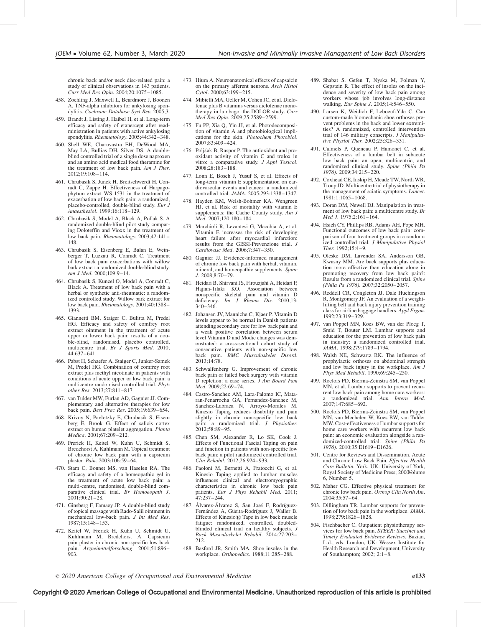chronic back and/or neck disc-related pain: a study of clinical observations in 143 patients. Curr Med Res Opin. 2004;20:1075–1085.

- 458. Zochling J, Maxwell L, Beardmore J, Boonen A. TNF-alpha inhibitors for ankylosing spondylitis. Cochrane Database Syst Rev. 2005;3.
- 459. Brandt J, Listing J, Haibel H, et al. Long-term efficacy and safety of etanercept after readministration in patients with active ankylosing spondylitis. Rheumatology. 2005;44:342-348.
- 460. Shell WE, Charuvastra EH, DeWood MA, May LA, Bullias DH, Silver DS. A doubleblind controlled trial of a single dose naproxen and an amino acid medical food theramine for the treatment of low back pain. Am J Ther. 2012;19:108–114.
- 461. Chrubasik S, Junck H, Breitschwerdt H, Conradt C, Zappe H. Effectiveness of Harpagophytum extract WS 1531 in the treatment of exacerbation of low back pain: a randomized, placebo-controlled, double-blind study. Eur J Anaesthesiol. 1999;16:118–129.
- 462. Chrubasik S, Model A, Black A, Pollak S. A randomized double-blind pilot study comparing Doloteffin and Vioxx in the treatment of low back pain. Rheumatology. 2003;42:141– 148.
- 463. Chrubasik S, Eisenberg E, Balan E, Weinberger T, Luzzati R, Conradt C. Treatment of low back pain exacerbations with willow bark extract: a randomized double-blind study. Am J Med. 2000;109:9–14.
- 464. Chrubasik S, Kunzel O, Model A, Conradt C, Black A. Treatment of low back pain with a herbal or synthetic anti-rheumatic: a randomized controlled study. Willow bark extract for low back pain. Rheumatology. 2001;40:1388– 1393.
- 465. Giannetti BM, Staiger C, Bulitta M, Predel HG. Efficacy and safety of comfrey root extract ointment in the treatment of acute upper or lower back pain: results of a double-blind, randomised, placebo controlled,<br>multicentre trial. *Br J Sports Med*. 2010; 44:637–641.
- 466. Pabst H, Schaefer A, Staiger C, Junker-Samek M, Predel HG. Combination of comfrey root extract plus methyl nicotinate in patients with conditions of acute upper or low back pain: a multicentre randomised controlled trial. Phytother Res. 2013;27:811–817.
- 467. van Tulder MW, Furlan AD, Gagnier JJ. Complementary and alternative therapies for low back pain. Best Prac Res. 2005;19:639–654.
- 468. Krivoy N, Pavlotzky E, Chrubasik S, Eisenberg E, Brook G. Effect of salicis cortex extract on human platelet aggregation. Planta Medica. 2001;67:209–212.
- 469. Frerick H, Keitel W, Kuhn U, Schmidt S, Bredehorst A, Kuhlmann M. Topical treatment of chronic low back pain with a capsicum plaster. Pain. 2003;106:59–64.
- 470. Stam C, Bonnet MS, van Haselen RA. The efficacy and safety of a homeopathic gel in the treatment of acute low back pain: a multi-centre, randomised, double-blind comparative clinical trial. Br Homoeopath J. 2001;90:21–28.
- 471. Ginsberg F, Famaey JP. A double-blind study of topical massage with Rado-Salil ointment in mechanical low-back pain. J Int Med Res. 1987;15:148–153.
- 472. Keitel W, Frerick H, Kuhn U, Schmidt U, Kuhlmann M, Bredehorst A. Capsicum pain plaster in chronic non-specific low back pain. Arzneimittelforschung. 2001;51:896–  $903.$
- 473. Hiura A. Neuroanatomical effects of capsaicin on the primary afferent neurons. Arch Histol Cytol. 2000;63:199–215.
- 474. Mibielli MA, Geller M, Cohen JC, et al. Diclofenac plus B vitamins versus diclofenac monotherapy in lumbago: the DOLOR study. Curr Med Res Opin. 2009;25:2589–2599.
- 475. Fu PP, Xia Q, Yin JJ, et al. Photodecomposition of vitamin A and photobiological implications for the skin. Photochem Photobiol. 2007;83:409–424.
- 476. Poljšak B, Raspor P. The antioxidant and prooxidant activity of vitamin C and trolox in vitro: a comparative study. J Appl Toxicol. 2008;28:183–188.
- 477. Lonn E, Bosch J, Yusuf S, et al. Effects of long-term vitamin E supplementation on cardiovascular events and cancer: a randomized controlled trial. JAMA. 2005;293:1338–1347.
- 478. Hayden KM, Welsh-Bohmer KA, Wengreen HJ, et al. Risk of mortality with vitamin E supplements: the Cache County study. Am J Med. 2007;120:180–184.
- 479. Marchioli R, Levantesi G, Macchia A, et al. Vitamin E increases the risk of developing heart failure after myocardial infarction: results from the GISSI-Prevenzione trial. J Cardiovasc Med. 2006;7:347–350.
- 480. Gagnier JJ. Evidence-informed management of chronic low back pain with herbal, vitamin, mineral, and homeopathic supplements. Spine J. 2008;8:70–79.
- 481. Heidari B, Shirvani JS, Firouzjahi A, Heidari P, Hajian-Tilaki KO. Association between nonspecific skeletal pain and vitamin D deficiency. Int J Rheum Dis. 2010;13: 340–346.
- 482. Johansen JV, Manniche C, Kjaer P. Vitamin D levels appear to be normal in Danish patients attending secondary care for low back pain and a weak positive correlation between serum level Vitamin D and Modic changes was demonstrated: a cross-sectional cohort study of consecutive patients with non-specific low back pain. BMC Musculoskelet Disord. 2013;14:78.
- 483. Schwalfenberg G. Improvement of chronic back pain or failed back surgery with vitamin D repletion: a case series. J Am Board Fam Med. 2009;22:69–74.
- 484. Castro-Sanchez AM, Lara-Palomo IC, Mataran-Penarrocha GA, Fernandez-Sanchez M, Sanchez-Labraca N, Arroyo-Morales M. Kinesio Taping reduces disability and pain slightly in chronic non-specific low back pain: a randomised trial. J Physiother. 2012;58:89–95.
- 485. Chen SM, Alexander R, Lo SK, Cook J. Effects of Functional Fascial Taping on pain and function in patients with non-specific low back pain: a pilot randomized controlled trial. Clin Rehabil. 2012;26:924–933.
- 486. Paoloni M, Bernetti A, Fratocchi G, et al. Kinesio Taping applied to lumbar muscles influences clinical and electromyographic characteristics in chronic low back pain patients. Eur J Phys Rehabil Med. 2011; 47:237–244.
- 487. Álvarez-Álvarez S, San José F, Rodríguez-Fernández A, Güeita-Rodríguez J, Waller B. Effects of Kinesio® Tape in low back muscle fatigue: randomized, controlled, doubledblinded clinical trial on healthy subjects. J Back Musculoskelet Rehabil. 2014;27:203– 212.
- 488. Basford JR, Smith MA. Shoe insoles in the workplace. Orthopedics. 1988;11:285–288.
- 489. Shabat S, Gefen T, Nyska M, Folman Y, Gepstein R. The effect of insoles on the incidence and severity of low back pain among workers whose job involves long-distance walking. Eur Spine J. 2005;14:546–550.
- 490. Larsen K, Weidich F, Leboeuf-Yde C. Can custom-made biomechanic shoe orthoses prevent problems in the back and lower extremities? A randomized, controlled intervention trial of 146 military conscripts. J Manipultative Physiol Ther. 2002;25:326-331.
- 491. Calmels P, Queneau P, Hamonet C, et al. Effectiveness of a lumbar belt in subacute low back pain: an open, multicentric, and randomized clinical study. Spine (Phila Pa 1976). 2009;34:215–220.
- 492. Coxhead CE, Inskip H, Meade TW, North WR, Troup JD. Multicentre trial of physiotherapy in the management of sciatic symptoms. Lancet. 1981;1:1065–1068.
- 493. Doran DM, Newell DJ. Manipulation in treatment of low back pain: a multicentre study. Br Med J. 1975;2:161–164.
- 494. Hsieh CY, Phillips RB, Adams AH, Pope MH. Functional outcomes of low back pain: comparison of four treatment groups in a randomized controlled trial. J Manipulative Physiol Ther. 1992;15:4–9.
- 495. Oleske DM, Lavender SA, Andersson GB, Kwasny MM. Are back supports plus education more effective than education alone in promoting recovery from low back pain?: Results from a randomized clinical trial. Spine (Phila Pa 1976). 2007;32:2050–2057.
- 496. Reddell CR, Congleton JJ, Dale Huchingson R, Montgomery JF. An evaluation of a weightlifting belt and back injury prevention training class for airline baggage handlers. Appl Ergon. 1992;23:319–329.
- 497. van Poppel MN, Koes BW, van der Ploeg T, Smid T, Bouter LM. Lumbar supports and education for the prevention of low back pain in industry: a randomized controlled trial. JAMA. 1998;279:1789–1794.
- 498. Walsh NE, Schwartz RK. The influence of prophylactic orthoses on abdominal strength and low back injury in the workplace.  $Am \, J$ Phys Med Rehabil. 1990;69:245–250.
- 499. Roelofs PD, Bierma-Zeinstra SM, van Poppel MN, et al. Lumbar supports to prevent recurrent low back pain among home care workers: randomized trial. Ann Intern Med. 2007;147:685–692.
- 500. Roelofs PD, Bierma-Zeinstra SM, van Poppel MN, van Mechelen W, Koes BW, van Tulder MW. Cost-effectiveness of lumbar supports for home care workers with recurrent low back pain: an economic evaluation alongside a randomized-controlled trial. Spine (Phila Pa 1976). 2010;35:E1619–E1626.
- 501. Centre for Reviews and Dissemination. Acute and Chronic Low Back Pain. Effective Health Care Bulletin. York, UK: University of York, Royal Society of Medicine Press; 2000Volume 6, Number 5.
- 502. Maher CG. Effective physical treatment for chronic low back pain. Orthop Clin North Am. 2004;35:57–64.
- 503. Dillingham TR. Lumbar supports for prevention of low back pain in the workplace. JAMA. 1998;279:1826–1828.
- 504. Fischbacher C. Outpatient physiotherapy services for low back pain. STEER: Succinct and Timely Evaluated Evidence Reviews. Bazian, Ltd., eds. London, UK: Wessex Institute for Health Research and Development, University of Southampton; 2002; 2:1–8.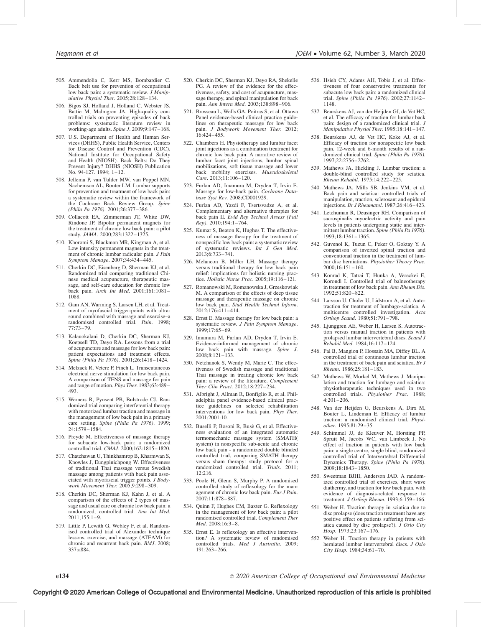- 505. Ammendolia C, Kerr MS, Bombardier C. Back belt use for prevention of occupational low back pain: a systematic review. J Manipulative Physiol Ther. 2005;28:128–134.
- 506. Bigos SJ, Holland J, Holland C, Webster JS, Battie M, Malmgren JA. High-quality controlled trials on preventing episodes of back problems: systematic literature review in working-age adults. Spine J. 2009;9:147–168.
- 507. U.S. Department of Health and Human Services (DHHS), Public Health Service, Centers for Disease Control and Prevention (CDC), National Institute for Occupational Safety and Health (NIOSH). Back Belts: Do They Prevent Injury? DHHS (NIOSH) Publication No. 94-127. 1994; 1–12.
- 508. Jellema P, van Tulder MW, van Poppel MN, Nachemson AL, Bouter LM. Lumbar supports for prevention and treatment of low back pain: a systematic review within the framework of the Cochrane Back Review Group. Spine (Phila Pa 1976). 2001;26:377–386.
- 509. Collacott EA, Zimmerman JT, White DW, Rindone JP. Bipolar permanent magnets for the treatment of chronic low back pain: a pilot study. JAMA. 2000;283:1322–1325.
- 510. Khoromi S, Blackman MR, Kingman A, et al. Low intensity permanent magnets in the treatment of chronic lumbar radicular pain. J Pain Symptom Manage. 2007;34:434–445.
- 511. Cherkin DC, Eisenberg D, Sherman KJ, et al. Randomized trial comparing traditional Chinese medical acupuncture, therapeutic massage, and self-care education for chronic low back pain. Arch Int Med. 2001;161:1081– 1088.
- 512. Gam AN, Warming S, Larsen LH, et al. Treatment of myofascial trigger-points with ultrasound combined with massage and exercise–a randomised controlled trial. Pain. 1998; 77:73–79.
- 513. Kalauokalani D, Cherkin DC, Sherman KJ, Koepsell TD, Deyo RA. Lessons from a trial of acupuncture and massage for low back pain: patient expectations and treatment effects. Spine (Phila Pa 1976). 2001;26:1418–1424.
- 514. Melzack R, Vetere P, Finch L. Transcutaneous electrical nerve stimulation for low back pain. A comparison of TENS and massage for pain and range of motion. Phys Ther. 1983;63:489– 493.
- 515. Werners R, Pynsent PB, Bulstrode CJ. Randomized trial comparing interferential therapy with motorized lumbar traction and massage in the management of low back pain in a primary care setting. Spine (Phila Pa 1976). 1999; 24:1579–1584.
- 516. Preyde M. Effectiveness of massage therapy for subacute low-back pain: a randomized controlled trial. CMAJ. 2000;162:1815-1820.
- 517. Chatchawan U, Thinkhamrop B, Kharmwan S, Knowles J, Eungpinichpong W. Effectiveness of traditional Thai massage versus Swedish massage among patients with back pain associated with myofascial trigger points. J Bodywork Movement Ther. 2005;9:298–309.
- 518. Cherkin DC, Sherman KJ, Kahn J, et al. A comparison of the effects of 2 types of massage and usual care on chronic low back pain: a randomized, controlled trial. Ann Int Med. 2011;155:1–9.
- 519. Little P, Lewith G, Webley F, et al. Randomised controlled trial of Alexander technique lessons, exercise, and massage (ATEAM) for chronic and recurrent back pain. BMJ. 2008; 337:a884.
- 520. Cherkin DC, Sherman KJ, Deyo RA, Shekelle PG. A review of the evidence for the effectiveness, safety, and cost of acupuncture, massage therapy, and spinal manipulation for back pain. Ann Intern Med. 2003;138:898-906.
- 521. Brosseau L, Wells GA, Poitras S, et al. Ottawa Panel evidence-based clinical practice guidelines on therapeutic massage for low back pain. J Bodywork Movement Ther. 2012;  $16:424 - 455$
- 522. Chambers H. Physiotherapy and lumbar facet joint injections as a combination treatment for chronic low back pain. A narrative review of lumbar facet joint injections, lumbar spinal mobilizations, soft tissue massage and lower back mobility exercises. Musculoskeletal Care. 2013;11:106–120.
- 523. Furlan AD, Imamura M, Dryden T, Irvin E. Massage for low-back pain. Cochrane Database Syst Rev. 2008;CD001929.
- 524. Furlan AD, Yazdi F, Tsertsvadze A, et al. Complementary and alternative therapies for back pain II. Evid Rep Technol Assess (Full Rep). 2010;194:1–764.
- 525. Kumar S, Beaton K, Hughes T. The effectiveness of massage therapy for the treatment of nonspecific low back pain: a systematic review of systematic reviews. Int J Gen Med. 2013;6:733–741.
- 526. Melancon B, Miller LH. Massage therapy versus traditional therapy for low back pain relief: implications for holistic nursing practice. Holistic Nurse Prac. 2005;19:116–121.
- 527. Romanowski M, Romanowska J, Grzeskowiak M. A comparison of the effects of deep tissue massage and therapeutic massage on chronic low back pain. Stud Health Technol Inform. 2012;176:411–414.
- 528. Ernst E. Massage therapy for low back pain: a systematic review. J Pain Symptom Manage. 1999;17:65–69.
- 529. Imamura M, Furlan AD, Dryden T, Irvin E. Evidence-informed management of chronic low back pain with massage. Spine J. 2008;8:121–133.
- 530. Netchanok S, Wendy M, Marie C. The effectiveness of Swedish massage and traditional Thai massage in treating chronic low back pain: a review of the literature. Complement Ther Clin Pract. 2012;18:227–234.
- 531. Albright J, Allman R, Bonfiglio R, et al. Philadelphia panel evidence-based clinical practice guidelines on selected rehabilitation interventions for low back pain. Phys Ther. 2001;2001:10.
- 532. Buselli P, Bosoni R, Buse` G, et al. Effectiveness evaluation of an integrated automatic termomechanic massage system (SMATH( system) in nonspecific sub-acute and chronic low back pain - a randomized double blinded controlled trial, comparing SMATH therapy versus sham therapy: study protocol for a randomized controlled trial. Trials. 2011; 12:216.
- 533. Poole H, Glenn S, Murphy P. A randomised controlled study of reflexology for the management of chronic low back pain. Eur J Pain. 2007;11:878–887.
- 534. Quinn F, Hughes CM, Baxter G. Reflexology in the management of low back pain: a pilot randomised controlled trial. Complement Ther Med. 2008;16:3–8.
- 535. Ernst E. Is reflexology an effective intervention? A systematic review of randomised controlled trials. Med J Australia. 2009; 191:263–266.
- 536. Hsieh CY, Adams AH, Tobis J, et al. Effectiveness of four conservative treatments for subacute low back pain: a randomized clinical trial. Spine (Phila Pa 1976). 2002;27:1142-1148.
- 537. Beurskens AJ, van der Heijden GJ, de Vet HC, et al. The efficacy of traction for lumbar back pain: design of a randomized clinical trial. J Manipulative Physiol Ther. 1995;18:141–147.
- 538. Beurskens AJ, de Vet HC, Koke AJ, et al. Efficacy of traction for nonspecific low back pain. 12-week and 6-month results of a randomized clinical trial. Spine (Phila Pa 1976). 1997;22:2756–2762.
- 539. Mathews JA, Hickling J. Lumbar traction: a double-blind controlled study for sciatica. Rheum Rehabil. 1975;14:222–225.
- 540. Mathews JA, Mills SB, Jenkins VM, et al. Back pain and sciatica: controlled trials of manipulation, traction, sclerosant and epidural injections. Br J Rheumatol. 1987;26:416–423.
- 541. Letchuman R, Deusinger RH. Comparison of sacrospinalis myoelectric activity and pain levels in patients undergoing static and intermittent lumbar traction. Spine (Phila Pa 1976). 1993;18:1361–1365.
- 542. Guvenol K, Tuzun C, Peker O, Goktay Y. A comparison of inverted spinal traction and conventional traction in the treatment of lumbar disc herniations. Physiother Theory Prac. 2000;16:151–160.
- 543. Konrad K, Tatrai T, Hunka A, Vereckei E, Korondi I. Controlled trial of balneotherapy in treatment of low back pain. Ann Rheum Dis. 1992;51:820–822.
- 544. Larsson U, Choler U, Lidstrom A, et al. Autotraction for treatment of lumbago-sciatica. A multicentre controlled investigation. Acta Orthop Scand. 1980;51:791–798.
- 545. Ljunggren AE, Weber H, Larsen S. Autotraction versus manual traction in patients with prolapsed lumbar intervertebral discs. Scand J Rehabil Med. 1984;16:117–124.
- 546. Pal B, Mangion P, Hossain MA, Diffey BL. A controlled trial of continuous lumbar traction in the treatment of back pain and sciatica. Br J Rheum. 1986;25:181–183.
- 547. Mathews W, Morkel M, Mathews J. Manipulation and traction for lumbago and sciatica: physiotherapeutic techniques used in two controlled trials. Physiother Prac. 1988; 4:201–206.
- 548. Van der Heijden G, Beurskens A, Dirx M, Bouter L, Lindeman E. Efficacy of lumbar traction: a randomised clinical trial. Physiother. 1995;81:29–35.
- 549. Schimmel JJ, de Kleuver M, Horsting PP, Spruit M, Jacobs WC, van Limbeek J. No effect of traction in patients with low back pain: a single centre, single blind, randomized controlled trial of Intervertebral Differential Dynamics Therapy. Spine (Phila Pa 1976). 2009;18:1843–1850.
- 550. Sweetman BJHI, Anderson JAD. A randomized controlled trial of exercises, short wave diathermy, and traction for low back pain, with evidence of diagnosis-related response to treatment. J Orthop Rheum. 1993;6:159–166.
- 551. Weber H. Traction therapy in sciatica due to disc prolapse (does traction treatment have any positive effect on patients suffering from sciatica caused by disc prolapse?).  $\bar{J}$  Oslo City Hosp. 1973;23:167–176.
- 552. Weber H. Traction therapy in patients with herniated lumbar intervertebral discs. J Oslo City Hosp. 1984;34:61–70.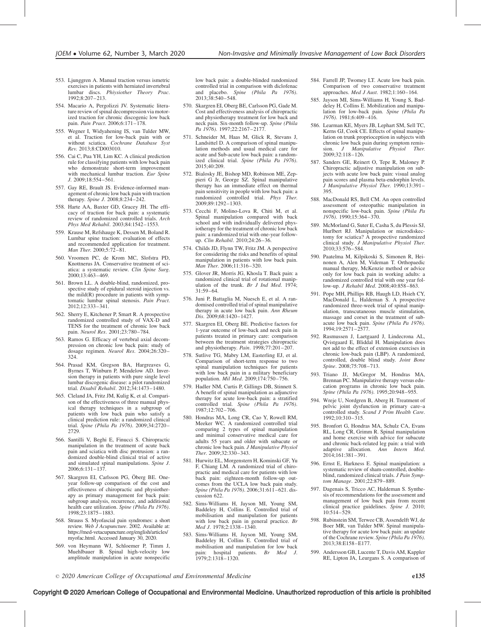- 553. Ljunggren A. Manual traction versus ismetric exercises in patients with herniated invertebral lumbar discs. Phiysiother Theory Prac. 1992;8:207–213.
- 554. Macario A, Pergolizzi JV. Systematic literature review of spinal decompression via motorized traction for chronic discogenic low back pain. Pain Pract. 2006;6:171–178.
- 555. Wegner I, Widyahening IS, van Tulder MW, et al. Traction for low-back pain with or without sciatica. Cochrane Database Syst Rev. 2013;8:CD003010.
- 556. Cai C, Pua YH, Lim KC. A clinical prediction rule for classifying patients with low back pain who demonstrate short-term improvement with mechanical lumbar traction. Eur Spine J. 2009;18:554–561.
- 557. Gay RE, Brault JS. Evidence-informed management of chronic low back pain with traction therapy. Spine J. 2008;8:234–242.
- 558. Harte AA, Baxter GD, Gracey JH. The efficacy of traction for back pain: a systematic review of randomized controlled trials. Arch Phys Med Rehabil. 2003;84:1542–1553.
- 559. Krause M, Refshauge K, Dessen M, Boland R. Lumbar spine traction: evaluation of effects and recommended application for treatment. Man Ther. 2000;5:72-81.
- 560. Vroomen PC, de Krom MC, Slofstra PD, Knottnerus JA. Conservative treatment of sciatica: a systematic review. Clin Spine Surg. 2000;13:463–469.
- 561. Brown LL. A double-blind, randomized, prospective study of epidural steroid injection vs. the mild(R) procedure in patients with symptomatic lumbar spinal stenosis. Pain Pract. 2012;12:333–341.
- 562. Sherry E, Kitchener P, Smart R. A prospective randomized controlled study of VAX-D and TENS for the treatment of chronic low back pain. Neurol Res. 2001;23:780–784.
- 563. Ramos G. Efficacy of vertebral axial decompression on chronic low back pain: study of dosage regimen. Neurol Res. 2004;26:320-324.
- 564. Prasad KM, Gregson BA, Hargreaves G, Byrnes T, Winburn P, Mendelow AD. Inversion therapy in patients with pure single level lumbar discogenic disease: a pilot randomized trial. Disabil Rehabil. 2012;34:1473–1480.
- 565. Cleland JA, Fritz JM, Kulig K, et al. Comparison of the effectiveness of three manual physical therapy techniques in a subgroup of patients with low back pain who satisfy a clinical prediction rule: a randomized clinical trial. Spine (Phila Pa 1976). 2009;34:2720– 2729.
- 566. Santilli V, Beghi E, Finucci S. Chiropractic manipulation in the treatment of acute back pain and sciatica with disc protrusion: a randomized double-blind clinical trial of active and simulated spinal manipulations. Spine J. 2006;6:131–137.
- 567. Skargren EI, Carlsson PG, Öberg BE. Oneyear follow-up comparison of the cost and effectiveness of chiropractic and physiotherapy as primary management for back pain: subgroup analysis, recurrence, and additional health care utilization. Spine (Phila Pa 1976). 1998;23:1875–1883.
- 568. Strauss S. Myofascial pain syndromes: a short review. Web J Acupuncture. 2002. Available at: [https://med-vetacupuncture.org/english/articles/](https://med-vetacupuncture.org/english/articles/myofac.html) [myofac.html.](https://med-vetacupuncture.org/english/articles/myofac.html) Accessed January 30, 2020.
- 569. von Heymann WJ, Schloemer P, Timm J, Muehlbauer B. Spinal high-velocity low amplitude manipulation in acute nonspecific

low back pain: a double-blinded randomized controlled trial in comparison with diclofenac and placebo. Spine (Phila Pa 1976). 2013;38:540–548.

- 570. Skargren EI, Oberg BE, Carlsson PG, Gade M. Cost and effectiveness analysis of chiropractic and physiotherapy treatment for low back and neck pain. Six-month follow-up. Spine (Phila Pa 1976). 1997;22:2167-2177.
- 571. Schneider M, Haas M, Glick R, Stevans J, Landsittel D. A comparison of spinal manipulation methods and usual medical care for acute and Sub-acute low back pain: a randomized clinical trial. Spine (Phila Pa 1976). 2015;40:209.
- 572. Bialosky JE, Bishop MD, Robinson ME, Zeppieri G Jr, George SZ. Spinal manipulative therapy has an immediate effect on thermal pain sensitivity in people with low back pain: a randomized controlled trial. Phys Ther. 2009;89:1292–1303.
- 573. Cecchi F, Molino-Lova R, Chiti M, et al. Spinal manipulation compared with back school and with individually delivered physiotherapy for the treatment of chronic low back pain: a randomized trial with one-year followup. Clin Rehabil. 2010;24:26–36.
- 574. Childs JD, Flynn TW, Fritz JM. A perspective for considering the risks and benefits of spinal manipulation in patients with low back pain. Man Ther. 2006;11:316–320.
- 575. Glover JR, Morris JG, Khosla T. Back pain: a randomized clinical trial of rotational manipulation of the trunk. Br J Ind Med.  $1974$ ; 31:59–64.
- 576. Juni P, Battaglia M, Nuesch E, et al. A randomised controlled trial of spinal manipulative therapy in acute low back pain. Ann Rheum Dis. 2009;68:1420–1427.
- 577. Skargren EI, Oberg BE. Predictive factors for 1-year outcome of low-back and neck pain in patients treated in primary care: comparison between the treatment strategies chiropractic and physiotherapy. Pain. 1998;77:201-207.
- 578. Sutlive TG, Mabry LM, Easterling EJ, et al. Comparison of short-term response to two spinal manipulation techniques for patients with low back pain in a military beneficiary population. Mil Med. 2009;174:750-756.
- 579. Hadler NM, Curtis P, Gillings DB, Stinnett S. A benefit of spinal manipulation as adjunctive therapy for acute low-back pain: a stratified  $\frac{1}{2}$  controlled trial. Spine (Phila Pa 1976). 1987;12:702–706.
- 580. Hondras MA, Long CR, Cao Y, Rowell RM, Meeker WC. A randomized controlled trial comparing 2 types of spinal manipulation and minimal conservative medical care for adults 55 years and older with subacute or chronic low back pain. J Manipulative Physiol Ther. 2009;32:330–343.
- 581. Hurwitz EL, Morgenstern H, Kominski GF, Yu F, Chiang LM. A randomized trial of chiropractic and medical care for patients with low back pain: eighteen-month follow-up outcomes from the UCLA low back pain study. Spine (Phila Pa 1976). 2006;31:611-621. discussion 622.
- 582. Sims-Williams H, Jayson MI, Young SM, Baddeley H, Collins E. Controlled trial of mobilisation and manipulation for patients with low back pain in general practice. Br Med J. 1978;2:1338-1340.
- 583. Sims-Williams H, Jayson MI, Young SM, Baddeley H, Collins E. Controlled trial of mobilisation and manipulation for low back pain: hospital patients. *Br Med J*.<br>1979;2:1318–1320.
- 584. Farrell JP, Twomey LT. Acute low back pain. Comparison of two conservative treatment approaches. Med J Aust. 1982;1:160–164.
- 585. Jayson MI, Sims-Williams H, Young S, Baddeley H, Collins E. Mobilization and manipulation for low-back pain. Spine (Phila Pa 1976). 1981;6:409–416.
- 586. Learman KE, Myers JB, Lephart SM, Sell TC, Kerns GJ, Cook CE. Effects of spinal manipulation on trunk proprioception in subjects with chronic low back pain during symptom remis-<br>sion.  $J$  Manipulative Physiol Ther. sion. J Manipulative Physiol Ther. 2009;32:118–126.
- 587. Sanders GE, Reinert O, Tepe R, Maloney P. Chiropractic adjustive manipulation on subjects with acute low back pain: visual analog pain scores and plasma beta-endorphin levels. J Manipulative Physiol Ther. 1990;13:391– 395.
- 588. MacDonald RS, Bell CM. An open controlled assessment of osteopathic manipulation in nonspecific low-back pain. Spine (Phila Pa 1976). 1990;15:364–370.
- 589. McMorland G, Suter E, Casha S, du Plessis SJ, Hurlbert RJ. Manipulation or microdiskectomy for sciatica?  $\hat{A}$  prospective randomized clinical study. J Manipulative Physiol Ther. 2010;33:576–584.
- 590. Paatelma M, Kilpikoski S, Simonen R, Heinonen A, Alen M, Videman T. Orthopaedic manual therapy, McKenzie method or advice only for low back pain in working adults: a randomized controlled trial with one year follow-up. J Rehabil Med. 2008;40:858–863.
- 591. Pope MH, Phillips RB, Haugh LD, Hsieh CY, MacDonald L, Haldeman S. A prospective randomized three-week trial of spinal manipulation, transcutaneous muscle stimulation, massage and corset in the treatment of subacute low back pain. Spine (Phila Pa 1976). 1994;19:2571–2577.
- 592. Rasmussen J, Laetgaard J, Lindecrona AL, Qvistgaard E, Bliddal H. Manipulation does not add to the effect of extension exercises in chronic low-back pain (LBP). A randomized, controlled, double blind study. Joint Bone Spine. 2008;75:708–713.
- 593. Triano JJ, McGregor M, Hondras MA, Brennan PC. Manipulative therapy versus education programs in chronic low back pain. Spine (Phila Pa 1976). 1995;20:948–955.
- 594. Wreje U, Nordgren B, Aberg H. Treatment of pelvic joint dysfunction in primary care–a controlled study. Scand J Prim Health Care. 1992;10:310–315.
- 595. Bronfort G, Hondras MA, Schulz CA, Evans RL, Long CR, Grimm R. Spinal manipulation and home exercise with advice for subacute and chronic back-related leg pain: a trial with adaptive allocation. Ann Intern Med. 2014;161:381–391.
- 596. Ernst E, Harkness E. Spinal manipulation: a systematic review of sham-controlled, doubleblind, randomized clinical trials. J Pain Symptom Manage. 2001;22:879–889.
- 597. Dagenais S, Tricco AC, Haldeman S. Synthesis of recommendations for the assessment and management of low back pain from recent clinical practice guidelines. Spine J. 2010; 10:514–529.
- 598. Rubinstein SM, Terwee CB, Assendelft WJ, de Boer MR, van Tulder MW. Spinal manipulative therapy for acute low back pain: an update of the Cochrane review. Spine (Phila Pa 1976). 2013;38:E158–E177.
- 599. Andersson GB, Lucente T, Davis AM, Kappler RE, Lipton JA, Leurgans S. A comparison of

 $\degree$  2020 American College of Occupational and Environmental Medicine e135

#### Copyright © 2020 American College of Occupational and Environmental Medicine. Unauthorized reproduction of this article is prohibited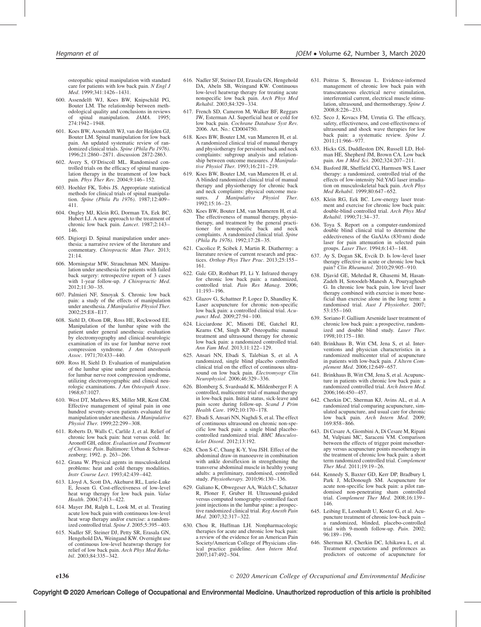osteopathic spinal manipulation with standard care for patients with low back pain. N Engl J Med. 1999;341:1426–1431.

- 600. Assendelft WJ, Koes BW, Knipschild PG, Bouter LM. The relationship between methodological quality and conclusions in reviews<br>of spinal manipulation. JAMA. 1995; manipulation.  $JAMA$ . 1995; 274:1942–1948.
- 601. Koes BW, Assendelft WJ, van der Heijden GJ, Bouter LM. Spinal manipulation for low back pain. An updated systematic review of randomized clinical trials. Spine (Phila Pa 1976). 1996;21:2860–2871. discussion 2872-2863.
- 602. Avery S, O'Driscoll ML. Randomised controlled trials on the efficacy of spinal manipulation therapy in the treamment of low back pain. Phys Ther Rev. 2004;9:146–152.
- 603. Hoehler FK, Tobis JS. Appropriate statistical methods for clinical trials of spinal manipulation. Spine (Phila Pa 1976). 1987;12:409– 411.
- 604. Ongley MJ, Klein RG, Dorman TA, Eek BC, Hubert LJ. A new approach to the treatment of chronic low back pain. Lancet. 1987;2:143– 146.
- 605. Digiorgi D. Spinal manipulation under anesthesia: a narrative review of the literature and commentary. Chiropractic Man Ther. 2013; 21:14.
- 606. Morningstar MW, Strauchman MN. Manipulation under anesthesia for patients with failed back surgery: retrospective report of 3 cases with 1-year follow-up. J Chiropractic Med. 2012;11:30–35.
- 607. Palmieri NF, Smoyak S. Chronic low back pain: a study of the effects of manipulation under anesthesia. J Manipulative Physiol Ther. 2002;25:E8–E17.
- 608. Siehl D, Olson DR, Ross HE, Rockwood EE. Manipulation of the lumbar spine with the patient under general anesthesia: evaluation by electromyography and clinical-neurologic examination of its use for lumbar nerve root compression syndrome. J Am Osteopath Assoc. 1971;70:433–440.
- 609. Ross H, Siehl D. Evaluation of manipulation of the lumbar spine under general anesthesia for lumbar nerve root compression syndrome, utilizing electromyographic and clinical neurologic examinations.  $\hat{J}Am$  Osteopath Assoc. 1968;67:1027.
- 610. West DT, Mathews RS, Miller MR, Kent GM. Effective management of spinal pain in one hundred seventy-seven patients evaluated for manipulation under anesthesia. J Manipulative Physiol Ther. 1999;22:299–308.
- 611. Roberts D, Walls C, Carlile J, et al. Relief of chronic low back pain: heat versus cold. In: Aronoff GH, editor. Evaluation and Treatment of Chronic Pain. Baltimore: Urban & Schwarzenberg; 1992. p. 263–266.
- 612. Grana W. Physical agents in musculoskeletal problems: heat and cold therapy modalities. Instr Course Lect. 1993;42:439–442.
- 613. Lloyd A, Scott DA, Akehurst RL, Lurie-Luke E, Jessen G. Cost-effectiveness of low-level heat wrap therapy for low back pain. Value Health. 2004;7:413-422.
- 614. Mayer JM, Ralph L, Look M, et al. Treating acute low back pain with continuous low-level heat wrap therapy and/or exercise: a randomized controlled trial. Spine J. 2005;5:395–403.
- 615. Nadler SF, Steiner DJ, Petty SR, Erasala GN, Hengehold DA, Weingand KW. Overnight use of continuous low-level heatwrap therapy for relief of low back pain. Arch Phys Med Rehabil. 2003;84:335–342.
- 616. Nadler SF, Steiner DJ, Erasala GN, Hengehold DA, Abeln SB, Weingand KW. Continuous low-level heatwrap therapy for treating acute nonspecific low back pain. Arch Phys Med Rehabil. 2003;84:329–334.
- 617. French SD, Cameron M, Walker BF, Reggars JW, Esterman AJ. Superficial heat or cold for low back pain. Cochrane Database Syst Rev. 2006. Art. No.: CD004750.
- 618. Koes BW, Bouter LM, van Mameren H, et al. A randomized clinical trial of manual therapy and physiotherapy for persistent back and neck complaints: subgroup analysis and relationship between outcome measures. J Manipulative Physiol Ther. 1993;16:211–219.
- 619. Koes BW, Bouter LM, van Mameren H, et al. A blinded randomized clinical trial of manual therapy and physiotherapy for chronic back and neck complaints: physical outcome mea-<br>sures. *J. Manipulative Physiol Ther.* sures.  $J$  Manipulative Physiol 1992;15:16–23.
- 620. Koes BW, Bouter LM, van Mameren H, et al. The effectiveness of manual therapy, physiotherapy, and treatment by the general practitioner for nonspecific back and neck complaints. A randomized clinical trial. Spine (Phila Pa 1976). 1992;17:28–35.
- 621. Cacolice P, Scibek J, Martin R. Diathermy: a literature review of current research and practices. Orthop Phys Ther Prac. 2013;25:155– 161.
- 622. Gale GD, Rothbart PJ, Li Y. Infrared therapy for chronic low back pain: a randomized, controlled trial. Pain Res Manag. 2006; 11:193–196.
- 623. Glazov G, Schattner P, Lopez D, Shandley K. Laser acupuncture for chronic non-specific low back pain: a controlled clinical trial. Acupunct Med. 2009;27:94–100.
- 624. Licciardone JC, Minotti DE, Gatchel RJ, Kearns CM, Singh KP. Osteopathic manual treatment and ultrasound therapy for chronic low back pain: a randomized controlled trial. Ann Fam Med. 2013;11:122–129.
- 625. Ansari NN, Ebadi S, Talebian S, et al. A randomized, single blind placebo controlled clinical trial on the effect of continuous ultrasound on low back pain. Electromyogr Clin Neurophysiol. 2006;46:329-336.
- 626. Blomberg S, Svardsudd K, Mildenberger F. A controlled, multicentre trial of manual therapy in low-back pain. Initial status, sick-leave and pain score during follow-up. Scand J Prim Health Care. 1992;10:170–178.
- 627. Ebadi S, Ansari NN, Naghdi S, et al. The effect of continuous ultrasound on chronic non-specific low back pain: a single blind placebocontrolled randomized trial. BMC Musculoskelet Disord. 2012;13:192.
- 628. Chon S-C, Chang K-Y, You JSH. Effect of the abdominal draw-in manoeuvre in combination with ankle dorsiflexion in strengthening the transverse abdominal muscle in healthy young adults: a preliminary, randomised, controlled study. Physiotherapy. 2010;96:130–136.
- 629. Galiano K, Obwegeser AA, Walch C, Schatzer R, Ploner F, Gruber H. Ultrasound-guided versus computed tomography-controlled facet joint injections in the lumbar spine: a prospective randomized clinical trial. Reg Anesth Pain Med. 2007;32:317–322.
- 630. Chou R, Huffman LH. Nonpharmacologic therapies for acute and chronic low back pain: a review of the evidence for an American Pain Society/American College of Physicians clinical practice guideline. Ann Intern Med. 2007;147:492–504.
- 631. Poitras S, Brosseau L. Evidence-informed management of chronic low back pain with transcutaneous electrical nerve stimulation, interferential current, electrical muscle stimulation, ultrasound, and thermotherapy. Spine J. 2008;8:226–233.
- 632. Seco J, Kovacs FM, Urrutia G. The efficacy, safety, effectiveness, and cost-effectiveness of ultrasound and shock wave therapies for low back pain: a systematic review. Spine J.  $2011;11:966-977.$
- 633. Hicks GS, Duddleston DN, Russell LD, Holman HE, Shepherd JM, Brown CA. Low back pain. Am J Med Sci. 2002;324:207-211.
- 634. Basford JR, Sheffield CG, Harmsen WS. Laser therapy: a randomized, controlled trial of the effects of low-intensity Nd:YAG laser irradiation on musculoskeletal back pain. Arch Phys Med Rehabil. 1999;80:647–652.
- 635. Klein RG, Eek BC. Low-energy laser treatment and exercise for chronic low back pain: double-blind controlled trial. Arch Phys Med Rehabil. 1990;71:34–37.
- 636. Toya S. Report on a computer-randomized double blind clinical trial to determine the eddectiveness of the GaAlAs (830 nm) diode laser for pain attenuation in selected pain groups. Laser Ther. 1994;6:143–148.
- 637. Ay S, Dogan SK, Evcik D. Is low-level laser therapy effective in acute or chronic low back pain? Clin Rheumatol. 2010;29:905–910.
- 638. Djavid GE, Mehrdad R, Ghasemi M, Hasan-Zadeh H, Sotoodeh-Manesh A, Pouryaghoub G. In chronic low back pain, low level laser therapy combined with exercise is more beneficial than exercise alone in the long term: a randomised trial. Aust J Physiother. 2007; 53:155–160.
- 639. Soriano F. Gallium Arsenide laser treatment of chronic low back pain: a prospective, randomized and double blind study. Laser Ther. 1998;10:175–180.
- 640. Brinkhaus B, Witt CM, Jena S, et al. Interventions and physician characteristics in a randomized multicenter trial of acupuncture in patients with low-back pain. J Altern Complement Med. 2006;12:649–657.
- 641. Brinkhaus B, Witt CM, Jena S, et al. Acupuncture in patients with chronic low back pain: a randomized controlled trial. Arch Intern Med. 2006;166:450–457.
- 642. Cherkin DC, Sherman KJ, Avins AL, et al. A randomized trial comparing acupuncture, simulated acupuncture, and usual care for chronic low back pain. Arch Intern Med. 2009; 169:858–866.
- 643. Di Cesare A, Giombini A, Di Cesare M, Ripani M, Vulpiani MC, Saraceni VM. Comparison between the effects of trigger point mesotherapy versus acupuncture points mesotherapy in the treatment of chronic low back pain: a short term randomized controlled trial. Complement Ther Med. 2011;19:19–26.
- 644. Kennedy S, Baxter GD, Kerr DP, Bradbury I, Park J, McDonough SM. Acupuncture for acute non-specific low back pain: a pilot randomised non-penetrating sham controlled trial. Complement Ther Med. 2008;16:139– 146.
- 645. Leibing E, Leonhardt U, Koster G, et al. Acupuncture treatment of chronic low-back pain – a randomized, blinded, placebo-controlled trial with 9-month follow-up. Pain. 2002; 96:189–196.
- 646. Sherman KJ, Cherkin DC, Ichikawa L, et al. Treatment expectations and preferences as predictors of outcome of acupuncture for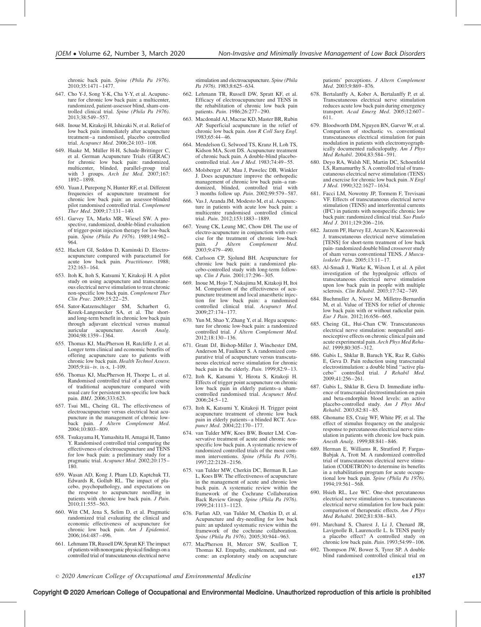chronic back pain. Spine (Phila Pa 1976). 2010;35:1471–1477.

- 647. Cho Y-J, Song Y-K, Cha Y-Y, et al. Acupuncture for chronic low back pain: a multicenter, randomized, patient-assessor blind, sham-controlled clinical trial. Spine (Phila Pa 1976). 2013;38:549–557.
- 648. Inoue M, Kitakoji H, Ishizaki N, et al. Relief of low back pain immediately after acupuncture treatment–a randomised, placebo controlled trial. Acupunct Med. 2006;24:103–108.
- 649. Haake M, Müller H-H, Schade-Brittinger C, et al. German Acupuncture Trials (GERAC) for chronic low back pain: randomized, multicenter, blinded, parallel-group trial with 3 groups. Arch Int Med. 2007;167: 1892–1898.
- 650. Yuan J, Purepong N, Hunter RF, et al. Different frequencies of acupuncture treatment for chronic low back pain: an assessor-blinded pilot randomised controlled trial. Complement Ther Med. 2009;17:131–140.
- 651. Garvey TA, Marks MR, Wiesel SW. A prospective, randomized, double-blind evaluation of trigger-point injection therapy for low-back pain. Spine (Phila Pa 1976). 1989;14:962–  $964.$
- 652. Hackett GI, Seddon D, Kaminski D. Electroacupuncture compared with paracetamol for acute low back pain. Practitioner. 1988; 232:163–164.
- 653. Itoh K, Itoh S, Katsumi Y, Kitakoji H. A pilot study on using acupuncture and transcutaneous electrical nerve stimulation to treat chronic non-specific low back pain. Complement Ther Clin Prac. 2009;15:22–25.
- 654. Sator-Katzenschlager SM, Scharbert G, Kozek-Langenecker SA, et al. The shortand long-term benefit in chronic low back pain through adjuvant electrical versus manual<br>auricular acupuncture. Anesth Analo. acupuncture. Anesth Analg. 2004;98:1359–1364.
- 655. Thomas KJ, MacPherson H, Ratcliffe J, et al. Longer term clinical and economic benefits of offering acupuncture care to patients with chronic low back pain. Health Technol Assess. 2005;9:iii–iv. ix-x, 1-109.
- 656. Thomas KJ, MacPherson H, Thorpe L, et al. Randomised controlled trial of a short course of traditional acupuncture compared with usual care for persistent non-specific low back pain. *BMJ*. 2006;333:623.
- 657. Tsui ML, Cheing GL. The effectiveness of electroacupuncture versus electrical heat acupuncture in the management of chronic lowback pain. J Altern Complement Med. 2004;10:803–809.
- 658. Tsukayama H, Yamashita H, Amagai H, Tanno Y. Randomised controlled trial comparing the effectiveness of electroacupuncture and TENS for low back pain: a preliminary study for a pragmatic trial. Acupunct Med. 2002;20:175-180.
- 659. Wasan AD, Kong J, Pham LD, Kaptchuk TJ, Edwards R, Gollub RL. The impact of placebo, psychopathology, and expectations on the response to acupuncture needling in patients with chronic low back pain. J Pain. 2010;11:555–563.
- 660. Witt CM, Jena S, Selim D, et al. Pragmatic randomized trial evaluating the clinical and economic effectiveness of acupuncture for chronic low back pain. Am J Epidemiol. 2006;164:487–496.
- 661. Lehmann TR, Russell DW, Spratt KF. The impact of patients with nonorganic physical findings on a controlled trial of transcutaneous electrical nerve

stimulation and electroacupuncture. Spine (Phila Pa 1976). 1983;8:625-634.

- 662. Lehmann TR, Russell DW, Spratt KF, et al. Efficacy of electroacupuncture and TENS in the rehabilitation of chronic low back pain patients. Pain. 1986;26:277–290.
- 663. Macdonald AJ, Macrae KD, Master BR, Rubin AP. Superficial acupuncture in the relief of chronic low back pain. Ann R Coll Surg Engl. 1983;65:44–46.
- 664. Mendelson G, Selwood TS, Kranz H, Loh TS, Kidson MA, Scott DS. Acupuncture treatment of chronic back pain. A double-blind placebocontrolled trial. Am J Med. 1983;74:49-55.
- 665. Molsberger AF, Mau J, Pawelec DB, Winkler J. Does acupuncture improve the orthopedic management of chronic low back pain–a randomized, blinded, controlled trial with 3 months follow up. Pain. 2002;99:579–587.
- 666. Vas J, Aranda JM, Modesto M, et al. Acupuncture in patients with acute low back pain: a multicentre randomised controlled clinical trial. Pain. 2012;153:1883–1889.
- 667. Yeung CK, Leung MC, Chow DH. The use of electro-acupuncture in conjunction with exercise for the treatment of chronic low-back<br>pain.  $J$  Altern Complement Med. J Altern Complement 2003;9:479–490.
- 668. Carlsson CP, Sjolund BH. Acupuncture for chronic low back pain: a randomized placebo-controlled study with long-term followup. Clin J Pain. 2001;17:296–305.
- 669. Inoue M, Hojo T, Nakajima M, Kitakoji H, Itoi M. Comparison of the effectiveness of acupuncture treatment and local anaesthetic injection for low back pain: a randomised controlled clinical trial. Acupunct Med. 2009;27:174–177.
- 670. Yun M, Shao Y, Zhang Y, et al. Hegu acupuncture for chronic low-back pain: a randomized controlled trial. J Altern Complement Med. 2012;18:130–136.
- 671. Grant DJ, Bishop-Miller J, Winchester DM, Anderson M, Faulkner S. A randomized comparative trial of acupuncture versus transcutaneous electrical nerve stimulation for chronic back pain in the elderly. Pain. 1999;82:9–13.
- 672. Itoh K, Katsumi Y, Hirota S, Kitakoji H. Effects of trigger point acupuncture on chronic low back pain in elderly patients–a shamcontrolled randomised trial. Acupunct Med. 2006;24:5–12.
- 673. Itoh K, Katsumi Y, Kitakoji H. Trigger point acupuncture treatment of chronic low back pain in elderly patients–a blinded RCT. Acupunct Med. 2004;22:170–177.
- 674. van Tulder MW, Koes BW, Bouter LM. Conservative treatment of acute and chronic nonspecific low back pain. A systematic review of randomized controlled trials of the most common interventions. Spine (Phila Pa 1976). 1997;22:2128–2156.
- 675. van Tulder MW, Cherkin DC, Berman B, Lao L, Koes BW. The effectiveness of acupuncture in the management of acute and chronic low back pain. A systematic review within the framework of the Cochrane Collaboration Back Review Group. Spine (Phila Pa 1976). 1999;24:1113–1123.
- 676. Furlan AD, van Tulder M, Cherkin D, et al. Acupuncture and dry-needling for low back pain: an updated systematic review within the framework of the cochrane collaboration. Spine (Phila Pa 1976). 2005;30:944–963.
- 677. MacPherson H, Mercer SW, Scullion T, Thomas KJ. Empathy, enablement, and outcome: an exploratory study on acupuncture

patients' perceptions. J Altern Complement Med. 2003;9:869–876.

- 678. Bertalanffy A, Kober A, Bertalanffy P, et al. Transcutaneous electrical nerve stimulation reduces acute low back pain during emergency transport. Acad Emerg Med. 2005;12:607-611.
- 679. Bloodworth DM, Nguyen BN, Garver W, et al. Comparison of stochastic vs. conventional transcutaneous electrical stimulation for pain modulation in patients with electromyographically documented radiculopathy. Am  $\overline{J}$  Phys Med Rehabil. 2004;83:584–591.
- 680. Deyo RA, Walsh NE, Martin DC, Schoenfeld LS, Ramamurthy S. A controlled trial of transcutaneous electrical nerve stimulation (TENS) and exercise for chronic low back pain. N Engl J Med. 1990;322:1627–1634.
- 681. Facci LM, Nowotny JP, Tormem F, Trevisani VF. Effects of transcutaneous electrical nerve stimulation (TENS) and interferential currents (IFC) in patients with nonspecific chronic low back pain: randomized clinical trial. Sao Paulo Med J. 2011;129:206-216.
- 682. Jarzem PF, Harvey EJ, Arcaro N, Kaezorowski J. transcutaneous electrical nerve stimulation [TENS] for short-term treatment of low back pain- randomized double blind crossover study of sham versus conventional TENS. J Musculoskelet Pain. 2005;13:11–17.
- 683. Al-Smadi J, Warke K, Wilson I, et al. A pilot investigation of the hypoalgesic effects of transcutaneous electrical nerve stimulation upon low back pain in people with multiple sclerosis. Clin Rehabil. 2003;17:742–749.
- 684. Buchmuller A, Navez M, Milletre-Bernardin M, et al. Value of TENS for relief of chronic low back pain with or without radicular pain. Eur J Pain. 2012;16:656–665.
- 685. Cheing GL, Hui-Chan CW. Transcutaneous electrical nerve stimulation: nonparallel antinociceptive effects on chronic clinical pain and acute experimental pain. Arch Phys Med Rehabil. 1999;80:305–312.
- 686. Gabis L, Shklar B, Baruch YK, Raz R, Gabis E, Geva D. Pain reduction using transcranial electrostimulation: a double blind ''active placebo" controlled trial. J Rehabil Med. 2009;41:256–261.
- 687. Gabis L, Shklar B, Geva D. Immediate influence of transcranial electrostimulation on pain and beta-endorphin blood levels: an active placebo-controlled study. Am J Phys Med Rehabil. 2003;82:81–85.
- 688. Ghoname ES, Craig WF, White PF, et al. The effect of stimulus frequency on the analgesic response to percutaneous electrical nerve stimulation in patients with chronic low back pain. Anesth Analg. 1999;88:841–846.
- 689. Herman E, Williams R, Stratford P, Fargas-Babjak A, Trott M. A randomized controlled trial of transcutaneous electrical nerve stimulation (CODETRON) to determine its benefits in a rehabilitation program for acute occupational low back pain. Spine (Phila Pa 1976). 1994;19:561–568.
- 690. Hsieh RL, Lee WC. One-shot percutaneous electrical nerve stimulation vs. transcutaneous electrical nerve stimulation for low back pain: comparison of therapeutic effects. Am J Phys Med Rehabil. 2002;81:838–843.
- 691. Marchand S, Charest J, Li J, Chenard JR, Lavignolle B, Laurencelle L. Is TENS purely a placebo effect? A controlled study on chronic low back pain. Pain. 1993;54:99-106.
- 692. Thompson JW, Bower S, Tyrer SP. A double blind randomised controlled clinical trial on

#### Copyright © 2020 American College of Occupational and Environmental Medicine. Unauthorized reproduction of this article is prohibited